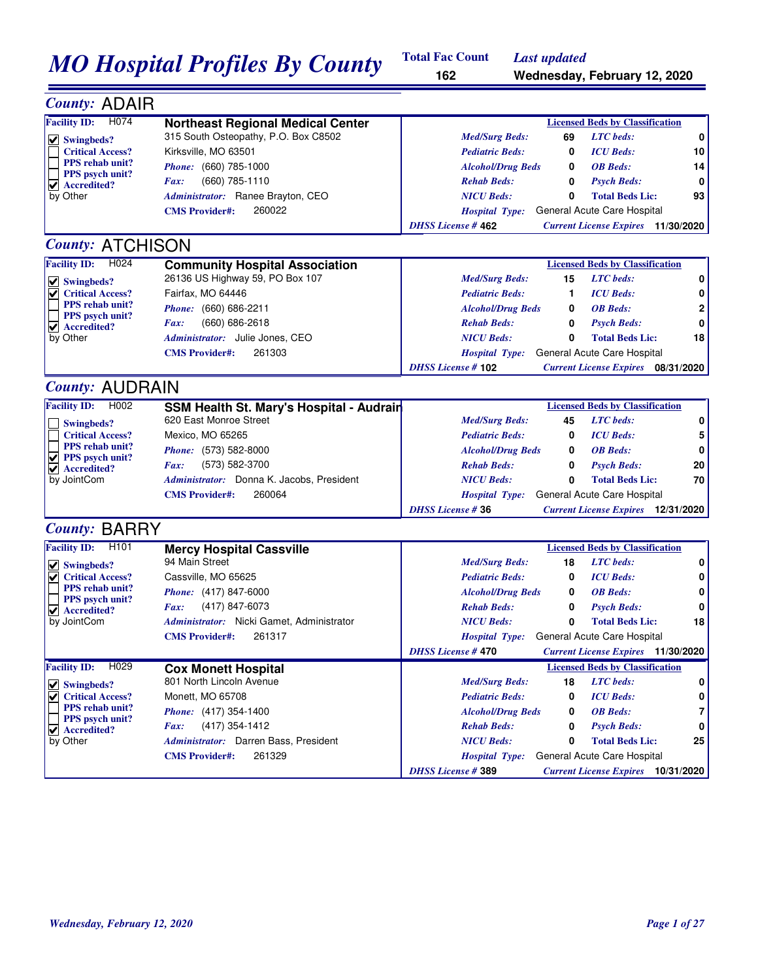# *MO Hospital Profiles By County* Total Fac Count *Last updated* Wednesday, February 12, 2020

**Total Fac Count 162**

| <b>County: ADAIR</b>                                        |                                                                    |                                                                       |    |
|-------------------------------------------------------------|--------------------------------------------------------------------|-----------------------------------------------------------------------|----|
| Facility ID: H074                                           | <b>Northeast Regional Medical Center</b>                           | <b>Licensed Beds by Classification</b>                                |    |
| $\vee$ Swingbeds?                                           | 315 South Osteopathy, P.O. Box C8502                               | <b>LTC</b> beds:<br><b>Med/Surg Beds:</b><br>69                       | 0  |
| <b>Critical Access?</b>                                     | Kirksville, MO 63501                                               | <b>Pediatric Beds:</b><br><b>ICU</b> Beds:<br>0                       | 10 |
| <b>PPS</b> rehab unit?                                      | Phone: (660) 785-1000                                              | <b>Alcohol/Drug Beds</b><br><b>OB</b> Beds:<br>0                      | 14 |
| <b>PPS</b> psych unit?<br>$\blacktriangleright$ Accredited? | (660) 785-1110<br>Fax:                                             | <b>Rehab Beds:</b><br>0<br><b>Psych Beds:</b>                         | 0  |
| by Other                                                    | Administrator: Ranee Brayton, CEO                                  | <b>NICU Beds:</b><br>0<br><b>Total Beds Lic:</b>                      | 93 |
|                                                             | 260022<br><b>CMS</b> Provider#:                                    | General Acute Care Hospital<br><b>Hospital Type:</b>                  |    |
|                                                             |                                                                    | <b>DHSS License #462</b><br><b>Current License Expires</b> 11/30/2020 |    |
| <b>County: ATCHISON</b>                                     |                                                                    |                                                                       |    |
| <b>Facility ID:</b><br>H <sub>024</sub>                     | <b>Community Hospital Association</b>                              | <b>Licensed Beds by Classification</b>                                |    |
| $  \vee  $ Swingbeds?                                       | 26136 US Highway 59, PO Box 107                                    | <b>LTC</b> beds:<br><b>Med/Surg Beds:</b><br>15                       | 0  |
| <b>Critical Access?</b>                                     | Fairfax, MO 64446                                                  | <b>ICU</b> Beds:<br><b>Pediatric Beds:</b><br>1                       | 0  |
| <b>PPS</b> rehab unit?                                      | Phone: (660) 686-2211                                              | <b>Alcohol/Drug Beds</b><br><b>OB</b> Beds:<br>0                      | 2  |
| PPS psych unit?<br>$\blacktriangleright$ Accredited?        | (660) 686-2618<br>Fax:                                             | <b>Rehab Beds:</b><br>0<br><b>Psych Beds:</b>                         | 0  |
| by Other                                                    | Administrator: Julie Jones, CEO                                    | <b>NICU Beds:</b><br>0<br><b>Total Beds Lic:</b>                      | 18 |
|                                                             | 261303<br><b>CMS</b> Provider#:                                    | General Acute Care Hospital<br><b>Hospital Type:</b>                  |    |
|                                                             |                                                                    | <b>DHSS License #102</b><br><b>Current License Expires</b> 08/31/2020 |    |
| <b>County: AUDRAIN</b>                                      |                                                                    |                                                                       |    |
| <b>Facility ID:</b><br>H002                                 |                                                                    | <b>Licensed Beds by Classification</b>                                |    |
|                                                             | SSM Health St. Mary's Hospital - Audrain<br>620 East Monroe Street | <b>LTC</b> beds:<br><b>Med/Surg Beds:</b><br>45                       | 0  |
| Swingbeds?<br><b>Critical Access?</b>                       | Mexico, MO 65265                                                   | <b>ICU</b> Beds:<br><b>Pediatric Beds:</b><br>0                       | 5  |
| <b>PPS</b> rehab unit?                                      |                                                                    |                                                                       |    |
| $\sqrt{ }$ PPS psych unit?                                  | Phone: (573) 582-8000                                              | <b>Alcohol/Drug Beds</b><br><b>OB</b> Beds:<br>0                      | 0  |
| $\blacktriangledown$ Accredited?                            | (573) 582-3700<br>Fax:                                             | <b>Rehab Beds:</b><br>0<br><b>Psych Beds:</b>                         | 20 |
| by JointCom                                                 | Administrator: Donna K. Jacobs, President                          | <b>NICU Beds:</b><br>0<br><b>Total Beds Lic:</b>                      | 70 |
|                                                             | 260064<br><b>CMS</b> Provider#:                                    | General Acute Care Hospital<br><b>Hospital Type:</b>                  |    |
|                                                             |                                                                    | <b>DHSS License #36</b><br><b>Current License Expires</b> 12/31/2020  |    |
| <b>County: BARRY</b>                                        |                                                                    |                                                                       |    |
| <b>Facility ID:</b><br>H <sub>101</sub>                     | <b>Mercy Hospital Cassville</b>                                    | <b>Licensed Beds by Classification</b>                                |    |
| $\vee$ Swingbeds?                                           | 94 Main Street                                                     | <b>LTC</b> beds:<br><b>Med/Surg Beds:</b><br>18                       | 0  |
| <b>Critical Access?</b>                                     | Cassville, MO 65625                                                | <b>Pediatric Beds:</b><br><b>ICU</b> Beds:<br>0                       | 0  |
| <b>PPS</b> rehab unit?<br>PPS psych unit?                   | Phone: (417) 847-6000                                              | <b>Alcohol/Drug Beds</b><br><b>OB</b> Beds:<br>0                      | 0  |
| $\blacktriangleright$ Accredited?                           | (417) 847-6073<br>Fax:                                             | <b>Rehab Beds:</b><br><b>Psych Beds:</b><br>0                         | 0  |
| by JointCom                                                 | Administrator: Nicki Gamet, Administrator                          | <b>NICU Beds:</b><br><b>Total Beds Lic:</b><br>0                      | 18 |
|                                                             | <b>CMS Provider#:</b><br>261317                                    | Hospital Type: General Acute Care Hospital                            |    |
|                                                             |                                                                    | <b>DHSS License #470</b><br><b>Current License Expires</b> 11/30/2020 |    |
| H <sub>029</sub><br><b>Facility ID:</b>                     | <b>Cox Monett Hospital</b>                                         | <b>Licensed Beds by Classification</b>                                |    |
| $  \vee  $ Swingbeds?                                       | 801 North Lincoln Avenue                                           | <b>Med/Surg Beds:</b><br>18<br><b>LTC</b> beds:                       | 0  |
| <b>Critical Access?</b>                                     | Monett, MO 65708                                                   | <b>ICU</b> Beds:<br><b>Pediatric Beds:</b><br>0                       | 0  |
| PPS rehab unit?                                             | Phone: (417) 354-1400                                              | <b>OB</b> Beds:<br><b>Alcohol/Drug Beds</b><br>0                      | 7  |
| <b>PPS</b> psych unit?<br>✔ Accredited?                     | (417) 354-1412<br>Fax:                                             | <b>Psych Beds:</b><br><b>Rehab Beds:</b><br>0                         | 0  |
| by Other                                                    | Administrator: Darren Bass, President                              | <b>NICU Beds:</b><br><b>Total Beds Lic:</b><br>0                      | 25 |
|                                                             | <b>CMS Provider#:</b><br>261329                                    | General Acute Care Hospital<br><b>Hospital Type:</b>                  |    |
|                                                             |                                                                    | <b>DHSS License #389</b><br><b>Current License Expires</b> 10/31/2020 |    |
|                                                             |                                                                    |                                                                       |    |
|                                                             |                                                                    |                                                                       |    |
|                                                             |                                                                    |                                                                       |    |
|                                                             |                                                                    |                                                                       |    |
|                                                             |                                                                    |                                                                       |    |
|                                                             |                                                                    |                                                                       |    |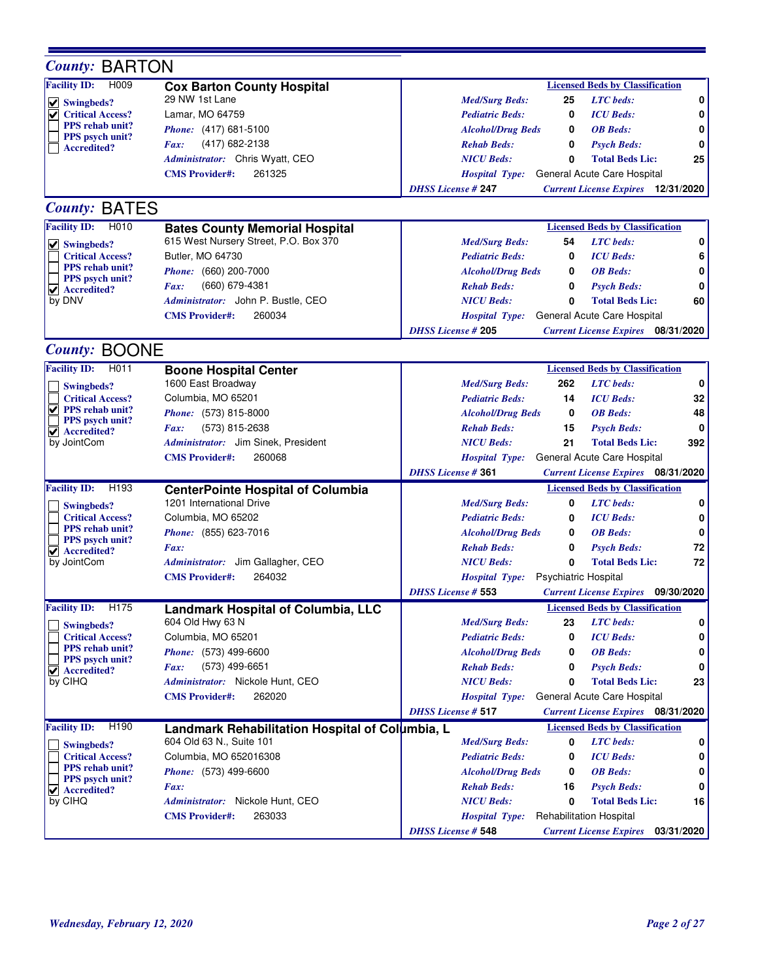| <b>County: BARTON</b>                                |                                                                      |                           |                             |                                              |     |
|------------------------------------------------------|----------------------------------------------------------------------|---------------------------|-----------------------------|----------------------------------------------|-----|
| <b>Facility ID:</b><br>H009                          | <b>Cox Barton County Hospital</b>                                    |                           |                             | <b>Licensed Beds by Classification</b>       |     |
| $\vee$ Swingbeds?                                    | 29 NW 1st Lane                                                       | <b>Med/Surg Beds:</b>     | 25                          | <b>LTC</b> beds:                             | 0   |
| <b>Critical Access?</b>                              | Lamar, MO 64759                                                      | <b>Pediatric Beds:</b>    | 0                           | <b>ICU</b> Beds:                             | 0   |
| <b>PPS</b> rehab unit?                               | Phone: (417) 681-5100                                                | <b>Alcohol/Drug Beds</b>  | 0                           | <b>OB</b> Beds:                              | 0   |
| PPS psych unit?<br><b>Accredited?</b>                | (417) 682-2138<br>Fax:                                               | <b>Rehab Beds:</b>        | 0                           | <b>Psych Beds:</b>                           | 0   |
|                                                      | Administrator: Chris Wyatt, CEO                                      | <b>NICU Beds:</b>         | 0                           | <b>Total Beds Lic:</b>                       | 25  |
|                                                      | <b>CMS Provider#:</b><br>261325                                      | <b>Hospital Type:</b>     |                             | General Acute Care Hospital                  |     |
|                                                      |                                                                      | <b>DHSS License #247</b>  |                             | <b>Current License Expires</b> 12/31/2020    |     |
| <b>County: BATES</b>                                 |                                                                      |                           |                             |                                              |     |
| <b>Facility ID:</b><br>H010                          | <b>Bates County Memorial Hospital</b>                                |                           |                             | <b>Licensed Beds by Classification</b>       |     |
| $  \vee  $ Swingbeds?                                | 615 West Nursery Street, P.O. Box 370                                | <b>Med/Surg Beds:</b>     | 54                          | <b>LTC</b> beds:                             | 0   |
| <b>Critical Access?</b>                              | Butler, MO 64730                                                     | <b>Pediatric Beds:</b>    | 0                           | <b>ICU</b> Beds:                             | 6   |
| <b>PPS</b> rehab unit?                               | Phone: (660) 200-7000                                                | <b>Alcohol/Drug Beds</b>  | 0                           | <b>OB</b> Beds:                              | 0   |
| PPS psych unit?<br>$\blacktriangleright$ Accredited? | (660) 679-4381<br>Fax:                                               | <b>Rehab Beds:</b>        | 0                           | <b>Psych Beds:</b>                           | 0   |
| by DNV                                               | Administrator: John P. Bustle, CEO                                   | <b>NICU Beds:</b>         | 0                           | <b>Total Beds Lic:</b>                       | 60  |
|                                                      | 260034<br><b>CMS Provider#:</b>                                      | <b>Hospital Type:</b>     |                             | General Acute Care Hospital                  |     |
|                                                      |                                                                      | <b>DHSS License #205</b>  |                             | <b>Current License Expires</b> 08/31/2020    |     |
| <b>County: BOONE</b>                                 |                                                                      |                           |                             |                                              |     |
| <b>Facility ID:</b><br>H011                          | <b>Boone Hospital Center</b>                                         |                           |                             | <b>Licensed Beds by Classification</b>       |     |
|                                                      | 1600 East Broadway                                                   | <b>Med/Surg Beds:</b>     | 262                         | <b>LTC</b> beds:                             | 0   |
| Swingbeds?<br><b>Critical Access?</b>                | Columbia, MO 65201                                                   | <b>Pediatric Beds:</b>    | 14                          | <b>ICU</b> Beds:                             | 32  |
| $\vee$ PPS rehab unit?                               | Phone: (573) 815-8000                                                | <b>Alcohol/Drug Beds</b>  | 0                           | <b>OB</b> Beds:                              | 48  |
| PPS psych unit?                                      | (573) 815-2638<br>Fax:                                               | <b>Rehab Beds:</b>        | 15                          |                                              | 0   |
| $\blacktriangleright$ Accredited?<br>by JointCom     | Administrator: Jim Sinek, President                                  | <b>NICU Beds:</b>         | 21                          | <b>Psych Beds:</b><br><b>Total Beds Lic:</b> | 392 |
|                                                      | 260068                                                               |                           |                             |                                              |     |
|                                                      | <b>CMS Provider#:</b>                                                | <b>Hospital Type:</b>     |                             | General Acute Care Hospital                  |     |
|                                                      |                                                                      | <b>DHSS License #361</b>  |                             | <b>Current License Expires</b> 08/31/2020    |     |
| H <sub>193</sub><br><b>Facility ID:</b>              | <b>CenterPointe Hospital of Columbia</b><br>1201 International Drive |                           |                             | <b>Licensed Beds by Classification</b>       |     |
| Swingbeds?                                           | Columbia, MO 65202                                                   | <b>Med/Surg Beds:</b>     | 0                           | <b>LTC</b> beds:                             | 0   |
| <b>Critical Access?</b><br><b>PPS</b> rehab unit?    |                                                                      | <b>Pediatric Beds:</b>    | 0                           | <b>ICU</b> Beds:                             | 0   |
| <b>PPS</b> psych unit?                               | Phone: (855) 623-7016                                                | <b>Alcohol/Drug Beds</b>  | 0                           | <b>OB</b> Beds:                              | 0   |
| $\blacktriangledown$ Accredited?                     | Fax:                                                                 | <b>Rehab Beds:</b>        | 0                           | <b>Psych Beds:</b>                           | 72  |
| by JointCom                                          | Administrator: Jim Gallagher, CEO                                    | <b>NICU Beds:</b>         | 0                           | <b>Total Beds Lic:</b>                       | 72  |
|                                                      | 264032<br><b>CMS</b> Provider#:                                      | <b>Hospital Type:</b>     | <b>Psychiatric Hospital</b> |                                              |     |
|                                                      |                                                                      | <b>DHSS License # 553</b> |                             | <b>Current License Expires</b> 09/30/2020    |     |
| <b>Facility ID:</b><br>H175                          | <b>Landmark Hospital of Columbia, LLC</b>                            |                           |                             | <b>Licensed Beds by Classification</b>       |     |
| Swingbeds?                                           | 604 Old Hwy 63 N                                                     | <b>Med/Surg Beds:</b>     | 23                          | <b>LTC</b> beds:                             | 0   |
| <b>Critical Access?</b><br><b>PPS</b> rehab unit?    | Columbia, MO 65201                                                   | <b>Pediatric Beds:</b>    | 0                           | <b>ICU</b> Beds:                             | 0   |
| PPS psych unit?                                      | <i>Phone:</i> (573) 499-6600                                         | <b>Alcohol/Drug Beds</b>  | 0                           | <b>OB</b> Beds:                              | 0   |
| Accredited?<br>✔                                     | (573) 499-6651<br><i>Fax:</i>                                        | <b>Rehab Beds:</b>        | 0                           | <b>Psych Beds:</b>                           | 0   |
| by CIHQ                                              | Administrator: Nickole Hunt, CEO                                     | <b>NICU Beds:</b>         | 0                           | <b>Total Beds Lic:</b>                       | 23  |
|                                                      | 262020<br><b>CMS Provider#:</b>                                      | <b>Hospital Type:</b>     |                             | General Acute Care Hospital                  |     |
|                                                      |                                                                      | <b>DHSS License # 517</b> |                             | <b>Current License Expires</b> 08/31/2020    |     |
| <b>Facility ID:</b><br>H <sub>190</sub>              | Landmark Rehabilitation Hospital of Columbia, L                      |                           |                             | <b>Licensed Beds by Classification</b>       |     |
| Swingbeds?                                           | 604 Old 63 N., Suite 101                                             | <b>Med/Surg Beds:</b>     | 0                           | <b>LTC</b> beds:                             | 0   |
| <b>Critical Access?</b><br><b>PPS</b> rehab unit?    | Columbia, MO 652016308                                               | <b>Pediatric Beds:</b>    | 0                           | <b>ICU</b> Beds:                             | 0   |
| PPS psych unit?                                      | <i>Phone:</i> (573) 499-6600                                         | <b>Alcohol/Drug Beds</b>  | 0                           | <b>OB</b> Beds:                              |     |
| $\blacktriangleright$ Accredited?                    | Fax:                                                                 | <b>Rehab Beds:</b>        | 16                          | <b>Psych Beds:</b>                           |     |
| by CIHQ                                              | Administrator: Nickole Hunt, CEO                                     | <b>NICU Beds:</b>         | 0                           | <b>Total Beds Lic:</b>                       | 16  |
|                                                      | 263033<br><b>CMS</b> Provider#:                                      | <b>Hospital Type:</b>     |                             | Rehabilitation Hospital                      |     |
|                                                      |                                                                      | <b>DHSS License # 548</b> |                             | <b>Current License Expires</b> 03/31/2020    |     |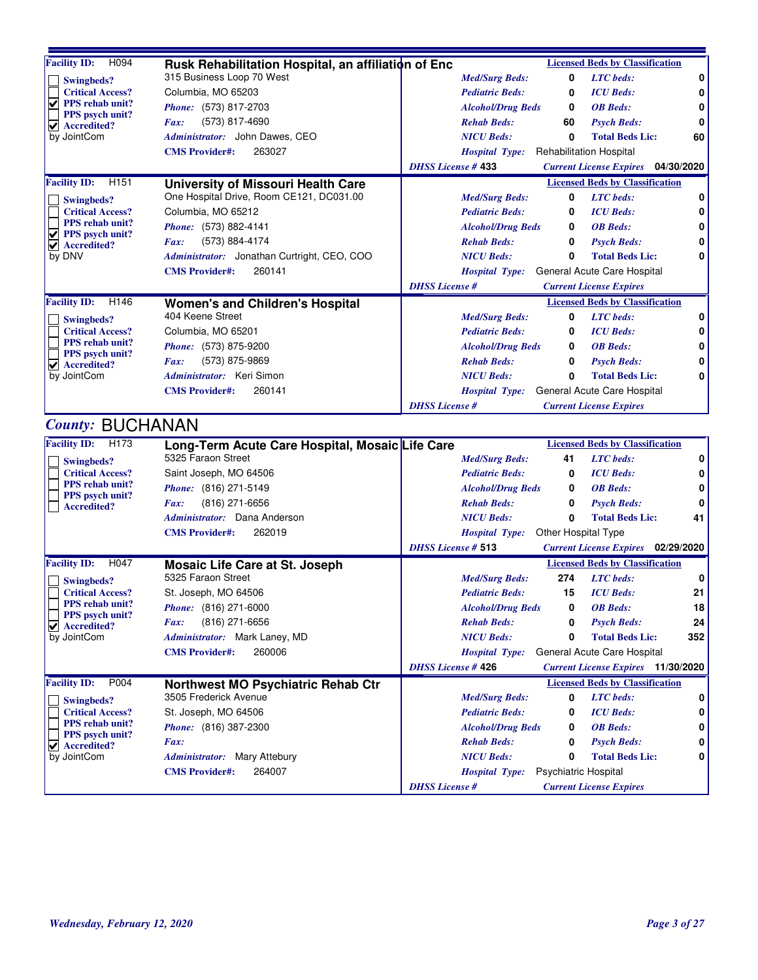| <b>Facility ID:</b><br>H094                          | Rusk Rehabilitation Hospital, an affiliation of Enc | <b>Licensed Beds by Classification</b>                                 |              |
|------------------------------------------------------|-----------------------------------------------------|------------------------------------------------------------------------|--------------|
| Swingbeds?                                           | 315 Business Loop 70 West                           | <b>Med/Surg Beds:</b><br>0<br><b>LTC</b> beds:                         | 0            |
| <b>Critical Access?</b>                              | Columbia, MO 65203                                  | 0<br><b>ICU</b> Beds:<br><b>Pediatric Beds:</b>                        | 0            |
| ✔<br><b>PPS</b> rehab unit?<br>PPS psych unit?       | Phone: (573) 817-2703                               | <b>Alcohol/Drug Beds</b><br>0<br><b>OB</b> Beds:                       | $\mathbf{0}$ |
| $\blacktriangledown$ Accredited?                     | (573) 817-4690<br>Fax:                              | <b>Psych Beds:</b><br><b>Rehab Beds:</b><br>60                         | 0            |
| by JointCom                                          | Administrator: John Dawes, CEO                      | <b>NICU Beds:</b><br>0<br><b>Total Beds Lic:</b>                       | 60           |
|                                                      | 263027<br><b>CMS</b> Provider#:                     | <b>Rehabilitation Hospital</b><br><b>Hospital Type:</b>                |              |
|                                                      |                                                     | <b>DHSS License #433</b><br><b>Current License Expires</b> 04/30/2020  |              |
| <b>Facility ID:</b><br>H <sub>151</sub>              | University of Missouri Health Care                  | <b>Licensed Beds by Classification</b>                                 |              |
| Swingbeds?                                           | One Hospital Drive, Room CE121, DC031.00            | <b>Med/Surg Beds:</b><br><b>LTC</b> beds:<br>0                         | 0            |
| <b>Critical Access?</b>                              | Columbia, MO 65212                                  | 0<br><b>ICU</b> Beds:<br><b>Pediatric Beds:</b>                        | 0            |
| PPS rehab unit?                                      | Phone: (573) 882-4141                               | <b>OB</b> Beds:<br><b>Alcohol/Drug Beds</b><br>0                       | 0            |
| $\vee$ PPS psych unit?<br>$\vee$ Accredited?         | (573) 884-4174<br>Fax:                              | <b>Rehab Beds:</b><br>0<br><b>Psych Beds:</b>                          | $\mathbf{0}$ |
| by DNV                                               | Administrator: Jonathan Curtright, CEO, COO         | <b>NICU</b> Beds:<br>0<br><b>Total Beds Lic:</b>                       | 0            |
|                                                      | 260141<br><b>CMS Provider#:</b>                     | Hospital Type: General Acute Care Hospital                             |              |
|                                                      |                                                     | <b>DHSS</b> License #<br><b>Current License Expires</b>                |              |
| H <sub>146</sub><br><b>Facility ID:</b>              | <b>Women's and Children's Hospital</b>              | <b>Licensed Beds by Classification</b>                                 |              |
| Swingbeds?                                           | 404 Keene Street                                    | <b>LTC</b> beds:<br>0<br><b>Med/Surg Beds:</b>                         | 0            |
| <b>Critical Access?</b>                              | Columbia, MO 65201                                  | <b>ICU</b> Beds:<br><b>Pediatric Beds:</b><br>0                        | 0            |
| PPS rehab unit?                                      | <i>Phone:</i> (573) 875-9200                        | <b>OB</b> Beds:<br><b>Alcohol/Drug Beds</b><br>0                       | 0            |
| PPS psych unit?<br>$\blacktriangleright$ Accredited? | (573) 875-9869<br>$\boldsymbol{F}$ <i>ax</i> :      | 0<br><b>Rehab Beds:</b><br><b>Psych Beds:</b>                          | 0            |
| by JointCom                                          | Administrator: Keri Simon                           | <b>NICU Beds:</b><br>0<br><b>Total Beds Lic:</b>                       | 0            |
|                                                      | 260141<br><b>CMS Provider#:</b>                     | <b>Hospital Type:</b> General Acute Care Hospital                      |              |
|                                                      |                                                     | <b>DHSS</b> License #<br><b>Current License Expires</b>                |              |
| <b>County: BUCHANAN</b>                              |                                                     |                                                                        |              |
| H <sub>173</sub><br><b>Facility ID:</b>              | Long-Term Acute Care Hospital, Mosaic Life Care     | <b>Licensed Beds by Classification</b>                                 |              |
| <b>Swingbeds?</b>                                    | 5325 Faraon Street                                  | <b>Med/Surg Beds:</b><br><b>LTC</b> beds:<br>41                        | 0            |
| <b>Critical Access?</b>                              | Saint Joseph, MO 64506                              | <b>Pediatric Beds:</b><br><b>ICU</b> Beds:<br>0                        | 0            |
| PPS rehab unit?                                      | <i>Phone:</i> (816) 271-5149                        | <b>OB</b> Beds:<br><b>Alcohol/Drug Beds</b><br>0                       | 0            |
| PPS psych unit?<br><b>Accredited?</b>                | $(816)$ 271-6656<br>$\boldsymbol{Fax:}$             | <b>Rehab Beds:</b><br>0<br><b>Psych Beds:</b>                          | $\mathbf{0}$ |
|                                                      | Administrator: Dana Anderson                        | <b>Total Beds Lic:</b><br><b>NICU Beds:</b><br>0                       | 41           |
|                                                      | <b>CMS</b> Provider#:<br>262019                     | Hospital Type: Other Hospital Type                                     |              |
|                                                      |                                                     | <b>DHSS License # 513</b><br><b>Current License Expires</b> 02/29/2020 |              |
| <b>Facility ID:</b><br>H <sub>047</sub>              | <b>Mosaic Life Care at St. Joseph</b>               | <b>Licensed Beds by Classification</b>                                 |              |
| <b>Swingbeds?</b>                                    | 5325 Faraon Street                                  | 274<br><b>LTC</b> beds:<br><b>Med/Surg Beds:</b>                       | $\mathbf 0$  |
| <b>Critical Access?</b>                              | St. Joseph, MO 64506                                | <b>ICU</b> Beds:<br><b>Pediatric Beds:</b><br>15                       | 21           |
| <b>PPS</b> rehab unit?                               | <i>Phone:</i> (816) 271-6000                        | <b>OB</b> Beds:<br><b>Alcohol/Drug Beds</b><br>0                       | 18           |
| PPS psych unit?<br>$\vee$ Accredited?                | (816) 271-6656<br>Fax:                              | <b>Rehab Beds:</b><br>0<br><b>Psych Beds:</b>                          | 24           |
| by JointCom                                          | Administrator: Mark Laney, MD                       | 0<br><b>NICU</b> Beds:<br><b>Total Beds Lic:</b>                       | 352          |
|                                                      | 260006<br><b>CMS Provider#:</b>                     | General Acute Care Hospital<br><b>Hospital Type:</b>                   |              |
|                                                      |                                                     | <b>DHSS License #426</b><br><b>Current License Expires</b> 11/30/2020  |              |

3505 Frederick Avenue *Med/Surg Beds:* **0** *LTC beds:* **0**

St. Joseph, MO 64506 *Pediatric Beds:* **0**

**Northwest MO Psychiatric Rehab Ctr**

*Administrator:* Mary Attebury

**CMS Provider#:** 264007

*Phone:* (816) 387-2300

*Fax:*

**Facility ID:** P004

**Swingbeds?**

by JointCom

Τ

**Critical Access? PPS rehab unit? PPS psych unit? Accredited?**

*ICU Beds:* **0**

**Licensed Beds by Classification**

*Alcohol/Drug Beds* **0** *OB Beds:* **0** *Rehab Beds:* **0** *Psych Beds:* **0** *NICU Beds:* **0 Total Beds Lic: 0**

*Hospital Type:* Psychiatric Hospital

*DHSS License # Current License Expires*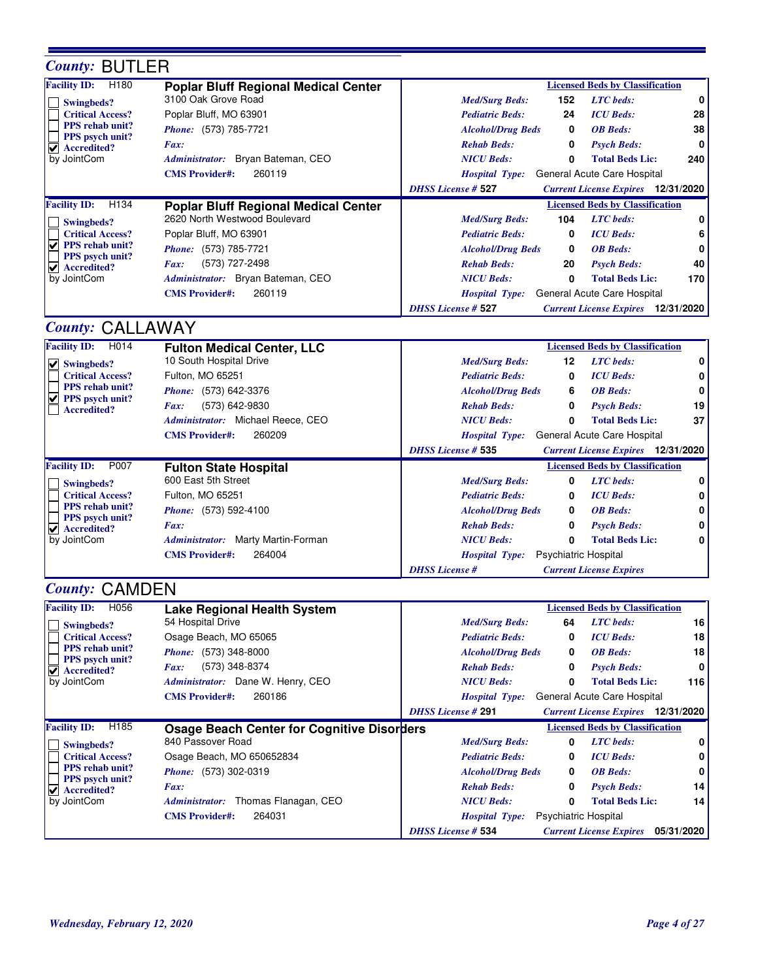| <b>County: BUTLER</b>                                      |                                                   |                                                                                                                                   |          |
|------------------------------------------------------------|---------------------------------------------------|-----------------------------------------------------------------------------------------------------------------------------------|----------|
| H <sub>180</sub><br><b>Facility ID:</b>                    | <b>Poplar Bluff Regional Medical Center</b>       | <b>Licensed Beds by Classification</b>                                                                                            |          |
| <b>Swingbeds?</b>                                          | 3100 Oak Grove Road                               | <b>LTC</b> beds:<br><b>Med/Surg Beds:</b><br>152                                                                                  | 0        |
| <b>Critical Access?</b>                                    | Poplar Bluff, MO 63901                            | <b>Pediatric Beds:</b><br><b>ICU</b> Beds:<br>24                                                                                  | 28       |
| <b>PPS</b> rehab unit?<br><b>PPS</b> psych unit?           | Phone: (573) 785-7721                             | <b>Alcohol/Drug Beds</b><br><b>OB</b> Beds:<br>0                                                                                  | 38       |
| $\blacktriangledown$ Accredited?                           | Fax:                                              | <b>Rehab Beds:</b><br><b>Psych Beds:</b><br>0                                                                                     | 0        |
| by JointCom                                                | Administrator: Bryan Bateman, CEO                 | <b>NICU Beds:</b><br><b>Total Beds Lic:</b><br>0                                                                                  | 240      |
|                                                            | 260119<br><b>CMS Provider#:</b>                   | General Acute Care Hospital<br><b>Hospital Type:</b>                                                                              |          |
|                                                            |                                                   | <b>DHSS License # 527</b><br><b>Current License Expires</b> 12/31/2020                                                            |          |
| <b>Facility ID:</b><br>H134                                | <b>Poplar Bluff Regional Medical Center</b>       | <b>Licensed Beds by Classification</b>                                                                                            |          |
| Swingbeds?                                                 | 2620 North Westwood Boulevard                     | <b>LTC</b> beds:<br><b>Med/Surg Beds:</b><br>104                                                                                  | 0        |
| <b>Critical Access?</b>                                    | Poplar Bluff, MO 63901                            | <b>ICU</b> Beds:<br><b>Pediatric Beds:</b><br>0                                                                                   | 6        |
| $\sqrt{ }$ PPS rehab unit?<br>PPS psych unit?              | Phone: (573) 785-7721                             | <b>OB</b> Beds:<br><b>Alcohol/Drug Beds</b><br>0                                                                                  | 0        |
| $\blacktriangledown$ Accredited?                           | (573) 727-2498<br>Fax:                            | <b>Rehab Beds:</b><br>20<br><b>Psych Beds:</b>                                                                                    | 40       |
| by JointCom                                                | Administrator: Bryan Bateman, CEO                 | <b>NICU Beds:</b><br>0<br><b>Total Beds Lic:</b>                                                                                  | 170      |
|                                                            | <b>CMS</b> Provider#:<br>260119                   | General Acute Care Hospital<br><b>Hospital Type:</b>                                                                              |          |
|                                                            |                                                   | <b>DHSS License # 527</b><br><b>Current License Expires</b> 12/31/2020                                                            |          |
| <b>County: CALLAWAY</b>                                    |                                                   |                                                                                                                                   |          |
| <b>Facility ID:</b><br>H014                                | <b>Fulton Medical Center, LLC</b>                 | <b>Licensed Beds by Classification</b>                                                                                            |          |
| $  \vee  $ Swingbeds?                                      | 10 South Hospital Drive                           | <b>LTC</b> beds:<br><b>Med/Surg Beds:</b><br>12                                                                                   | 0        |
| <b>Critical Access?</b>                                    | Fulton, MO 65251                                  | <b>ICU</b> Beds:<br><b>Pediatric Beds:</b><br>0                                                                                   | 0        |
| PPS rehab unit?<br>$  \vee  $ PPS psych unit?              | Phone: (573) 642-3376                             | <b>OB</b> Beds:<br><b>Alcohol/Drug Beds</b><br>6                                                                                  | 0        |
| <b>Accredited?</b>                                         | (573) 642-9830<br>Fax:                            | 0<br><b>Rehab Beds:</b><br><b>Psych Beds:</b>                                                                                     | 19       |
|                                                            | Administrator: Michael Reece, CEO                 | 0<br><b>Total Beds Lic:</b><br><b>NICU Beds:</b>                                                                                  | 37       |
|                                                            | 260209<br><b>CMS Provider#:</b>                   | General Acute Care Hospital<br><b>Hospital Type:</b>                                                                              |          |
|                                                            |                                                   | <b>DHSS License # 535</b><br><b>Current License Expires</b> 12/31/2020                                                            |          |
| <b>Facility ID:</b><br>P007                                | <b>Fulton State Hospital</b>                      | <b>Licensed Beds by Classification</b>                                                                                            |          |
|                                                            |                                                   |                                                                                                                                   |          |
| Swingbeds?                                                 | 600 East 5th Street                               | <b>Med/Surg Beds:</b><br><b>LTC</b> beds:<br>0                                                                                    | 0        |
| <b>Critical Access?</b>                                    | Fulton, MO 65251                                  | <b>ICU</b> Beds:<br><b>Pediatric Beds:</b><br>0                                                                                   | 0        |
| PPS rehab unit?                                            | Phone: (573) 592-4100                             | <b>OB</b> Beds:<br><b>Alcohol/Drug Beds</b><br>0                                                                                  | 0        |
| <b>PPS</b> psych unit?<br>$\blacktriangledown$ Accredited? | Fax:                                              | <b>Rehab Beds:</b><br><b>Psych Beds:</b><br>0                                                                                     | 0        |
| by JointCom                                                | Administrator: Marty Martin-Forman                | <b>NICU Beds:</b><br>$\mathbf{0}$<br><b>Total Beds Lic:</b>                                                                       | 0        |
|                                                            | <b>CMS</b> Provider#:<br>264004                   | Psychiatric Hospital<br><b>Hospital Type:</b>                                                                                     |          |
|                                                            |                                                   | <b>DHSS</b> License #<br><b>Current License Expires</b>                                                                           |          |
| <b>County: CAMDEN</b>                                      |                                                   |                                                                                                                                   |          |
| H056<br><b>Facility ID:</b>                                | <b>Lake Regional Health System</b>                | <b>Licensed Beds by Classification</b>                                                                                            |          |
| Swingbeds?                                                 | 54 Hospital Drive                                 | <b>Med/Surg Beds:</b><br>64<br><b>LTC</b> beds:                                                                                   | 16       |
| <b>Critical Access?</b>                                    | Osage Beach, MO 65065                             | <b>ICU</b> Beds:<br><b>Pediatric Beds:</b><br>0                                                                                   |          |
| PPS rehab unit?                                            | Phone: (573) 348-8000                             | <b>OB</b> Beds:<br><b>Alcohol/Drug Beds</b><br>0                                                                                  | 18<br>18 |
| PPS psych unit?<br>$\vee$ Accredited?                      | (573) 348-8374<br>Fax:                            | <b>Rehab Beds:</b><br>0<br><b>Psych Beds:</b>                                                                                     | 0        |
| by JointCom                                                | Administrator: Dane W. Henry, CEO                 | <b>NICU Beds:</b><br>0<br><b>Total Beds Lic:</b>                                                                                  |          |
|                                                            | 260186<br><b>CMS</b> Provider#:                   | General Acute Care Hospital<br><b>Hospital Type:</b>                                                                              | 116      |
|                                                            |                                                   | <b>DHSS License #291</b><br><b>Current License Expires</b> 12/31/2020                                                             |          |
| <b>Facility ID:</b><br>H <sub>185</sub>                    | <b>Osage Beach Center for Cognitive Disorders</b> | <b>Licensed Beds by Classification</b>                                                                                            |          |
| <b>Swingbeds?</b>                                          | 840 Passover Road                                 | <b>Med/Surg Beds:</b><br><b>LTC</b> beds:<br>0                                                                                    | 0        |
| <b>Critical Access?</b>                                    | Osage Beach, MO 650652834                         | <b>Pediatric Beds:</b><br><b>ICU</b> Beds:<br>0                                                                                   | 0        |
| PPS rehab unit?<br>PPS psych unit?                         | <i>Phone:</i> (573) 302-0319                      | <b>Alcohol/Drug Beds</b><br><b>OB</b> Beds:<br>0                                                                                  | 0        |
| $\vee$ Accredited?                                         | Fax:                                              | <b>Rehab Beds:</b><br><b>Psych Beds:</b><br>0                                                                                     |          |
| by JointCom                                                | Administrator: Thomas Flanagan, CEO               | <b>NICU Beds:</b><br><b>Total Beds Lic:</b><br>0                                                                                  |          |
|                                                            | 264031<br><b>CMS Provider#:</b>                   | <b>Hospital Type:</b><br><b>Psychiatric Hospital</b><br><b>DHSS License # 534</b><br><b>Current License Expires</b><br>05/31/2020 | 14<br>14 |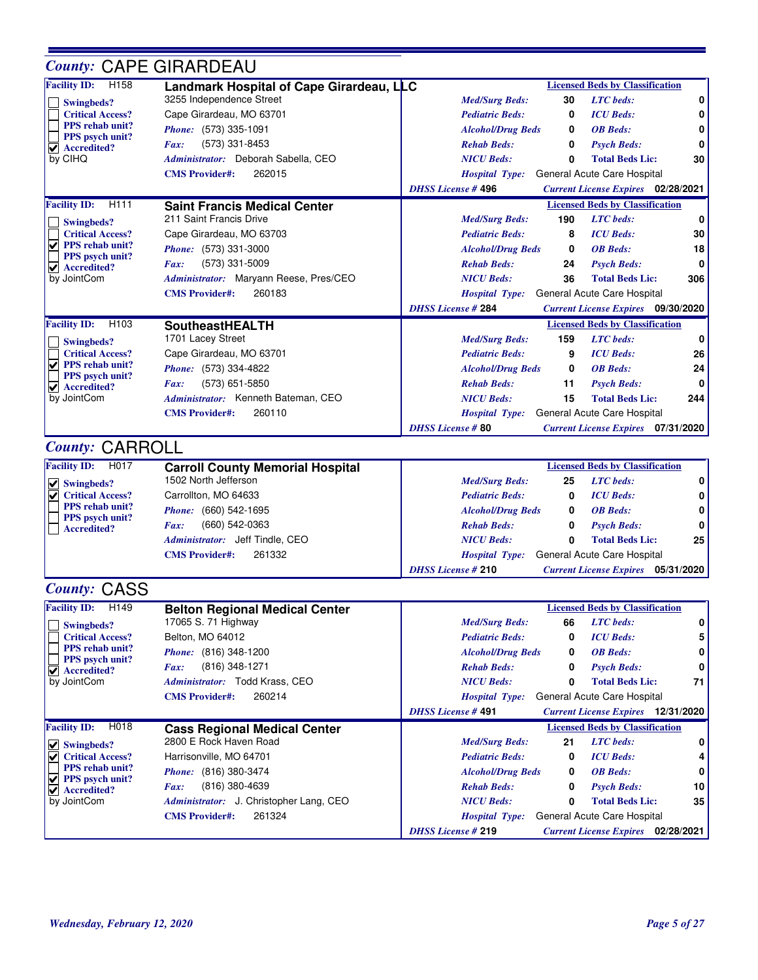## *County:* CAPE GIRARDEAU

| H <sub>158</sub><br><b>Facility ID:</b>    | Landmark Hospital of Cape Girardeau, LLC      | <b>Licensed Beds by Classification</b>                                |     |
|--------------------------------------------|-----------------------------------------------|-----------------------------------------------------------------------|-----|
| <b>Swingbeds?</b>                          | 3255 Independence Street                      | 30<br><b>LTC</b> beds:<br><b>Med/Surg Beds:</b>                       | 0   |
| <b>Critical Access?</b>                    | Cape Girardeau, MO 63701                      | <b>Pediatric Beds:</b><br><b>ICU</b> Beds:<br>0                       | 0   |
| PPS rehab unit?                            | Phone: (573) 335-1091                         | <b>OB</b> Beds:<br><b>Alcohol/Drug Beds</b><br>0                      | 0   |
| PPS psych unit?<br>$ $ Accredited?         | (573) 331-8453<br>Fax:                        | <b>Rehab Beds:</b><br><b>Psych Beds:</b><br>0                         | 0   |
| by CIHQ                                    | Administrator: Deborah Sabella, CEO           | <b>Total Beds Lic:</b><br><b>NICU Beds:</b><br>O                      | 30  |
|                                            | 262015<br><b>CMS</b> Provider#:               | General Acute Care Hospital<br><b>Hospital Type:</b>                  |     |
|                                            |                                               | <b>DHSS License #496</b><br><b>Current License Expires</b> 02/28/2021 |     |
| <b>Facility ID:</b><br>H <sub>111</sub>    | <b>Saint Francis Medical Center</b>           | <b>Licensed Beds by Classification</b>                                |     |
| <b>Swingbeds?</b>                          | 211 Saint Francis Drive                       | <b>LTC</b> beds:<br>190<br><b>Med/Surg Beds:</b>                      | n   |
| <b>Critical Access?</b>                    | Cape Girardeau, MO 63703                      | <b>Pediatric Beds:</b><br><b>ICU</b> Beds:<br>8                       | 30  |
| PPS rehab unit?<br>V                       | Phone: (573) 331-3000                         | <b>OB</b> Beds:<br><b>Alcohol/Drug Beds</b><br>0                      | 18  |
| PPS psych unit?<br>$  \vee  $ Accredited?  | (573) 331-5009<br>Fax:                        | <b>Rehab Beds:</b><br>24<br><b>Psych Beds:</b>                        | 0   |
| by JointCom                                | Administrator: Maryann Reese, Pres/CEO        | <b>NICU Beds:</b><br><b>Total Beds Lic:</b><br>36                     | 306 |
|                                            | <b>CMS</b> Provider#:<br>260183               | General Acute Care Hospital<br><b>Hospital Type:</b>                  |     |
|                                            |                                               | <b>DHSS License #284</b><br><b>Current License Expires</b> 09/30/2020 |     |
| <b>Facility ID:</b><br>H <sub>103</sub>    | <b>SoutheastHEALTH</b>                        | <b>Licensed Beds by Classification</b>                                |     |
| <b>Swingbeds?</b>                          | 1701 Lacey Street                             | <b>LTC</b> beds:<br>159<br><b>Med/Surg Beds:</b>                      | 0   |
| <b>Critical Access?</b>                    | Cape Girardeau, MO 63701                      | <b>Pediatric Beds:</b><br><b>ICU</b> Beds:<br>9                       | 26  |
| <b>PPS</b> rehab unit?                     | <i>Phone:</i> (573) 334-4822                  | <b>OB</b> Beds:<br><b>Alcohol/Drug Beds</b><br>0                      | 24  |
| PPS psych unit?<br>V<br><b>Accredited?</b> | (573) 651-5850<br>Fax:                        | <b>Rehab Beds:</b><br><b>Psych Beds:</b><br>11                        | 0   |
| by JointCom                                | Administrator: Kenneth Bateman, CEO           | <b>NICU Beds:</b><br>15<br><b>Total Beds Lic:</b>                     | 244 |
|                                            | <b>CMS</b> Provider#:<br>260110               | General Acute Care Hospital<br><b>Hospital Type:</b>                  |     |
|                                            |                                               | <b>DHSS License #80</b><br><b>Current License Expires</b> 07/31/2020  |     |
| <b>County: CARROLL</b>                     |                                               |                                                                       |     |
| H <sub>0</sub> 17<br><b>Facility ID:</b>   | <b>Carroll County Memorial Hospital</b>       | <b>Licensed Beds by Classification</b>                                |     |
|                                            | $1.500 \text{ N}$ $\omega$ k $1.44 \text{ m}$ | T/TT<br>$1.6 - 1.02$                                                  |     |

| гасшлу 110.<br>.                      | Carroll County Memorial Hospital |                          |    | Littlistu Dtus Dy Classification           |              |
|---------------------------------------|----------------------------------|--------------------------|----|--------------------------------------------|--------------|
| $\vee$ Swingbeds?                     | 1502 North Jefferson             | <b>Med/Surg Beds:</b>    | 25 | <b>LTC</b> beds:                           | 0            |
| $\triangledown$ Critical Access?      | Carrollton, MO 64633             | <b>Pediatric Beds:</b>   |    | <b>ICU</b> Beds:                           | 0            |
| <b>PPS</b> rehab unit?                | <i>Phone:</i> (660) 542-1695     | <b>Alcohol/Drug Beds</b> |    | <b>OB</b> Beds:                            | 0            |
| <b>PPS</b> psych unit?<br>Accredited? | (660) 542-0363<br><i>Fax:</i>    | <b>Rehab Beds:</b>       | 0  | <b>Psych Beds:</b>                         | $\mathbf{0}$ |
|                                       | Administrator: Jeff Tindle, CEO  | <b>NICU Beds:</b>        | n  | <b>Total Beds Lic:</b>                     | 25           |
|                                       | <b>CMS Provider#:</b><br>261332  |                          |    | Hospital Type: General Acute Care Hospital |              |
|                                       |                                  | <b>DHSS License #210</b> |    | <b>Current License Expires</b>             | 05/31/2020   |

## *County:* CASS

| <b>Facility ID:</b><br>H <sub>149</sub>                             | <b>Belton Regional Medical Center</b>   |                          |    | <b>Licensed Beds by Classification</b>    |    |
|---------------------------------------------------------------------|-----------------------------------------|--------------------------|----|-------------------------------------------|----|
| Swingbeds?                                                          | 17065 S. 71 Highway                     | <b>Med/Surg Beds:</b>    | 66 | <b>LTC</b> beds:                          | 0  |
| <b>Critical Access?</b>                                             | Belton, MO 64012                        | <b>Pediatric Beds:</b>   | 0  | <b>ICU</b> Beds:                          | 5  |
| <b>PPS</b> rehab unit?                                              | <i>Phone:</i> (816) 348-1200            | <b>Alcohol/Drug Beds</b> | 0  | <b>OB</b> Beds:                           | 0  |
| <b>PPS</b> psych unit?<br>$\overrightarrow{V}$ Accredited?          | (816) 348-1271<br><i>Fax:</i>           | <b>Rehab Beds:</b>       | 0  | <b>Psych Beds:</b>                        | 0  |
| by JointCom                                                         | Administrator: Todd Krass, CEO          | <b>NICU Beds:</b>        | 0  | <b>Total Beds Lic:</b>                    | 71 |
|                                                                     | 260214<br><b>CMS Provider#:</b>         | <b>Hospital Type:</b>    |    | General Acute Care Hospital               |    |
|                                                                     |                                         | <b>DHSS License #491</b> |    | <b>Current License Expires</b> 12/31/2020 |    |
|                                                                     |                                         |                          |    |                                           |    |
| H018                                                                | <b>Cass Regional Medical Center</b>     |                          |    | <b>Licensed Beds by Classification</b>    |    |
| <b>Facility ID:</b>                                                 | 2800 E Rock Haven Road                  | <b>Med/Surg Beds:</b>    | 21 | <b>LTC</b> beds:                          | 0  |
| $\vert \mathbf{v} \vert$ Swingbeds?<br>M<br><b>Critical Access?</b> | Harrisonville, MO 64701                 | <b>Pediatric Beds:</b>   | 0  | <b>ICU</b> Beds:                          | 4  |
| <b>PPS</b> rehab unit?                                              | Phone: (816) 380-3474                   | <b>Alcohol/Drug Beds</b> | 0  | <b>OB</b> Beds:                           | 0  |
| $\overrightarrow{V}$ PPS psych unit?                                | (816) 380-4639<br><i>Fax:</i>           | <b>Rehab Beds:</b>       | 0  | <b>Psych Beds:</b>                        | 10 |
| $\vert \mathbf{v} \vert$ Accredited?<br>by JointCom                 | Administrator: J. Christopher Lang, CEO | <b>NICU Beds:</b>        | 0  | <b>Total Beds Lic:</b>                    | 35 |
|                                                                     | 261324<br><b>CMS Provider#:</b>         | <b>Hospital Type:</b>    |    | General Acute Care Hospital               |    |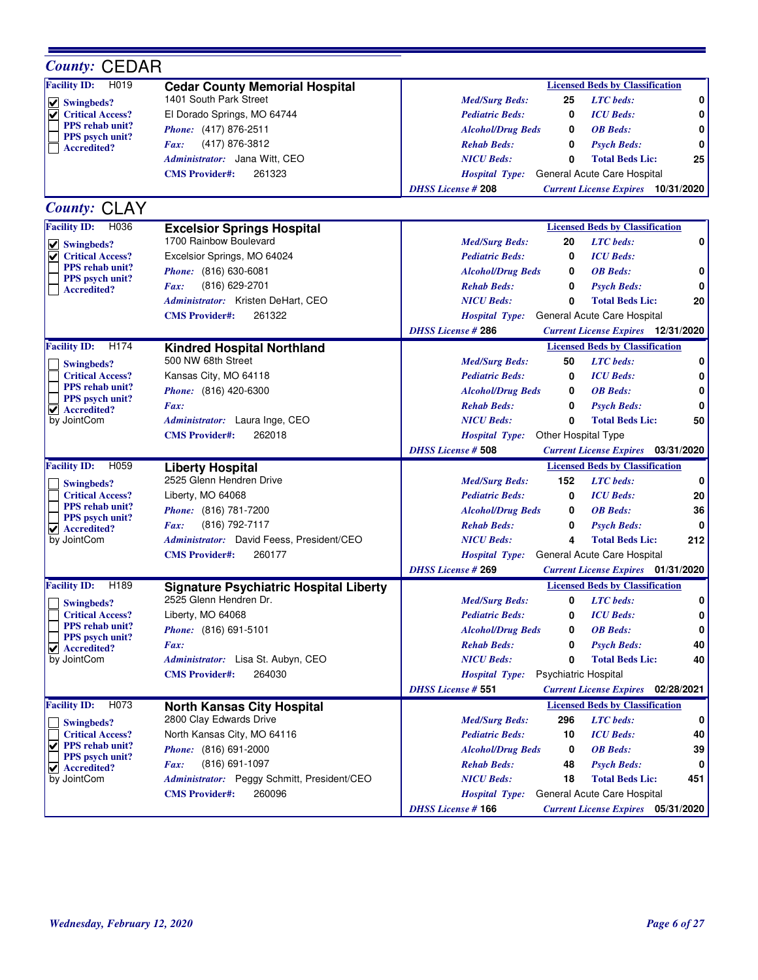| <b>County: CEDAR</b>                                 |                                                     |                                                                                                                                    |
|------------------------------------------------------|-----------------------------------------------------|------------------------------------------------------------------------------------------------------------------------------------|
| H019<br><b>Facility ID:</b>                          | <b>Cedar County Memorial Hospital</b>               | <b>Licensed Beds by Classification</b>                                                                                             |
| $\vee$ Swingbeds?                                    | 1401 South Park Street                              | 0<br><b>LTC</b> beds:<br><b>Med/Surg Beds:</b><br>25                                                                               |
| <b>Critical Access?</b>                              | El Dorado Springs, MO 64744                         | <b>ICU</b> Beds:<br><b>Pediatric Beds:</b><br>0<br>0                                                                               |
| <b>PPS</b> rehab unit?                               | Phone: (417) 876-2511                               | <b>OB</b> Beds:<br><b>Alcohol/Drug Beds</b><br>0<br>0                                                                              |
| PPS psych unit?<br><b>Accredited?</b>                | (417) 876-3812<br>Fax:                              | <b>Rehab Beds:</b><br>0<br><b>Psych Beds:</b><br>0                                                                                 |
|                                                      | Administrator: Jana Witt, CEO                       | <b>NICU Beds:</b><br><b>Total Beds Lic:</b><br>25<br>0                                                                             |
|                                                      | <b>CMS Provider#:</b><br>261323                     | General Acute Care Hospital<br><b>Hospital Type:</b>                                                                               |
|                                                      |                                                     | <b>DHSS License #208</b><br><b>Current License Expires</b> 10/31/2020                                                              |
| County: CLAY                                         |                                                     |                                                                                                                                    |
| <b>Facility ID:</b><br>H036                          | <b>Excelsior Springs Hospital</b>                   | <b>Licensed Beds by Classification</b>                                                                                             |
| $  \vee  $ Swingbeds?                                | 1700 Rainbow Boulevard                              | <b>LTC</b> beds:<br>0<br><b>Med/Surg Beds:</b><br>20                                                                               |
| <b>Critical Access?</b><br>✔                         | Excelsior Springs, MO 64024                         | <b>ICU</b> Beds:<br><b>Pediatric Beds:</b><br>0                                                                                    |
| <b>PPS</b> rehab unit?                               | Phone: (816) 630-6081                               | <b>OB</b> Beds:<br>0<br><b>Alcohol/Drug Beds</b><br>0                                                                              |
| PPS psych unit?<br><b>Accredited?</b>                | (816) 629-2701<br>Fax:                              | 0<br><b>Rehab Beds:</b><br>0<br><b>Psych Beds:</b>                                                                                 |
|                                                      | Administrator: Kristen DeHart, CEO                  | <b>NICU Beds:</b><br>0<br><b>Total Beds Lic:</b><br>20                                                                             |
|                                                      | 261322<br><b>CMS Provider#:</b>                     | General Acute Care Hospital<br><b>Hospital Type:</b>                                                                               |
|                                                      |                                                     | <b>DHSS License #286</b><br><b>Current License Expires</b> 12/31/2020                                                              |
| <b>Facility ID:</b><br>H <sub>174</sub>              | <b>Kindred Hospital Northland</b>                   | <b>Licensed Beds by Classification</b>                                                                                             |
|                                                      | 500 NW 68th Street                                  | <b>LTC</b> beds:<br>0<br><b>Med/Surg Beds:</b><br>50                                                                               |
| Swingbeds?<br><b>Critical Access?</b>                | Kansas City, MO 64118                               | <b>ICU</b> Beds:<br><b>Pediatric Beds:</b><br>0<br>0                                                                               |
| <b>PPS</b> rehab unit?                               | Phone: (816) 420-6300                               | <b>OB</b> Beds:<br>0<br><b>Alcohol/Drug Beds</b><br>0                                                                              |
| PPS psych unit?                                      | Fax:                                                | <b>Rehab Beds:</b><br>0<br>0<br><b>Psych Beds:</b>                                                                                 |
| $\blacktriangleright$ Accredited?<br>by JointCom     | Administrator: Laura Inge, CEO                      | $\bf{0}$<br><b>NICU Beds:</b><br><b>Total Beds Lic:</b><br>50                                                                      |
|                                                      | 262018<br><b>CMS Provider#:</b>                     | Other Hospital Type<br><b>Hospital Type:</b>                                                                                       |
|                                                      |                                                     | <b>DHSS License # 508</b><br><b>Current License Expires</b> 03/31/2020                                                             |
| <b>Facility ID:</b><br>H059                          |                                                     | <b>Licensed Beds by Classification</b>                                                                                             |
|                                                      | <b>Liberty Hospital</b><br>2525 Glenn Hendren Drive | 152<br><b>LTC</b> beds:<br>0                                                                                                       |
| Swingbeds?<br><b>Critical Access?</b>                | Liberty, MO 64068                                   | <b>Med/Surg Beds:</b><br>20<br><b>Pediatric Beds:</b><br>0<br><b>ICU</b> Beds:                                                     |
| <b>PPS</b> rehab unit?                               | Phone: (816) 781-7200                               | <b>OB</b> Beds:<br>36<br>0                                                                                                         |
| PPS psych unit?                                      | (816) 792-7117<br>Fax:                              | <b>Alcohol/Drug Beds</b><br><b>Rehab Beds:</b><br><b>Psych Beds:</b><br>0<br>0                                                     |
| $  \mathbf{v}  $ Accredited?                         |                                                     |                                                                                                                                    |
| by JointCom                                          | Administrator: David Feess, President/CEO<br>260177 | <b>NICU Beds:</b><br>4<br><b>Total Beds Lic:</b><br>212                                                                            |
|                                                      | <b>CMS</b> Provider#:                               | General Acute Care Hospital<br><b>Hospital Type:</b><br><b>DHSS License # 269</b>                                                  |
| <b>Facility ID:</b><br>H189                          | <b>Signature Psychiatric Hospital Liberty</b>       | <b>Current License Expires</b> 01/31/2020                                                                                          |
|                                                      |                                                     |                                                                                                                                    |
|                                                      |                                                     | <b>Licensed Beds by Classification</b>                                                                                             |
| Swingbeds?                                           | 2525 Glenn Hendren Dr.                              | <b>LTC</b> beds:<br>0<br><b>Med/Surg Beds:</b><br>0                                                                                |
| <b>Critical Access?</b><br>PPS rehab unit?           | Liberty, MO 64068                                   | <b>Pediatric Beds:</b><br><b>ICU Beds:</b><br>$\mathbf{0}$                                                                         |
| <b>PPS</b> psych unit?                               | Phone: (816) 691-5101                               | <b>Alcohol/Drug Beds</b><br><b>OB</b> Beds:<br>0<br>0                                                                              |
| $\vee$ Accredited?                                   | <i>Fax:</i>                                         | <b>Psych Beds:</b><br><b>Rehab Beds:</b><br>40<br>0                                                                                |
| by JointCom                                          | Administrator: Lisa St. Aubyn, CEO                  | <b>NICU Beds:</b><br>0<br><b>Total Beds Lic:</b><br>40                                                                             |
|                                                      | 264030<br><b>CMS</b> Provider#:                     | <b>Psychiatric Hospital</b><br><b>Hospital Type:</b>                                                                               |
|                                                      |                                                     | <b>DHSS License # 551</b><br><b>Current License Expires</b> 02/28/2021                                                             |
| H073<br><b>Facility ID:</b>                          | <b>North Kansas City Hospital</b>                   | <b>Licensed Beds by Classification</b>                                                                                             |
| Swingbeds?                                           | 2800 Clay Edwards Drive                             | <b>LTC</b> beds:<br>0<br>296<br><b>Med/Surg Beds:</b>                                                                              |
| <b>Critical Access?</b>                              | North Kansas City, MO 64116                         | <b>Pediatric Beds:</b><br><b>ICU</b> Beds:<br>10<br>40                                                                             |
| $\sqrt{ }$ PPS rehab unit?<br><b>PPS</b> psych unit? | Phone: (816) 691-2000                               | <b>OB</b> Beds:<br><b>Alcohol/Drug Beds</b><br>39<br>0                                                                             |
| $\blacktriangledown$ Accredited?                     | (816) 691-1097<br>Fax:                              | <b>Rehab Beds:</b><br><b>Psych Beds:</b><br>48<br>0                                                                                |
| by JointCom                                          | Administrator: Peggy Schmitt, President/CEO         | <b>NICU Beds:</b><br><b>Total Beds Lic:</b><br>18<br>451                                                                           |
|                                                      | <b>CMS Provider#:</b><br>260096                     | 0<br>General Acute Care Hospital<br><b>Hospital Type:</b><br><b>DHSS License #166</b><br><b>Current License Expires</b> 05/31/2020 |

÷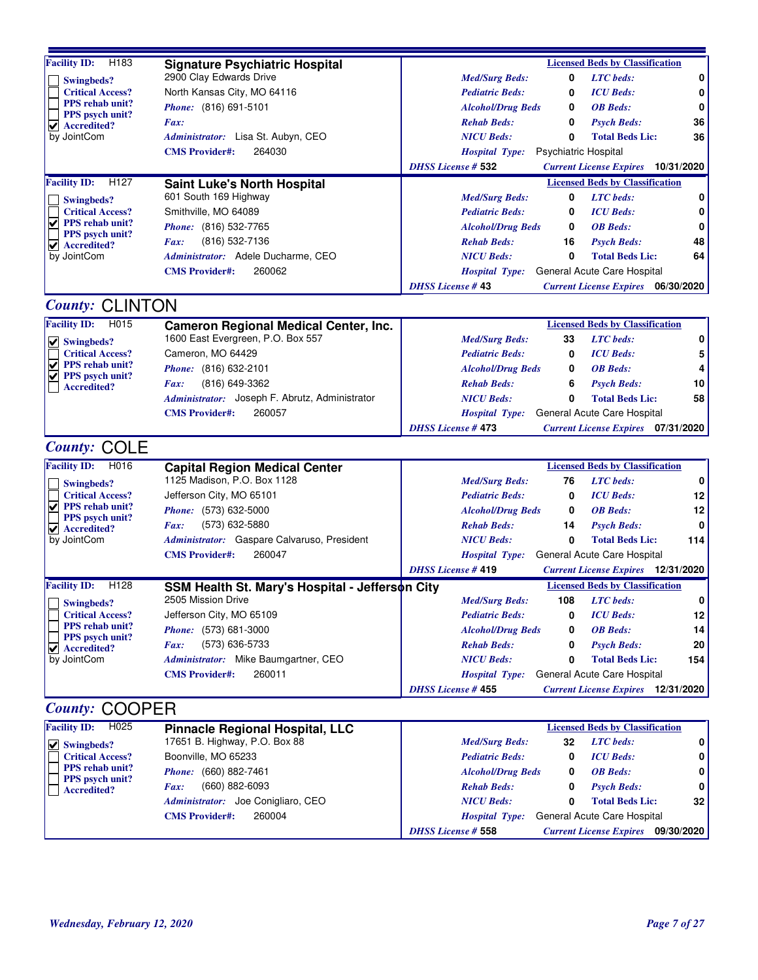| Facility ID: H183                                 | <b>Signature Psychiatric Hospital</b>           |                           |                             | <b>Licensed Beds by Classification</b>    |     |
|---------------------------------------------------|-------------------------------------------------|---------------------------|-----------------------------|-------------------------------------------|-----|
| Swingbeds?                                        | 2900 Clay Edwards Drive                         | <b>Med/Surg Beds:</b>     | 0                           | <b>LTC</b> beds:                          | 0   |
| <b>Critical Access?</b>                           | North Kansas City, MO 64116                     | <b>Pediatric Beds:</b>    | 0                           | <b>ICU</b> Beds:                          | 0   |
| <b>PPS</b> rehab unit?                            | Phone: (816) 691-5101                           | <b>Alcohol/Drug Beds</b>  | 0                           | <b>OB</b> Beds:                           | 0   |
| <b>PPS</b> psych unit?<br><b>Accredited?</b><br>✔ | Fax:                                            | <b>Rehab Beds:</b>        | 0                           | <b>Psych Beds:</b>                        | 36  |
| by JointCom                                       | Administrator: Lisa St. Aubyn, CEO              | <b>NICU Beds:</b>         | 0                           | <b>Total Beds Lic:</b>                    | 36  |
|                                                   | 264030<br><b>CMS Provider#:</b>                 | <b>Hospital Type:</b>     | <b>Psychiatric Hospital</b> |                                           |     |
|                                                   |                                                 | <b>DHSS License # 532</b> |                             | <b>Current License Expires</b> 10/31/2020 |     |
| <b>Facility ID:</b><br>H <sub>127</sub>           | <b>Saint Luke's North Hospital</b>              |                           |                             | <b>Licensed Beds by Classification</b>    |     |
| Swingbeds?                                        | 601 South 169 Highway                           | <b>Med/Surg Beds:</b>     | 0                           | <b>LTC</b> beds:                          | 0   |
| <b>Critical Access?</b>                           | Smithville, MO 64089                            | <b>Pediatric Beds:</b>    | 0                           | <b>ICU</b> Beds:                          | 0   |
| PPS rehab unit?<br>✔                              | Phone: (816) 532-7765                           | <b>Alcohol/Drug Beds</b>  | 0                           | <b>OB</b> Beds:                           | 0   |
| PPS psych unit?<br>$  \mathbf{v}  $ Accredited?   | (816) 532-7136<br>Fax:                          | <b>Rehab Beds:</b>        | 16                          | <b>Psych Beds:</b>                        | 48  |
| by JointCom                                       | Administrator: Adele Ducharme, CEO              | <b>NICU</b> Beds:         | 0                           | <b>Total Beds Lic:</b>                    | 64  |
|                                                   | 260062<br><b>CMS Provider#:</b>                 | <b>Hospital Type:</b>     |                             | General Acute Care Hospital               |     |
|                                                   |                                                 | <b>DHSS License #43</b>   |                             | <b>Current License Expires</b> 06/30/2020 |     |
| <b>County: CLINTON</b>                            |                                                 |                           |                             |                                           |     |
| <b>Facility ID:</b><br>H015                       | <b>Cameron Regional Medical Center, Inc.</b>    |                           |                             | <b>Licensed Beds by Classification</b>    |     |
| $  \vee  $ Swingbeds?                             | 1600 East Evergreen, P.O. Box 557               | <b>Med/Surg Beds:</b>     | 33                          | <b>LTC</b> beds:                          | 0   |
| <b>Critical Access?</b>                           | Cameron, MO 64429                               | <b>Pediatric Beds:</b>    | 0                           | <b>ICU</b> Beds:                          | 5   |
| ✔<br><b>PPS</b> rehab unit?                       | Phone: (816) 632-2101                           | <b>Alcohol/Drug Beds</b>  | 0                           | <b>OB</b> Beds:                           | 4   |
| PPS psych unit?<br><b>Accredited?</b>             | (816) 649-3362<br>Fax:                          | <b>Rehab Beds:</b>        | 6                           | <b>Psych Beds:</b>                        | 10  |
|                                                   | Administrator: Joseph F. Abrutz, Administrator  | <b>NICU</b> Beds:         | 0                           | <b>Total Beds Lic:</b>                    | 58  |
|                                                   | 260057<br><b>CMS</b> Provider#:                 | <b>Hospital Type:</b>     |                             | General Acute Care Hospital               |     |
|                                                   |                                                 | <b>DHSS License #473</b>  |                             | <b>Current License Expires</b> 07/31/2020 |     |
| <b>County: COLE</b>                               |                                                 |                           |                             |                                           |     |
| <b>Facility ID:</b><br>H016                       | <b>Capital Region Medical Center</b>            |                           |                             | <b>Licensed Beds by Classification</b>    |     |
| Swingbeds?                                        | 1125 Madison, P.O. Box 1128                     | <b>Med/Surg Beds:</b>     | 76                          | <b>LTC</b> beds:                          | 0   |
| <b>Critical Access?</b>                           | Jefferson City, MO 65101                        | <b>Pediatric Beds:</b>    | 0                           | <b>ICU</b> Beds:                          | 12  |
| PPS rehab unit?                                   | Phone: (573) 632-5000                           | <b>Alcohol/Drug Beds</b>  | 0                           | <b>OB</b> Beds:                           | 12  |
| <b>PPS</b> psych unit?<br>$\vee$ Accredited?      | (573) 632-5880<br>Fax:                          | <b>Rehab Beds:</b>        | 14                          | <b>Psych Beds:</b>                        | 0   |
| by JointCom                                       | Administrator: Gaspare Calvaruso, President     | <b>NICU</b> Beds:         | 0                           | <b>Total Beds Lic:</b>                    | 114 |
|                                                   | <b>CMS Provider#:</b><br>260047                 | <b>Hospital Type:</b>     |                             | General Acute Care Hospital               |     |
|                                                   |                                                 | <b>DHSS License #419</b>  |                             | <b>Current License Expires</b> 12/31/2020 |     |
| <b>Facility ID:</b><br>H128                       | SSM Health St. Mary's Hospital - Jefferson City |                           |                             | <b>Licensed Beds by Classification</b>    |     |
| <b>Swingbeds?</b>                                 | 2505 Mission Drive                              | <b>Med/Surg Beds:</b>     | 108                         | <b>LTC</b> beds:                          | 0   |
| <b>Critical Access?</b>                           | Jefferson City, MO 65109                        | <b>Pediatric Beds:</b>    | 0                           | <b>ICU</b> Beds:                          | 12  |
| <b>PPS</b> rehab unit?                            | Phone: (573) 681-3000                           | <b>Alcohol/Drug Beds</b>  | 0                           | <b>OB</b> Beds:                           | 14  |
| PPS psych unit?<br>$\vee$ Accredited?             | (573) 636-5733<br><i>Fax:</i>                   | <b>Rehab Beds:</b>        | 0                           | <b>Psych Beds:</b>                        | 20  |
| by JointCom                                       | Administrator: Mike Baumgartner, CEO            | <b>NICU Beds:</b>         | 0                           | <b>Total Beds Lic:</b>                    | 154 |
|                                                   | 260011<br><b>CMS Provider#:</b>                 | <b>Hospital Type:</b>     |                             | General Acute Care Hospital               |     |
|                                                   |                                                 | <b>DHSS License #455</b>  |                             | <b>Current License Expires</b> 12/31/2020 |     |
| <b>County: COOPER</b>                             |                                                 |                           |                             |                                           |     |
|                                                   |                                                 |                           |                             |                                           |     |

| <b>Facility ID:</b><br>H025             | <b>Pinnacle Regional Hospital, LLC</b> |                           |    | <b>Licensed Beds by Classification</b> |                 |
|-----------------------------------------|----------------------------------------|---------------------------|----|----------------------------------------|-----------------|
| $ \nabla $ Swingbeds?                   | 17651 B. Highway, P.O. Box 88          | <b>Med/Surg Beds:</b>     | 32 | <b>LTC</b> beds:                       | 0 I             |
| <b>Critical Access?</b>                 | Boonville, MO 65233                    | <b>Pediatric Beds:</b>    |    | <b>ICU</b> Beds:                       | 0 I             |
| <b>PPS</b> rehab unit?                  | <i>Phone:</i> (660) 882-7461           | <b>Alcohol/Drug Beds</b>  | 0  | <b>OB</b> Beds:                        | 0 I             |
| <b>PPS</b> psych unit?<br>  Accredited? | (660) 882-6093<br>Fax:                 | <b>Rehab Beds:</b>        | 0  | <b>Psych Beds:</b>                     | 0 I             |
|                                         | Administrator: Joe Conigliaro, CEO     | <b>NICU Beds:</b>         | 0  | <b>Total Beds Lic:</b>                 | 32 <sub>1</sub> |
|                                         | 260004<br><b>CMS Provider#:</b>        | <b>Hospital Type:</b>     |    | General Acute Care Hospital            |                 |
|                                         |                                        | <b>DHSS License # 558</b> |    | <b>Current License Expires</b>         | 09/30/2020 I    |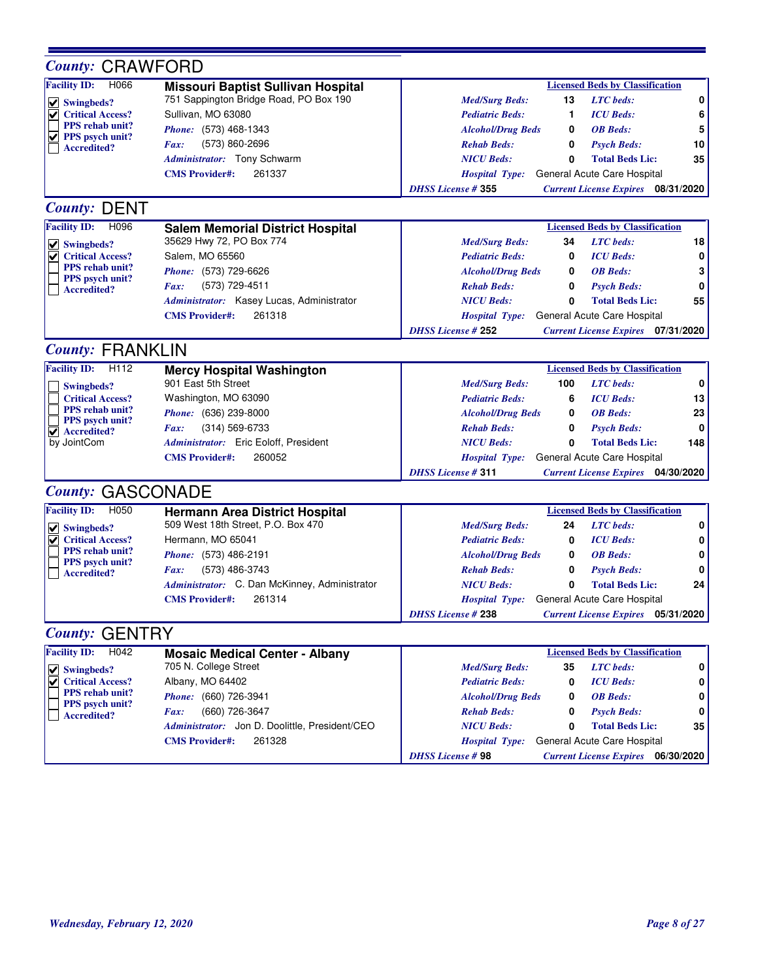| <b>Facility ID:</b><br>H066<br><b>Licensed Beds by Classification</b><br><b>Missouri Baptist Sullivan Hospital</b><br>751 Sappington Bridge Road, PO Box 190<br>0<br><b>LTC</b> beds:<br><b>Med/Surg Beds:</b><br>13<br>$\nabla$ Swingbeds?<br><b>Critical Access?</b><br>Sullivan, MO 63080<br>6<br><b>Pediatric Beds:</b><br><b>ICU</b> Beds:<br>1<br><b>PPS</b> rehab unit?<br>5<br>Phone: (573) 468-1343<br><b>Alcohol/Drug Beds</b><br><b>OB</b> Beds:<br>0<br><b>PPS</b> psych unit?<br>(573) 860-2696<br>10<br><b>Rehab Beds:</b><br>0<br><b>Psych Beds:</b><br>Fax:<br><b>Accredited?</b><br>35<br>Administrator: Tony Schwarm<br><b>NICU Beds:</b><br>0<br><b>Total Beds Lic:</b><br><b>CMS Provider#:</b><br>261337<br>General Acute Care Hospital<br><b>Hospital Type:</b><br><b>DHSS License #355</b><br><b>Current License Expires</b> 08/31/2020<br><b>County: DENT</b><br><b>Facility ID:</b><br>H096<br><b>Licensed Beds by Classification</b><br><b>Salem Memorial District Hospital</b><br>35629 Hwy 72, PO Box 774<br>34<br><b>LTC</b> beds:<br>18<br><b>Med/Surg Beds:</b><br>$\vee$ Swingbeds?<br>Salem, MO 65560<br><b>Critical Access?</b><br><b>ICU</b> Beds:<br>0<br><b>Pediatric Beds:</b><br>0<br><b>PPS</b> rehab unit?<br>3<br>Phone: (573) 729-6626<br><b>OB</b> Beds:<br><b>Alcohol/Drug Beds</b><br>0<br>PPS psych unit?<br>0<br>(573) 729-4511<br><b>Psych Beds:</b><br><b>Rehab Beds:</b><br>0<br>Fax:<br><b>Accredited?</b><br>55<br>Administrator: Kasey Lucas, Administrator<br><b>NICU Beds:</b><br>0<br><b>Total Beds Lic:</b><br>261318<br>General Acute Care Hospital<br><b>CMS Provider#:</b><br><b>Hospital Type:</b><br><b>DHSS License #252</b><br><b>Current License Expires</b> 07/31/2020<br><b>County: FRANKLIN</b><br><b>Facility ID:</b><br>H112<br><b>Licensed Beds by Classification</b><br><b>Mercy Hospital Washington</b><br>901 East 5th Street<br>$\mathbf 0$<br><b>LTC</b> beds:<br><b>Med/Surg Beds:</b><br>100<br><b>Swingbeds?</b><br>Washington, MO 63090<br>13<br><b>Critical Access?</b><br><b>Pediatric Beds:</b><br>6<br><b>ICU</b> Beds:<br><b>PPS</b> rehab unit?<br>23<br>Phone: (636) 239-8000<br><b>OB</b> Beds:<br><b>Alcohol/Drug Beds</b><br>0<br><b>PPS</b> psych unit?<br>$(314) 569 - 6733$<br>0<br><b>Rehab Beds:</b><br>0<br><b>Psych Beds:</b><br>Fax:<br>$\blacktriangleright$ Accredited?<br>Administrator: Eric Eoloff, President<br>by JointCom<br><b>Total Beds Lic:</b><br>148<br><b>NICU Beds:</b><br>0<br>260052<br>General Acute Care Hospital<br><b>CMS Provider#:</b><br><b>Hospital Type:</b><br><b>DHSS License #311</b><br><b>Current License Expires</b> 04/30/2020<br><b>County: GASCONADE</b><br><b>Facility ID:</b><br>H050<br><b>Licensed Beds by Classification</b><br><b>Hermann Area District Hospital</b><br>509 West 18th Street, P.O. Box 470<br><b>LTC</b> beds:<br><b>Med/Surg Beds:</b><br>0<br>24<br>$\vee$ Swingbeds?<br><b>Critical Access?</b><br>Hermann, MO 65041<br><b>ICU</b> Beds:<br>V<br><b>Pediatric Beds:</b><br>0<br>0<br><b>PPS</b> rehab unit?<br>Phone: (573) 486-2191<br><b>OB</b> Beds:<br>0<br><b>Alcohol/Drug Beds</b><br>0<br>PPS psych unit?<br>(573) 486-3743<br><b>Rehab Beds:</b><br>0<br><b>Psych Beds:</b><br>0<br>Fax:<br><b>Accredited?</b><br>Administrator: C. Dan McKinney, Administrator<br><b>Total Beds Lic:</b><br>24<br><b>NICU Beds:</b><br>0<br>261314<br>Hospital Type: General Acute Care Hospital<br><b>CMS Provider#:</b><br><b>DHSS License #238</b><br><b>Current License Expires</b><br>05/31/2020<br><b>County: GENTRY</b><br><b>Facility ID:</b><br>H042<br><b>Licensed Beds by Classification</b><br><b>Mosaic Medical Center - Albany</b><br>705 N. College Street<br>35<br><b>LTC</b> beds:<br>0<br><b>Med/Surg Beds:</b><br>$\vee$ Swingbeds?<br>Albany, MO 64402<br><b>Critical Access?</b><br><b>ICU</b> Beds:<br>0<br><b>Pediatric Beds:</b><br>0<br>✔<br>PPS rehab unit?<br>Phone: (660) 726-3941<br><b>OB</b> Beds:<br>0<br><b>Alcohol/Drug Beds</b><br>0<br>PPS psych unit?<br>(660) 726-3647<br><b>Psych Beds:</b><br>0<br>Fax:<br><b>Rehab Beds:</b><br>0<br><b>Accredited?</b><br>Administrator: Jon D. Doolittle, President/CEO<br><b>NICU Beds:</b><br><b>Total Beds Lic:</b><br>35<br>0<br><b>CMS Provider#:</b><br>261328<br>General Acute Care Hospital<br><b>Hospital Type:</b><br><b>DHSS License #98</b><br><b>Current License Expires</b> 06/30/2020 | <b>County: CRAWFORD</b> |  |  |  |
|------------------------------------------------------------------------------------------------------------------------------------------------------------------------------------------------------------------------------------------------------------------------------------------------------------------------------------------------------------------------------------------------------------------------------------------------------------------------------------------------------------------------------------------------------------------------------------------------------------------------------------------------------------------------------------------------------------------------------------------------------------------------------------------------------------------------------------------------------------------------------------------------------------------------------------------------------------------------------------------------------------------------------------------------------------------------------------------------------------------------------------------------------------------------------------------------------------------------------------------------------------------------------------------------------------------------------------------------------------------------------------------------------------------------------------------------------------------------------------------------------------------------------------------------------------------------------------------------------------------------------------------------------------------------------------------------------------------------------------------------------------------------------------------------------------------------------------------------------------------------------------------------------------------------------------------------------------------------------------------------------------------------------------------------------------------------------------------------------------------------------------------------------------------------------------------------------------------------------------------------------------------------------------------------------------------------------------------------------------------------------------------------------------------------------------------------------------------------------------------------------------------------------------------------------------------------------------------------------------------------------------------------------------------------------------------------------------------------------------------------------------------------------------------------------------------------------------------------------------------------------------------------------------------------------------------------------------------------------------------------------------------------------------------------------------------------------------------------------------------------------------------------------------------------------------------------------------------------------------------------------------------------------------------------------------------------------------------------------------------------------------------------------------------------------------------------------------------------------------------------------------------------------------------------------------------------------------------------------------------------------------------------------------------------------------------------------------------------------------------------------------------------------------------------------------------------------------------------------------------------------------------------------------------------------------------------------------------------------------------------------------------------------------------------------------------------------------------------------------------------------------------------------------------------------------------------------------------------------------------------------------------------------------------------------------------------------------------------------------------------------------------------------------------------------------------|-------------------------|--|--|--|
|                                                                                                                                                                                                                                                                                                                                                                                                                                                                                                                                                                                                                                                                                                                                                                                                                                                                                                                                                                                                                                                                                                                                                                                                                                                                                                                                                                                                                                                                                                                                                                                                                                                                                                                                                                                                                                                                                                                                                                                                                                                                                                                                                                                                                                                                                                                                                                                                                                                                                                                                                                                                                                                                                                                                                                                                                                                                                                                                                                                                                                                                                                                                                                                                                                                                                                                                                                                                                                                                                                                                                                                                                                                                                                                                                                                                                                                                                                                                                                                                                                                                                                                                                                                                                                                                                                                                                                                                                                          |                         |  |  |  |
|                                                                                                                                                                                                                                                                                                                                                                                                                                                                                                                                                                                                                                                                                                                                                                                                                                                                                                                                                                                                                                                                                                                                                                                                                                                                                                                                                                                                                                                                                                                                                                                                                                                                                                                                                                                                                                                                                                                                                                                                                                                                                                                                                                                                                                                                                                                                                                                                                                                                                                                                                                                                                                                                                                                                                                                                                                                                                                                                                                                                                                                                                                                                                                                                                                                                                                                                                                                                                                                                                                                                                                                                                                                                                                                                                                                                                                                                                                                                                                                                                                                                                                                                                                                                                                                                                                                                                                                                                                          |                         |  |  |  |
|                                                                                                                                                                                                                                                                                                                                                                                                                                                                                                                                                                                                                                                                                                                                                                                                                                                                                                                                                                                                                                                                                                                                                                                                                                                                                                                                                                                                                                                                                                                                                                                                                                                                                                                                                                                                                                                                                                                                                                                                                                                                                                                                                                                                                                                                                                                                                                                                                                                                                                                                                                                                                                                                                                                                                                                                                                                                                                                                                                                                                                                                                                                                                                                                                                                                                                                                                                                                                                                                                                                                                                                                                                                                                                                                                                                                                                                                                                                                                                                                                                                                                                                                                                                                                                                                                                                                                                                                                                          |                         |  |  |  |
|                                                                                                                                                                                                                                                                                                                                                                                                                                                                                                                                                                                                                                                                                                                                                                                                                                                                                                                                                                                                                                                                                                                                                                                                                                                                                                                                                                                                                                                                                                                                                                                                                                                                                                                                                                                                                                                                                                                                                                                                                                                                                                                                                                                                                                                                                                                                                                                                                                                                                                                                                                                                                                                                                                                                                                                                                                                                                                                                                                                                                                                                                                                                                                                                                                                                                                                                                                                                                                                                                                                                                                                                                                                                                                                                                                                                                                                                                                                                                                                                                                                                                                                                                                                                                                                                                                                                                                                                                                          |                         |  |  |  |
|                                                                                                                                                                                                                                                                                                                                                                                                                                                                                                                                                                                                                                                                                                                                                                                                                                                                                                                                                                                                                                                                                                                                                                                                                                                                                                                                                                                                                                                                                                                                                                                                                                                                                                                                                                                                                                                                                                                                                                                                                                                                                                                                                                                                                                                                                                                                                                                                                                                                                                                                                                                                                                                                                                                                                                                                                                                                                                                                                                                                                                                                                                                                                                                                                                                                                                                                                                                                                                                                                                                                                                                                                                                                                                                                                                                                                                                                                                                                                                                                                                                                                                                                                                                                                                                                                                                                                                                                                                          |                         |  |  |  |
|                                                                                                                                                                                                                                                                                                                                                                                                                                                                                                                                                                                                                                                                                                                                                                                                                                                                                                                                                                                                                                                                                                                                                                                                                                                                                                                                                                                                                                                                                                                                                                                                                                                                                                                                                                                                                                                                                                                                                                                                                                                                                                                                                                                                                                                                                                                                                                                                                                                                                                                                                                                                                                                                                                                                                                                                                                                                                                                                                                                                                                                                                                                                                                                                                                                                                                                                                                                                                                                                                                                                                                                                                                                                                                                                                                                                                                                                                                                                                                                                                                                                                                                                                                                                                                                                                                                                                                                                                                          |                         |  |  |  |
|                                                                                                                                                                                                                                                                                                                                                                                                                                                                                                                                                                                                                                                                                                                                                                                                                                                                                                                                                                                                                                                                                                                                                                                                                                                                                                                                                                                                                                                                                                                                                                                                                                                                                                                                                                                                                                                                                                                                                                                                                                                                                                                                                                                                                                                                                                                                                                                                                                                                                                                                                                                                                                                                                                                                                                                                                                                                                                                                                                                                                                                                                                                                                                                                                                                                                                                                                                                                                                                                                                                                                                                                                                                                                                                                                                                                                                                                                                                                                                                                                                                                                                                                                                                                                                                                                                                                                                                                                                          |                         |  |  |  |
|                                                                                                                                                                                                                                                                                                                                                                                                                                                                                                                                                                                                                                                                                                                                                                                                                                                                                                                                                                                                                                                                                                                                                                                                                                                                                                                                                                                                                                                                                                                                                                                                                                                                                                                                                                                                                                                                                                                                                                                                                                                                                                                                                                                                                                                                                                                                                                                                                                                                                                                                                                                                                                                                                                                                                                                                                                                                                                                                                                                                                                                                                                                                                                                                                                                                                                                                                                                                                                                                                                                                                                                                                                                                                                                                                                                                                                                                                                                                                                                                                                                                                                                                                                                                                                                                                                                                                                                                                                          |                         |  |  |  |
|                                                                                                                                                                                                                                                                                                                                                                                                                                                                                                                                                                                                                                                                                                                                                                                                                                                                                                                                                                                                                                                                                                                                                                                                                                                                                                                                                                                                                                                                                                                                                                                                                                                                                                                                                                                                                                                                                                                                                                                                                                                                                                                                                                                                                                                                                                                                                                                                                                                                                                                                                                                                                                                                                                                                                                                                                                                                                                                                                                                                                                                                                                                                                                                                                                                                                                                                                                                                                                                                                                                                                                                                                                                                                                                                                                                                                                                                                                                                                                                                                                                                                                                                                                                                                                                                                                                                                                                                                                          |                         |  |  |  |
|                                                                                                                                                                                                                                                                                                                                                                                                                                                                                                                                                                                                                                                                                                                                                                                                                                                                                                                                                                                                                                                                                                                                                                                                                                                                                                                                                                                                                                                                                                                                                                                                                                                                                                                                                                                                                                                                                                                                                                                                                                                                                                                                                                                                                                                                                                                                                                                                                                                                                                                                                                                                                                                                                                                                                                                                                                                                                                                                                                                                                                                                                                                                                                                                                                                                                                                                                                                                                                                                                                                                                                                                                                                                                                                                                                                                                                                                                                                                                                                                                                                                                                                                                                                                                                                                                                                                                                                                                                          |                         |  |  |  |
|                                                                                                                                                                                                                                                                                                                                                                                                                                                                                                                                                                                                                                                                                                                                                                                                                                                                                                                                                                                                                                                                                                                                                                                                                                                                                                                                                                                                                                                                                                                                                                                                                                                                                                                                                                                                                                                                                                                                                                                                                                                                                                                                                                                                                                                                                                                                                                                                                                                                                                                                                                                                                                                                                                                                                                                                                                                                                                                                                                                                                                                                                                                                                                                                                                                                                                                                                                                                                                                                                                                                                                                                                                                                                                                                                                                                                                                                                                                                                                                                                                                                                                                                                                                                                                                                                                                                                                                                                                          |                         |  |  |  |
|                                                                                                                                                                                                                                                                                                                                                                                                                                                                                                                                                                                                                                                                                                                                                                                                                                                                                                                                                                                                                                                                                                                                                                                                                                                                                                                                                                                                                                                                                                                                                                                                                                                                                                                                                                                                                                                                                                                                                                                                                                                                                                                                                                                                                                                                                                                                                                                                                                                                                                                                                                                                                                                                                                                                                                                                                                                                                                                                                                                                                                                                                                                                                                                                                                                                                                                                                                                                                                                                                                                                                                                                                                                                                                                                                                                                                                                                                                                                                                                                                                                                                                                                                                                                                                                                                                                                                                                                                                          |                         |  |  |  |
|                                                                                                                                                                                                                                                                                                                                                                                                                                                                                                                                                                                                                                                                                                                                                                                                                                                                                                                                                                                                                                                                                                                                                                                                                                                                                                                                                                                                                                                                                                                                                                                                                                                                                                                                                                                                                                                                                                                                                                                                                                                                                                                                                                                                                                                                                                                                                                                                                                                                                                                                                                                                                                                                                                                                                                                                                                                                                                                                                                                                                                                                                                                                                                                                                                                                                                                                                                                                                                                                                                                                                                                                                                                                                                                                                                                                                                                                                                                                                                                                                                                                                                                                                                                                                                                                                                                                                                                                                                          |                         |  |  |  |
|                                                                                                                                                                                                                                                                                                                                                                                                                                                                                                                                                                                                                                                                                                                                                                                                                                                                                                                                                                                                                                                                                                                                                                                                                                                                                                                                                                                                                                                                                                                                                                                                                                                                                                                                                                                                                                                                                                                                                                                                                                                                                                                                                                                                                                                                                                                                                                                                                                                                                                                                                                                                                                                                                                                                                                                                                                                                                                                                                                                                                                                                                                                                                                                                                                                                                                                                                                                                                                                                                                                                                                                                                                                                                                                                                                                                                                                                                                                                                                                                                                                                                                                                                                                                                                                                                                                                                                                                                                          |                         |  |  |  |
|                                                                                                                                                                                                                                                                                                                                                                                                                                                                                                                                                                                                                                                                                                                                                                                                                                                                                                                                                                                                                                                                                                                                                                                                                                                                                                                                                                                                                                                                                                                                                                                                                                                                                                                                                                                                                                                                                                                                                                                                                                                                                                                                                                                                                                                                                                                                                                                                                                                                                                                                                                                                                                                                                                                                                                                                                                                                                                                                                                                                                                                                                                                                                                                                                                                                                                                                                                                                                                                                                                                                                                                                                                                                                                                                                                                                                                                                                                                                                                                                                                                                                                                                                                                                                                                                                                                                                                                                                                          |                         |  |  |  |
|                                                                                                                                                                                                                                                                                                                                                                                                                                                                                                                                                                                                                                                                                                                                                                                                                                                                                                                                                                                                                                                                                                                                                                                                                                                                                                                                                                                                                                                                                                                                                                                                                                                                                                                                                                                                                                                                                                                                                                                                                                                                                                                                                                                                                                                                                                                                                                                                                                                                                                                                                                                                                                                                                                                                                                                                                                                                                                                                                                                                                                                                                                                                                                                                                                                                                                                                                                                                                                                                                                                                                                                                                                                                                                                                                                                                                                                                                                                                                                                                                                                                                                                                                                                                                                                                                                                                                                                                                                          |                         |  |  |  |
|                                                                                                                                                                                                                                                                                                                                                                                                                                                                                                                                                                                                                                                                                                                                                                                                                                                                                                                                                                                                                                                                                                                                                                                                                                                                                                                                                                                                                                                                                                                                                                                                                                                                                                                                                                                                                                                                                                                                                                                                                                                                                                                                                                                                                                                                                                                                                                                                                                                                                                                                                                                                                                                                                                                                                                                                                                                                                                                                                                                                                                                                                                                                                                                                                                                                                                                                                                                                                                                                                                                                                                                                                                                                                                                                                                                                                                                                                                                                                                                                                                                                                                                                                                                                                                                                                                                                                                                                                                          |                         |  |  |  |
|                                                                                                                                                                                                                                                                                                                                                                                                                                                                                                                                                                                                                                                                                                                                                                                                                                                                                                                                                                                                                                                                                                                                                                                                                                                                                                                                                                                                                                                                                                                                                                                                                                                                                                                                                                                                                                                                                                                                                                                                                                                                                                                                                                                                                                                                                                                                                                                                                                                                                                                                                                                                                                                                                                                                                                                                                                                                                                                                                                                                                                                                                                                                                                                                                                                                                                                                                                                                                                                                                                                                                                                                                                                                                                                                                                                                                                                                                                                                                                                                                                                                                                                                                                                                                                                                                                                                                                                                                                          |                         |  |  |  |
|                                                                                                                                                                                                                                                                                                                                                                                                                                                                                                                                                                                                                                                                                                                                                                                                                                                                                                                                                                                                                                                                                                                                                                                                                                                                                                                                                                                                                                                                                                                                                                                                                                                                                                                                                                                                                                                                                                                                                                                                                                                                                                                                                                                                                                                                                                                                                                                                                                                                                                                                                                                                                                                                                                                                                                                                                                                                                                                                                                                                                                                                                                                                                                                                                                                                                                                                                                                                                                                                                                                                                                                                                                                                                                                                                                                                                                                                                                                                                                                                                                                                                                                                                                                                                                                                                                                                                                                                                                          |                         |  |  |  |
|                                                                                                                                                                                                                                                                                                                                                                                                                                                                                                                                                                                                                                                                                                                                                                                                                                                                                                                                                                                                                                                                                                                                                                                                                                                                                                                                                                                                                                                                                                                                                                                                                                                                                                                                                                                                                                                                                                                                                                                                                                                                                                                                                                                                                                                                                                                                                                                                                                                                                                                                                                                                                                                                                                                                                                                                                                                                                                                                                                                                                                                                                                                                                                                                                                                                                                                                                                                                                                                                                                                                                                                                                                                                                                                                                                                                                                                                                                                                                                                                                                                                                                                                                                                                                                                                                                                                                                                                                                          |                         |  |  |  |
|                                                                                                                                                                                                                                                                                                                                                                                                                                                                                                                                                                                                                                                                                                                                                                                                                                                                                                                                                                                                                                                                                                                                                                                                                                                                                                                                                                                                                                                                                                                                                                                                                                                                                                                                                                                                                                                                                                                                                                                                                                                                                                                                                                                                                                                                                                                                                                                                                                                                                                                                                                                                                                                                                                                                                                                                                                                                                                                                                                                                                                                                                                                                                                                                                                                                                                                                                                                                                                                                                                                                                                                                                                                                                                                                                                                                                                                                                                                                                                                                                                                                                                                                                                                                                                                                                                                                                                                                                                          |                         |  |  |  |
|                                                                                                                                                                                                                                                                                                                                                                                                                                                                                                                                                                                                                                                                                                                                                                                                                                                                                                                                                                                                                                                                                                                                                                                                                                                                                                                                                                                                                                                                                                                                                                                                                                                                                                                                                                                                                                                                                                                                                                                                                                                                                                                                                                                                                                                                                                                                                                                                                                                                                                                                                                                                                                                                                                                                                                                                                                                                                                                                                                                                                                                                                                                                                                                                                                                                                                                                                                                                                                                                                                                                                                                                                                                                                                                                                                                                                                                                                                                                                                                                                                                                                                                                                                                                                                                                                                                                                                                                                                          |                         |  |  |  |
|                                                                                                                                                                                                                                                                                                                                                                                                                                                                                                                                                                                                                                                                                                                                                                                                                                                                                                                                                                                                                                                                                                                                                                                                                                                                                                                                                                                                                                                                                                                                                                                                                                                                                                                                                                                                                                                                                                                                                                                                                                                                                                                                                                                                                                                                                                                                                                                                                                                                                                                                                                                                                                                                                                                                                                                                                                                                                                                                                                                                                                                                                                                                                                                                                                                                                                                                                                                                                                                                                                                                                                                                                                                                                                                                                                                                                                                                                                                                                                                                                                                                                                                                                                                                                                                                                                                                                                                                                                          |                         |  |  |  |
|                                                                                                                                                                                                                                                                                                                                                                                                                                                                                                                                                                                                                                                                                                                                                                                                                                                                                                                                                                                                                                                                                                                                                                                                                                                                                                                                                                                                                                                                                                                                                                                                                                                                                                                                                                                                                                                                                                                                                                                                                                                                                                                                                                                                                                                                                                                                                                                                                                                                                                                                                                                                                                                                                                                                                                                                                                                                                                                                                                                                                                                                                                                                                                                                                                                                                                                                                                                                                                                                                                                                                                                                                                                                                                                                                                                                                                                                                                                                                                                                                                                                                                                                                                                                                                                                                                                                                                                                                                          |                         |  |  |  |
|                                                                                                                                                                                                                                                                                                                                                                                                                                                                                                                                                                                                                                                                                                                                                                                                                                                                                                                                                                                                                                                                                                                                                                                                                                                                                                                                                                                                                                                                                                                                                                                                                                                                                                                                                                                                                                                                                                                                                                                                                                                                                                                                                                                                                                                                                                                                                                                                                                                                                                                                                                                                                                                                                                                                                                                                                                                                                                                                                                                                                                                                                                                                                                                                                                                                                                                                                                                                                                                                                                                                                                                                                                                                                                                                                                                                                                                                                                                                                                                                                                                                                                                                                                                                                                                                                                                                                                                                                                          |                         |  |  |  |
|                                                                                                                                                                                                                                                                                                                                                                                                                                                                                                                                                                                                                                                                                                                                                                                                                                                                                                                                                                                                                                                                                                                                                                                                                                                                                                                                                                                                                                                                                                                                                                                                                                                                                                                                                                                                                                                                                                                                                                                                                                                                                                                                                                                                                                                                                                                                                                                                                                                                                                                                                                                                                                                                                                                                                                                                                                                                                                                                                                                                                                                                                                                                                                                                                                                                                                                                                                                                                                                                                                                                                                                                                                                                                                                                                                                                                                                                                                                                                                                                                                                                                                                                                                                                                                                                                                                                                                                                                                          |                         |  |  |  |
|                                                                                                                                                                                                                                                                                                                                                                                                                                                                                                                                                                                                                                                                                                                                                                                                                                                                                                                                                                                                                                                                                                                                                                                                                                                                                                                                                                                                                                                                                                                                                                                                                                                                                                                                                                                                                                                                                                                                                                                                                                                                                                                                                                                                                                                                                                                                                                                                                                                                                                                                                                                                                                                                                                                                                                                                                                                                                                                                                                                                                                                                                                                                                                                                                                                                                                                                                                                                                                                                                                                                                                                                                                                                                                                                                                                                                                                                                                                                                                                                                                                                                                                                                                                                                                                                                                                                                                                                                                          |                         |  |  |  |
|                                                                                                                                                                                                                                                                                                                                                                                                                                                                                                                                                                                                                                                                                                                                                                                                                                                                                                                                                                                                                                                                                                                                                                                                                                                                                                                                                                                                                                                                                                                                                                                                                                                                                                                                                                                                                                                                                                                                                                                                                                                                                                                                                                                                                                                                                                                                                                                                                                                                                                                                                                                                                                                                                                                                                                                                                                                                                                                                                                                                                                                                                                                                                                                                                                                                                                                                                                                                                                                                                                                                                                                                                                                                                                                                                                                                                                                                                                                                                                                                                                                                                                                                                                                                                                                                                                                                                                                                                                          |                         |  |  |  |
|                                                                                                                                                                                                                                                                                                                                                                                                                                                                                                                                                                                                                                                                                                                                                                                                                                                                                                                                                                                                                                                                                                                                                                                                                                                                                                                                                                                                                                                                                                                                                                                                                                                                                                                                                                                                                                                                                                                                                                                                                                                                                                                                                                                                                                                                                                                                                                                                                                                                                                                                                                                                                                                                                                                                                                                                                                                                                                                                                                                                                                                                                                                                                                                                                                                                                                                                                                                                                                                                                                                                                                                                                                                                                                                                                                                                                                                                                                                                                                                                                                                                                                                                                                                                                                                                                                                                                                                                                                          |                         |  |  |  |
|                                                                                                                                                                                                                                                                                                                                                                                                                                                                                                                                                                                                                                                                                                                                                                                                                                                                                                                                                                                                                                                                                                                                                                                                                                                                                                                                                                                                                                                                                                                                                                                                                                                                                                                                                                                                                                                                                                                                                                                                                                                                                                                                                                                                                                                                                                                                                                                                                                                                                                                                                                                                                                                                                                                                                                                                                                                                                                                                                                                                                                                                                                                                                                                                                                                                                                                                                                                                                                                                                                                                                                                                                                                                                                                                                                                                                                                                                                                                                                                                                                                                                                                                                                                                                                                                                                                                                                                                                                          |                         |  |  |  |
|                                                                                                                                                                                                                                                                                                                                                                                                                                                                                                                                                                                                                                                                                                                                                                                                                                                                                                                                                                                                                                                                                                                                                                                                                                                                                                                                                                                                                                                                                                                                                                                                                                                                                                                                                                                                                                                                                                                                                                                                                                                                                                                                                                                                                                                                                                                                                                                                                                                                                                                                                                                                                                                                                                                                                                                                                                                                                                                                                                                                                                                                                                                                                                                                                                                                                                                                                                                                                                                                                                                                                                                                                                                                                                                                                                                                                                                                                                                                                                                                                                                                                                                                                                                                                                                                                                                                                                                                                                          |                         |  |  |  |
|                                                                                                                                                                                                                                                                                                                                                                                                                                                                                                                                                                                                                                                                                                                                                                                                                                                                                                                                                                                                                                                                                                                                                                                                                                                                                                                                                                                                                                                                                                                                                                                                                                                                                                                                                                                                                                                                                                                                                                                                                                                                                                                                                                                                                                                                                                                                                                                                                                                                                                                                                                                                                                                                                                                                                                                                                                                                                                                                                                                                                                                                                                                                                                                                                                                                                                                                                                                                                                                                                                                                                                                                                                                                                                                                                                                                                                                                                                                                                                                                                                                                                                                                                                                                                                                                                                                                                                                                                                          |                         |  |  |  |
|                                                                                                                                                                                                                                                                                                                                                                                                                                                                                                                                                                                                                                                                                                                                                                                                                                                                                                                                                                                                                                                                                                                                                                                                                                                                                                                                                                                                                                                                                                                                                                                                                                                                                                                                                                                                                                                                                                                                                                                                                                                                                                                                                                                                                                                                                                                                                                                                                                                                                                                                                                                                                                                                                                                                                                                                                                                                                                                                                                                                                                                                                                                                                                                                                                                                                                                                                                                                                                                                                                                                                                                                                                                                                                                                                                                                                                                                                                                                                                                                                                                                                                                                                                                                                                                                                                                                                                                                                                          |                         |  |  |  |
|                                                                                                                                                                                                                                                                                                                                                                                                                                                                                                                                                                                                                                                                                                                                                                                                                                                                                                                                                                                                                                                                                                                                                                                                                                                                                                                                                                                                                                                                                                                                                                                                                                                                                                                                                                                                                                                                                                                                                                                                                                                                                                                                                                                                                                                                                                                                                                                                                                                                                                                                                                                                                                                                                                                                                                                                                                                                                                                                                                                                                                                                                                                                                                                                                                                                                                                                                                                                                                                                                                                                                                                                                                                                                                                                                                                                                                                                                                                                                                                                                                                                                                                                                                                                                                                                                                                                                                                                                                          |                         |  |  |  |
|                                                                                                                                                                                                                                                                                                                                                                                                                                                                                                                                                                                                                                                                                                                                                                                                                                                                                                                                                                                                                                                                                                                                                                                                                                                                                                                                                                                                                                                                                                                                                                                                                                                                                                                                                                                                                                                                                                                                                                                                                                                                                                                                                                                                                                                                                                                                                                                                                                                                                                                                                                                                                                                                                                                                                                                                                                                                                                                                                                                                                                                                                                                                                                                                                                                                                                                                                                                                                                                                                                                                                                                                                                                                                                                                                                                                                                                                                                                                                                                                                                                                                                                                                                                                                                                                                                                                                                                                                                          |                         |  |  |  |
|                                                                                                                                                                                                                                                                                                                                                                                                                                                                                                                                                                                                                                                                                                                                                                                                                                                                                                                                                                                                                                                                                                                                                                                                                                                                                                                                                                                                                                                                                                                                                                                                                                                                                                                                                                                                                                                                                                                                                                                                                                                                                                                                                                                                                                                                                                                                                                                                                                                                                                                                                                                                                                                                                                                                                                                                                                                                                                                                                                                                                                                                                                                                                                                                                                                                                                                                                                                                                                                                                                                                                                                                                                                                                                                                                                                                                                                                                                                                                                                                                                                                                                                                                                                                                                                                                                                                                                                                                                          |                         |  |  |  |
|                                                                                                                                                                                                                                                                                                                                                                                                                                                                                                                                                                                                                                                                                                                                                                                                                                                                                                                                                                                                                                                                                                                                                                                                                                                                                                                                                                                                                                                                                                                                                                                                                                                                                                                                                                                                                                                                                                                                                                                                                                                                                                                                                                                                                                                                                                                                                                                                                                                                                                                                                                                                                                                                                                                                                                                                                                                                                                                                                                                                                                                                                                                                                                                                                                                                                                                                                                                                                                                                                                                                                                                                                                                                                                                                                                                                                                                                                                                                                                                                                                                                                                                                                                                                                                                                                                                                                                                                                                          |                         |  |  |  |
|                                                                                                                                                                                                                                                                                                                                                                                                                                                                                                                                                                                                                                                                                                                                                                                                                                                                                                                                                                                                                                                                                                                                                                                                                                                                                                                                                                                                                                                                                                                                                                                                                                                                                                                                                                                                                                                                                                                                                                                                                                                                                                                                                                                                                                                                                                                                                                                                                                                                                                                                                                                                                                                                                                                                                                                                                                                                                                                                                                                                                                                                                                                                                                                                                                                                                                                                                                                                                                                                                                                                                                                                                                                                                                                                                                                                                                                                                                                                                                                                                                                                                                                                                                                                                                                                                                                                                                                                                                          |                         |  |  |  |
|                                                                                                                                                                                                                                                                                                                                                                                                                                                                                                                                                                                                                                                                                                                                                                                                                                                                                                                                                                                                                                                                                                                                                                                                                                                                                                                                                                                                                                                                                                                                                                                                                                                                                                                                                                                                                                                                                                                                                                                                                                                                                                                                                                                                                                                                                                                                                                                                                                                                                                                                                                                                                                                                                                                                                                                                                                                                                                                                                                                                                                                                                                                                                                                                                                                                                                                                                                                                                                                                                                                                                                                                                                                                                                                                                                                                                                                                                                                                                                                                                                                                                                                                                                                                                                                                                                                                                                                                                                          |                         |  |  |  |
|                                                                                                                                                                                                                                                                                                                                                                                                                                                                                                                                                                                                                                                                                                                                                                                                                                                                                                                                                                                                                                                                                                                                                                                                                                                                                                                                                                                                                                                                                                                                                                                                                                                                                                                                                                                                                                                                                                                                                                                                                                                                                                                                                                                                                                                                                                                                                                                                                                                                                                                                                                                                                                                                                                                                                                                                                                                                                                                                                                                                                                                                                                                                                                                                                                                                                                                                                                                                                                                                                                                                                                                                                                                                                                                                                                                                                                                                                                                                                                                                                                                                                                                                                                                                                                                                                                                                                                                                                                          |                         |  |  |  |
|                                                                                                                                                                                                                                                                                                                                                                                                                                                                                                                                                                                                                                                                                                                                                                                                                                                                                                                                                                                                                                                                                                                                                                                                                                                                                                                                                                                                                                                                                                                                                                                                                                                                                                                                                                                                                                                                                                                                                                                                                                                                                                                                                                                                                                                                                                                                                                                                                                                                                                                                                                                                                                                                                                                                                                                                                                                                                                                                                                                                                                                                                                                                                                                                                                                                                                                                                                                                                                                                                                                                                                                                                                                                                                                                                                                                                                                                                                                                                                                                                                                                                                                                                                                                                                                                                                                                                                                                                                          |                         |  |  |  |
|                                                                                                                                                                                                                                                                                                                                                                                                                                                                                                                                                                                                                                                                                                                                                                                                                                                                                                                                                                                                                                                                                                                                                                                                                                                                                                                                                                                                                                                                                                                                                                                                                                                                                                                                                                                                                                                                                                                                                                                                                                                                                                                                                                                                                                                                                                                                                                                                                                                                                                                                                                                                                                                                                                                                                                                                                                                                                                                                                                                                                                                                                                                                                                                                                                                                                                                                                                                                                                                                                                                                                                                                                                                                                                                                                                                                                                                                                                                                                                                                                                                                                                                                                                                                                                                                                                                                                                                                                                          |                         |  |  |  |
|                                                                                                                                                                                                                                                                                                                                                                                                                                                                                                                                                                                                                                                                                                                                                                                                                                                                                                                                                                                                                                                                                                                                                                                                                                                                                                                                                                                                                                                                                                                                                                                                                                                                                                                                                                                                                                                                                                                                                                                                                                                                                                                                                                                                                                                                                                                                                                                                                                                                                                                                                                                                                                                                                                                                                                                                                                                                                                                                                                                                                                                                                                                                                                                                                                                                                                                                                                                                                                                                                                                                                                                                                                                                                                                                                                                                                                                                                                                                                                                                                                                                                                                                                                                                                                                                                                                                                                                                                                          |                         |  |  |  |
|                                                                                                                                                                                                                                                                                                                                                                                                                                                                                                                                                                                                                                                                                                                                                                                                                                                                                                                                                                                                                                                                                                                                                                                                                                                                                                                                                                                                                                                                                                                                                                                                                                                                                                                                                                                                                                                                                                                                                                                                                                                                                                                                                                                                                                                                                                                                                                                                                                                                                                                                                                                                                                                                                                                                                                                                                                                                                                                                                                                                                                                                                                                                                                                                                                                                                                                                                                                                                                                                                                                                                                                                                                                                                                                                                                                                                                                                                                                                                                                                                                                                                                                                                                                                                                                                                                                                                                                                                                          |                         |  |  |  |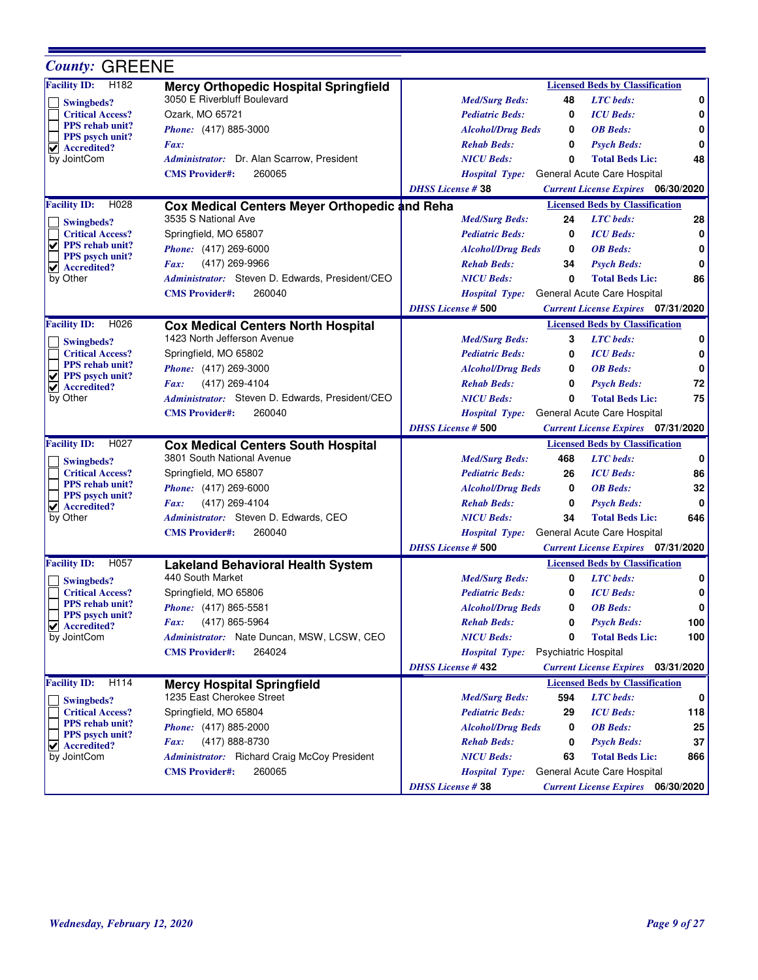| <b>County: GREENE</b>                                           |                                                                                 |                           |                      |                                              |     |
|-----------------------------------------------------------------|---------------------------------------------------------------------------------|---------------------------|----------------------|----------------------------------------------|-----|
| <b>Facility ID:</b><br>H <sub>182</sub>                         | <b>Mercy Orthopedic Hospital Springfield</b>                                    |                           |                      | <b>Licensed Beds by Classification</b>       |     |
| Swingbeds?                                                      | 3050 E Riverbluff Boulevard                                                     | <b>Med/Surg Beds:</b>     | 48                   | <b>LTC</b> beds:                             | 0   |
| <b>Critical Access?</b>                                         | Ozark, MO 65721                                                                 | <b>Pediatric Beds:</b>    | 0                    | <b>ICU</b> Beds:                             | 0   |
| PPS rehab unit?                                                 | Phone: (417) 885-3000                                                           | <b>Alcohol/Drug Beds</b>  | 0                    | <b>OB</b> Beds:                              | 0   |
| <b>PPS</b> psych unit?<br>$ $ Accredited?                       | Fax:                                                                            | <b>Rehab Beds:</b>        | 0                    | <b>Psych Beds:</b>                           | 0   |
| by JointCom                                                     | Administrator: Dr. Alan Scarrow, President                                      | <b>NICU Beds:</b>         | 0                    | <b>Total Beds Lic:</b>                       | 48  |
|                                                                 | 260065<br><b>CMS</b> Provider#:                                                 | <b>Hospital Type:</b>     |                      | General Acute Care Hospital                  |     |
|                                                                 |                                                                                 | <b>DHSS License #38</b>   |                      | <b>Current License Expires</b> 06/30/2020    |     |
| <b>Facility ID:</b><br>H <sub>028</sub>                         | Cox Medical Centers Meyer Orthopedic and Reha                                   |                           |                      | <b>Licensed Beds by Classification</b>       |     |
| Swingbeds?                                                      | 3535 S National Ave                                                             | <b>Med/Surg Beds:</b>     | 24                   | <b>LTC</b> beds:                             | 28  |
| <b>Critical Access?</b>                                         | Springfield, MO 65807                                                           | <b>Pediatric Beds:</b>    | 0                    | <b>ICU</b> Beds:                             | 0   |
| V<br><b>PPS</b> rehab unit?                                     | Phone: (417) 269-6000                                                           | <b>Alcohol/Drug Beds</b>  | 0                    | <b>OB</b> Beds:                              | 0   |
| <b>PPS</b> psych unit?<br>V<br>Accredited?                      | (417) 269-9966<br>Fax:                                                          | <b>Rehab Beds:</b>        | 34                   | <b>Psych Beds:</b>                           | 0   |
| by Other                                                        | Administrator: Steven D. Edwards, President/CEO                                 | <b>NICU</b> Beds:         | 0                    | <b>Total Beds Lic:</b>                       | 86  |
|                                                                 | 260040<br><b>CMS</b> Provider#:                                                 | <b>Hospital Type:</b>     |                      | General Acute Care Hospital                  |     |
|                                                                 |                                                                                 | <b>DHSS License # 500</b> |                      | <b>Current License Expires</b> 07/31/2020    |     |
| <b>Facility ID:</b><br>H <sub>026</sub>                         | <b>Cox Medical Centers North Hospital</b>                                       |                           |                      | <b>Licensed Beds by Classification</b>       |     |
| Swingbeds?                                                      | 1423 North Jefferson Avenue                                                     | <b>Med/Surg Beds:</b>     | 3                    | <b>LTC</b> beds:                             | 0   |
| <b>Critical Access?</b>                                         | Springfield, MO 65802                                                           | <b>Pediatric Beds:</b>    | 0                    | <b>ICU</b> Beds:                             | 0   |
| <b>PPS</b> rehab unit?                                          | Phone: (417) 269-3000                                                           | <b>Alcohol/Drug Beds</b>  | 0                    | <b>OB</b> Beds:                              | 0   |
| <b>PPS</b> psych unit?<br>V<br>$\blacktriangledown$ Accredited? | (417) 269-4104<br>Fax:                                                          | <b>Rehab Beds:</b>        | 0                    | <b>Psych Beds:</b>                           | 72  |
| by Other                                                        | Administrator: Steven D. Edwards, President/CEO                                 | <b>NICU Beds:</b>         | 0                    | <b>Total Beds Lic:</b>                       | 75  |
|                                                                 | 260040<br><b>CMS</b> Provider#:                                                 | <b>Hospital Type:</b>     |                      | General Acute Care Hospital                  |     |
|                                                                 |                                                                                 | <b>DHSS License # 500</b> |                      | <b>Current License Expires</b> 07/31/2020    |     |
| <b>Facility ID:</b><br>H027                                     | <b>Cox Medical Centers South Hospital</b>                                       |                           |                      | <b>Licensed Beds by Classification</b>       |     |
|                                                                 |                                                                                 |                           |                      |                                              |     |
|                                                                 | 3801 South National Avenue                                                      | <b>Med/Surg Beds:</b>     | 468                  | <b>LTC</b> beds:                             | 0   |
| Swingbeds?<br><b>Critical Access?</b>                           | Springfield, MO 65807                                                           | <b>Pediatric Beds:</b>    | 26                   | <b>ICU</b> Beds:                             | 86  |
| <b>PPS</b> rehab unit?                                          | <i>Phone:</i> (417) 269-6000                                                    | <b>Alcohol/Drug Beds</b>  | 0                    | <b>OB</b> Beds:                              | 32  |
| <b>PPS</b> psych unit?                                          | (417) 269-4104<br>Fax:                                                          | <b>Rehab Beds:</b>        | 0                    | <b>Psych Beds:</b>                           | 0   |
| $\blacktriangleright$ Accredited?<br>by Other                   | Administrator: Steven D. Edwards, CEO                                           | <b>NICU Beds:</b>         | 34                   | <b>Total Beds Lic:</b>                       | 646 |
|                                                                 | <b>CMS Provider#:</b><br>260040                                                 | <b>Hospital Type:</b>     |                      | General Acute Care Hospital                  |     |
|                                                                 |                                                                                 | <b>DHSS License # 500</b> |                      | <b>Current License Expires</b> 07/31/2020    |     |
| <b>Facility ID:</b><br>H057                                     |                                                                                 |                           |                      | <b>Licensed Beds by Classification</b>       |     |
|                                                                 | <b>Lakeland Behavioral Health System</b><br>440 South Market                    | <b>Med/Surg Beds:</b>     | 0                    | <b>LTC</b> beds:                             | 0   |
| <b>Swingbeds?</b><br><b>Critical Access?</b>                    | Springfield, MO 65806                                                           | <b>Pediatric Beds:</b>    | 0                    | <b>ICU</b> Beds:                             | 0   |
| <b>PPS</b> rehab unit?                                          | Phone: (417) 865-5581                                                           | <b>Alcohol/Drug Beds</b>  | 0                    | <b>OB</b> Beds:                              | 0   |
| PPS psych unit?                                                 | (417) 865-5964<br>Fax:                                                          | <b>Rehab Beds:</b>        | 0                    | <b>Psych Beds:</b>                           | 100 |
| $\vee$ Accredited?<br>by JointCom                               | Administrator: Nate Duncan, MSW, LCSW, CEO                                      | <b>NICU Beds:</b>         | 0                    | <b>Total Beds Lic:</b>                       | 100 |
|                                                                 | 264024<br><b>CMS Provider#:</b>                                                 | <b>Hospital Type:</b>     |                      |                                              |     |
|                                                                 |                                                                                 | <b>DHSS License #432</b>  | Psychiatric Hospital | <b>Current License Expires</b> 03/31/2020    |     |
| H114                                                            |                                                                                 |                           |                      | <b>Licensed Beds by Classification</b>       |     |
| <b>Facility ID:</b>                                             | <b>Mercy Hospital Springfield</b><br>1235 East Cherokee Street                  | <b>Med/Surg Beds:</b>     | 594                  | <b>LTC</b> beds:                             | 0   |
| <b>Swingbeds?</b><br><b>Critical Access?</b>                    | Springfield, MO 65804                                                           | <b>Pediatric Beds:</b>    | 29                   | <b>ICU</b> Beds:                             | 118 |
| <b>PPS</b> rehab unit?                                          | <i>Phone:</i> (417) 885-2000                                                    | <b>Alcohol/Drug Beds</b>  | 0                    | <b>OB</b> Beds:                              | 25  |
| PPS psych unit?                                                 | Fax:                                                                            | <b>Rehab Beds:</b>        | 0                    |                                              | 37  |
| $\vee$ Accredited?                                              | (417) 888-8730                                                                  | <b>NICU Beds:</b>         | 63                   | <b>Psych Beds:</b><br><b>Total Beds Lic:</b> | 866 |
| by JointCom                                                     | Administrator: Richard Craig McCoy President<br>260065<br><b>CMS</b> Provider#: | <b>Hospital Type:</b>     |                      | General Acute Care Hospital                  |     |

Е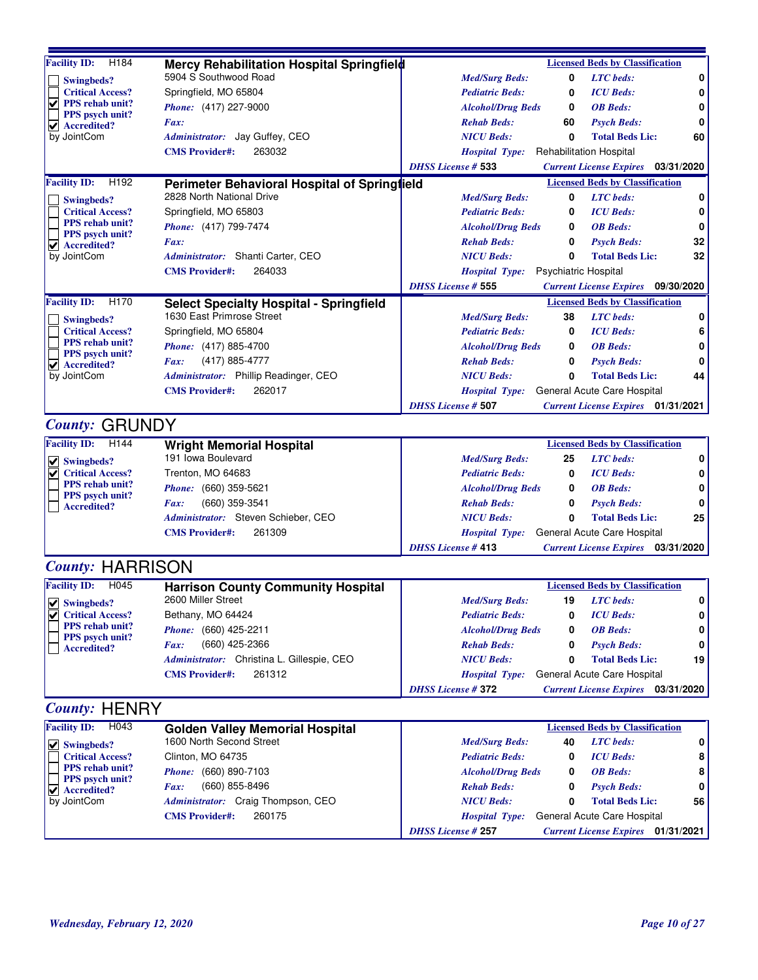| Facility ID: H184                                    | Mercy Rehabilitation Hospital Springfield                                   |                                        |                             | <b>Licensed Beds by Classification</b>    |    |
|------------------------------------------------------|-----------------------------------------------------------------------------|----------------------------------------|-----------------------------|-------------------------------------------|----|
| <b>Swingbeds?</b>                                    | 5904 S Southwood Road                                                       | <b>Med/Surg Beds:</b>                  | 0                           | <b>LTC</b> beds:                          | 0  |
| <b>Critical Access?</b><br>V<br>PPS rehab unit?      | Springfield, MO 65804                                                       | <b>Pediatric Beds:</b>                 | 0                           | <b>ICU</b> Beds:                          | 0  |
| PPS psych unit?                                      | Phone: (417) 227-9000                                                       | <b>Alcohol/Drug Beds</b>               | 0                           | <b>OB</b> Beds:                           | 0  |
| Accredited?<br>✔                                     | Fax:                                                                        | <b>Rehab Beds:</b>                     | 60                          | <b>Psych Beds:</b>                        | 0  |
| by JointCom                                          | Administrator: Jay Guffey, CEO                                              | <b>NICU Beds:</b>                      | 0                           | <b>Total Beds Lic:</b>                    | 60 |
|                                                      | <b>CMS Provider#:</b><br>263032                                             | Hospital Type: Rehabilitation Hospital |                             |                                           |    |
|                                                      |                                                                             | <b>DHSS License # 533</b>              |                             | <b>Current License Expires</b> 03/31/2020 |    |
| <b>Facility ID:</b><br>H <sub>192</sub>              | Perimeter Behavioral Hospital of Springlield                                |                                        |                             | <b>Licensed Beds by Classification</b>    |    |
| Swingbeds?                                           | 2828 North National Drive                                                   | <b>Med/Surg Beds:</b>                  | 0                           | <b>LTC</b> beds:                          | 0  |
| <b>Critical Access?</b>                              | Springfield, MO 65803                                                       | <b>Pediatric Beds:</b>                 | 0                           | <b>ICU</b> Beds:                          | 0  |
| <b>PPS</b> rehab unit?                               | Phone: (417) 799-7474                                                       | <b>Alcohol/Drug Beds</b>               | 0                           | <b>OB</b> Beds:                           | 0  |
| PPS psych unit?<br>$\blacktriangleright$ Accredited? | <i>Fax:</i>                                                                 | <b>Rehab Beds:</b>                     | 0                           | <b>Psych Beds:</b>                        | 32 |
| by JointCom                                          | Administrator: Shanti Carter, CEO                                           | <b>NICU Beds:</b>                      | 0                           | <b>Total Beds Lic:</b>                    | 32 |
|                                                      | <b>CMS Provider#:</b><br>264033                                             | <b>Hospital Type:</b>                  | <b>Psychiatric Hospital</b> |                                           |    |
|                                                      |                                                                             | <b>DHSS License # 555</b>              |                             | <b>Current License Expires</b> 09/30/2020 |    |
| <b>Facility ID:</b><br>H170                          |                                                                             |                                        |                             | <b>Licensed Beds by Classification</b>    |    |
|                                                      | <b>Select Specialty Hospital - Springfield</b><br>1630 East Primrose Street | <b>Med/Surg Beds:</b>                  | 38                          | <b>LTC</b> beds:                          | 0  |
| Swingbeds?                                           |                                                                             |                                        |                             |                                           |    |
| <b>Critical Access?</b><br>PPS rehab unit?           | Springfield, MO 65804                                                       | <b>Pediatric Beds:</b>                 | 0                           | <b>ICU</b> Beds:                          | 6  |
| PPS psych unit?                                      | Phone: (417) 885-4700                                                       | <b>Alcohol/Drug Beds</b>               | 0                           | <b>OB</b> Beds:                           | 0  |
| $  \mathbf{v}  $ Accredited?                         | (417) 885-4777<br><i>Fax:</i>                                               | <b>Rehab Beds:</b>                     | 0                           | <b>Psych Beds:</b>                        | 0  |
| by JointCom                                          | Administrator: Phillip Readinger, CEO                                       | <b>NICU Beds:</b>                      | 0                           | <b>Total Beds Lic:</b>                    | 44 |
|                                                      | <b>CMS</b> Provider#:<br>262017                                             | <b>Hospital Type:</b>                  |                             | General Acute Care Hospital               |    |
|                                                      |                                                                             | <b>DHSS License # 507</b>              |                             | <b>Current License Expires</b> 01/31/2021 |    |
| <b>County: GRUNDY</b>                                |                                                                             |                                        |                             |                                           |    |
| H <sub>144</sub><br><b>Facility ID:</b>              | <b>Wright Memorial Hospital</b>                                             |                                        |                             | <b>Licensed Beds by Classification</b>    |    |
| $  \vee  $ Swingbeds?                                | 191 Iowa Boulevard                                                          | <b>Med/Surg Beds:</b>                  | 25                          | <b>LTC</b> beds:                          | 0  |
| <b>Critical Access?</b>                              | Trenton, MO 64683                                                           | <b>Pediatric Beds:</b>                 | 0                           | <b>ICU</b> Beds:                          | 0  |
| <b>PPS</b> rehab unit?                               | <i>Phone:</i> (660) 359-5621                                                | <b>Alcohol/Drug Beds</b>               | 0                           | <b>OB</b> Beds:                           | 0  |
| PPS psych unit?                                      | (660) 359-3541<br><i>Fax:</i>                                               | <b>Rehab Beds:</b>                     | 0                           | <b>Psych Beds:</b>                        | 0  |
| <b>Accredited?</b>                                   | Administrator: Steven Schieber, CEO                                         | <b>NICU Beds:</b>                      | 0                           | <b>Total Beds Lic:</b>                    | 25 |
|                                                      | 261309<br><b>CMS Provider#:</b>                                             |                                        |                             |                                           |    |
|                                                      |                                                                             | <b>Hospital Type:</b>                  |                             | General Acute Care Hospital               |    |
|                                                      |                                                                             | <b>DHSS</b> License #413               |                             | <b>Current License Expires</b> 03/31/2020 |    |
| <b>County: HARRISON</b>                              |                                                                             |                                        |                             |                                           |    |
| <b>Facility ID:</b><br>H <sub>045</sub>              | <b>Harrison County Community Hospital</b>                                   |                                        |                             | <b>Licensed Beds by Classification</b>    |    |
| ✔ Swingbeds?                                         | 2600 Miller Street                                                          | <b>Med/Surg Beds:</b>                  | 19                          | <b>LTC</b> beds:                          | 0  |
| ✔<br><b>Critical Access?</b>                         | Bethany, MO 64424                                                           | <b>Pediatric Beds:</b>                 | 0                           | <b>ICU</b> Beds:                          | 0  |
| <b>PPS</b> rehab unit?                               | Phone: (660) 425-2211                                                       | <b>Alcohol/Drug Beds</b>               | 0                           | <b>OB</b> Beds:                           | 0  |
| PPS psych unit?<br><b>Accredited?</b>                | (660) 425-2366<br><i>Fax:</i>                                               | <b>Rehab Beds:</b>                     | 0                           | <b>Psych Beds:</b>                        | 0  |
|                                                      | Administrator: Christina L. Gillespie, CEO                                  | <b>NICU Beds:</b>                      | 0                           | <b>Total Beds Lic:</b>                    | 19 |
|                                                      | 261312<br><b>CMS</b> Provider#:                                             | <b>Hospital Type:</b>                  |                             | General Acute Care Hospital               |    |
|                                                      |                                                                             | <b>DHSS License #372</b>               |                             | <b>Current License Expires</b> 03/31/2020 |    |
|                                                      |                                                                             |                                        |                             |                                           |    |
| <b>County: HENRY</b>                                 |                                                                             |                                        |                             |                                           |    |
| <b>Facility ID:</b><br>H043                          | <b>Golden Valley Memorial Hospital</b>                                      |                                        |                             | <b>Licensed Beds by Classification</b>    |    |
| $\vee$ Swingbeds?                                    | 1600 North Second Street                                                    | <b>Med/Surg Beds:</b>                  | 40                          | <b>LTC</b> beds:                          | 0  |
| <b>Critical Access?</b>                              | Clinton, MO 64735                                                           | <b>Pediatric Beds:</b>                 | 0                           | <b>ICU</b> Beds:                          | 8  |
| <b>PPS</b> rehab unit?                               | Phone: (660) 890-7103                                                       | <b>Alcohol/Drug Beds</b>               | 0                           | <b>OB</b> Beds:                           | 8  |
| PPS psych unit?<br>Accredited?<br>✔                  | (660) 855-8496<br><i>Fax:</i>                                               | <b>Rehab Beds:</b>                     | 0                           | <b>Psych Beds:</b>                        | 0  |
| by JointCom                                          | Administrator: Craig Thompson, CEO                                          | <b>NICU Beds:</b>                      | 0                           | <b>Total Beds Lic:</b>                    | 56 |
|                                                      | <b>CMS</b> Provider#:<br>260175                                             | <b>Hospital Type:</b>                  |                             | General Acute Care Hospital               |    |
|                                                      |                                                                             | <b>DHSS License #257</b>               |                             | <b>Current License Expires</b> 01/31/2021 |    |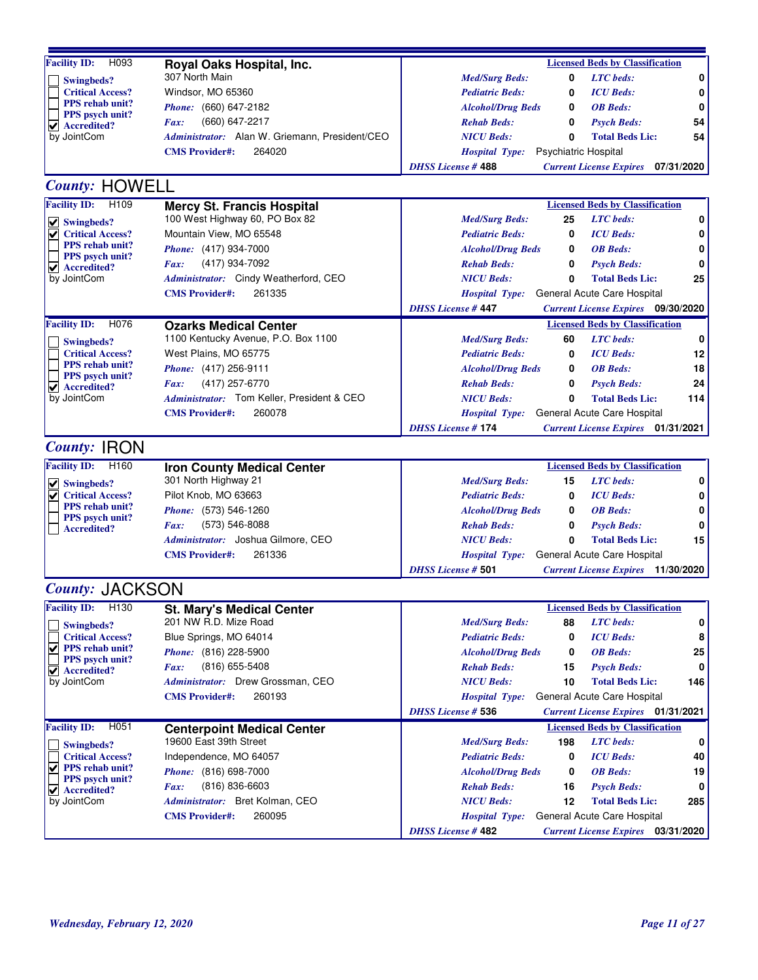| H093<br><b>Facility ID:</b>                                 | Royal Oaks Hospital, Inc.                                   | <b>Licensed Beds by Classification</b>                                                          |
|-------------------------------------------------------------|-------------------------------------------------------------|-------------------------------------------------------------------------------------------------|
| Swingbeds?                                                  | 307 North Main                                              | <b>LTC</b> beds:<br><b>Med/Surg Beds:</b><br>0<br>0                                             |
| <b>Critical Access?</b>                                     | Windsor, MO 65360                                           | <b>ICU</b> Beds:<br>0<br><b>Pediatric Beds:</b><br>0                                            |
| <b>PPS</b> rehab unit?                                      | Phone: (660) 647-2182                                       | <b>OB</b> Beds:<br><b>Alcohol/Drug Beds</b><br>0<br>0                                           |
| PPS psych unit?<br>Accredited?<br>✔                         | (660) 647-2217<br>Fax:                                      | <b>Rehab Beds:</b><br><b>Psych Beds:</b><br>54<br>0                                             |
| by JointCom                                                 | Administrator: Alan W. Griemann, President/CEO              | <b>NICU Beds:</b><br><b>Total Beds Lic:</b><br>0<br>54                                          |
|                                                             | <b>CMS</b> Provider#:<br>264020                             | <b>Psychiatric Hospital</b><br><i>Hospital Type:</i>                                            |
|                                                             |                                                             | <b>DHSS License #488</b><br><b>Current License Expires</b><br>07/31/2020                        |
|                                                             |                                                             |                                                                                                 |
| <b>County: HOWELL</b>                                       |                                                             |                                                                                                 |
| <b>Facility ID:</b><br>H <sub>109</sub>                     | <b>Mercy St. Francis Hospital</b>                           | <b>Licensed Beds by Classification</b>                                                          |
| $\vee$ Swingbeds?                                           | 100 West Highway 60, PO Box 82                              | <b>LTC</b> beds:<br>0<br><b>Med/Surg Beds:</b><br>25                                            |
| <b>Critical Access?</b><br>✔                                | Mountain View, MO 65548                                     | <b>ICU</b> Beds:<br><b>Pediatric Beds:</b><br>0<br>0                                            |
| PPS rehab unit?<br>PPS psych unit?                          | Phone: (417) 934-7000                                       | <b>OB</b> Beds:<br><b>Alcohol/Drug Beds</b><br>0<br>0                                           |
| $\vee$ Accredited?                                          | (417) 934-7092<br>Fax:                                      | 0<br>0<br><b>Rehab Beds:</b><br><b>Psych Beds:</b>                                              |
| by JointCom                                                 | Administrator: Cindy Weatherford, CEO                       | 25<br>0<br><b>Total Beds Lic:</b><br><b>NICU Beds:</b>                                          |
|                                                             | <b>CMS Provider#:</b><br>261335                             | General Acute Care Hospital<br><b>Hospital Type:</b>                                            |
|                                                             |                                                             | <b>DHSS License #447</b><br><b>Current License Expires</b> 09/30/2020                           |
| <b>Facility ID:</b><br>H076                                 | <b>Ozarks Medical Center</b>                                | <b>Licensed Beds by Classification</b>                                                          |
| Swingbeds?                                                  | 1100 Kentucky Avenue, P.O. Box 1100                         | <b>LTC</b> beds:<br>0<br><b>Med/Surg Beds:</b><br>60                                            |
| <b>Critical Access?</b>                                     | West Plains, MO 65775                                       | <b>ICU</b> Beds:<br>12<br><b>Pediatric Beds:</b><br>0                                           |
| <b>PPS</b> rehab unit?                                      | Phone: (417) 256-9111                                       | <b>OB</b> Beds:<br>18<br><b>Alcohol/Drug Beds</b><br>0                                          |
| <b>PPS</b> psych unit?<br>$\blacktriangleright$ Accredited? | (417) 257-6770<br>Fax:                                      | 24<br>0<br><b>Psych Beds:</b><br><b>Rehab Beds:</b>                                             |
| by JointCom                                                 | Administrator: Tom Keller, President & CEO                  | <b>NICU Beds:</b><br>0<br><b>Total Beds Lic:</b><br>114                                         |
|                                                             | <b>CMS</b> Provider#:<br>260078                             | General Acute Care Hospital<br><b>Hospital Type:</b>                                            |
|                                                             |                                                             | <b>DHSS License #174</b><br><b>Current License Expires</b> 01/31/2021                           |
| <b>County: IRON</b>                                         |                                                             |                                                                                                 |
|                                                             |                                                             |                                                                                                 |
| H160<br><b>Facility ID:</b>                                 | <b>Iron County Medical Center</b>                           | <b>Licensed Beds by Classification</b>                                                          |
| $  \vee  $ Swingbeds?                                       | 301 North Highway 21                                        | <b>LTC</b> beds:<br><b>Med/Surg Beds:</b><br>15<br>0                                            |
| <b>Critical Access?</b><br>V<br><b>PPS</b> rehab unit?      | Pilot Knob, MO 63663                                        | <b>ICU</b> Beds:<br>0<br><b>Pediatric Beds:</b><br>0                                            |
| PPS psych unit?                                             | Phone: (573) 546-1260                                       | <b>OB</b> Beds:<br>0<br><b>Alcohol/Drug Beds</b><br>0                                           |
| <b>Accredited?</b>                                          | (573) 546-8088<br>Fax:                                      | <b>Rehab Beds:</b><br>0<br><b>Psych Beds:</b><br>0                                              |
|                                                             | Administrator: Joshua Gilmore, CEO                          | <b>NICU</b> Beds:<br>$\mathbf{0}$<br><b>Total Beds Lic:</b><br>15                               |
|                                                             | <b>CMS</b> Provider#:<br>261336                             | General Acute Care Hospital<br><b>Hospital Type:</b>                                            |
|                                                             |                                                             | <b>DHSS License # 501</b><br><b>Current License Expires</b> 11/30/2020                          |
| <b>County: JACKSON</b>                                      |                                                             |                                                                                                 |
| <b>Facility ID:</b><br>H <sub>130</sub>                     | <b>St. Mary's Medical Center</b>                            | <b>Licensed Beds by Classification</b>                                                          |
| Swingbeds?                                                  | 201 NW R.D. Mize Road                                       | 0<br><b>Med/Surg Beds:</b><br>88<br><b>LTC</b> beds:                                            |
| <b>Critical Access?</b>                                     | Blue Springs, MO 64014                                      | <b>ICU</b> Beds:<br><b>Pediatric Beds:</b><br>0<br>8                                            |
| $\sqrt{ }$ PPS rehab unit?                                  | Phone: (816) 228-5900                                       | 25<br><b>Alcohol/Drug Beds</b><br>0<br><b>OB</b> Beds:                                          |
| PPS psych unit?                                             | (816) 655-5408<br>Fax:                                      | <b>Rehab Beds:</b><br>15<br><b>Psych Beds:</b><br>0                                             |
| $\vee$ Accredited?<br>by JointCom                           | Administrator: Drew Grossman, CEO                           | 10<br><b>NICU Beds:</b><br><b>Total Beds Lic:</b><br>146                                        |
|                                                             | 260193<br><b>CMS Provider#:</b>                             | General Acute Care Hospital                                                                     |
|                                                             |                                                             | <b>Hospital Type:</b><br><b>DHSS License # 536</b><br><b>Current License Expires</b> 01/31/2021 |
| H051<br><b>Facility ID:</b>                                 |                                                             | <b>Licensed Beds by Classification</b>                                                          |
|                                                             | <b>Centerpoint Medical Center</b><br>19600 East 39th Street | <b>LTC</b> beds:<br><b>Med/Surg Beds:</b><br>198<br>0                                           |
| Swingbeds?                                                  |                                                             |                                                                                                 |
| <b>Critical Access?</b><br><b>PPS</b> rehab unit?<br>✔      | Independence, MO 64057                                      | <b>ICU</b> Beds:<br><b>Pediatric Beds:</b><br>40<br>0                                           |
| PPS psych unit?                                             | Phone: (816) 698-7000                                       | <b>OB</b> Beds:<br><b>Alcohol/Drug Beds</b><br>19<br>0                                          |
| $\vee$ Accredited?                                          | $(816) 836 - 6603$<br>Fax:                                  | <b>Rehab Beds:</b><br><b>Psych Beds:</b><br>16<br>0                                             |
| by JointCom                                                 | Administrator: Bret Kolman, CEO                             | <b>NICU Beds:</b><br>12<br><b>Total Beds Lic:</b><br>285                                        |
|                                                             | <b>CMS Provider#:</b><br>260095                             | General Acute Care Hospital<br><b>Hospital Type:</b>                                            |
|                                                             |                                                             | <b>DHSS License #482</b><br><b>Current License Expires</b> 03/31/2020                           |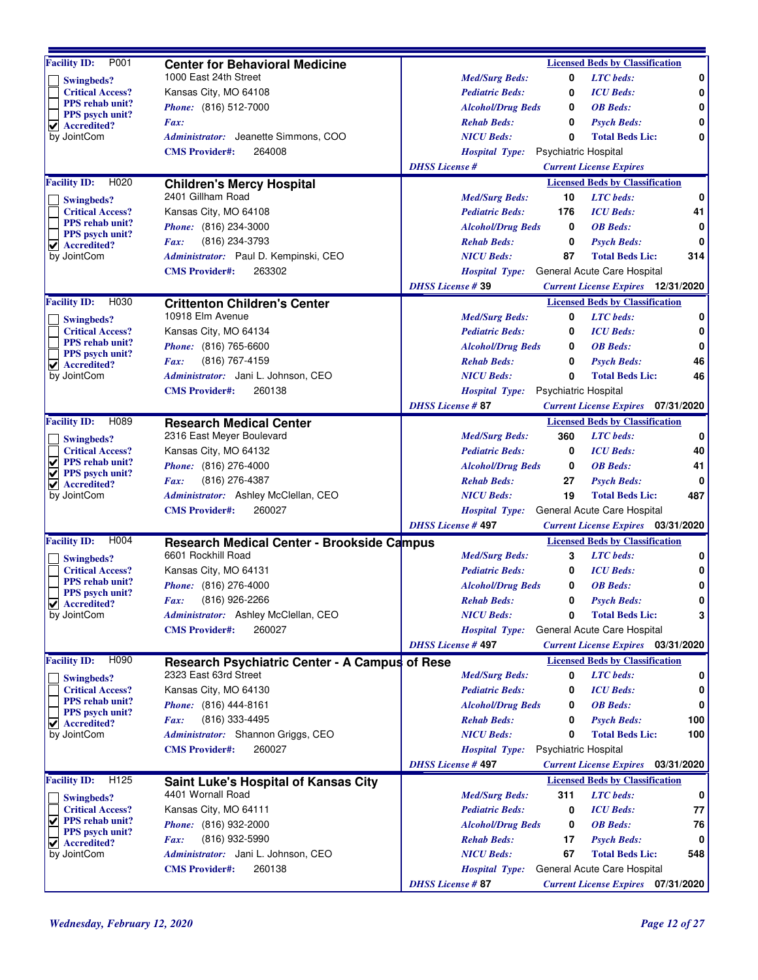| P001<br><b>Facility ID:</b>                            | <b>Center for Behavioral Medicine</b>             |                          |                          |                             | <b>Licensed Beds by Classification</b>    |     |
|--------------------------------------------------------|---------------------------------------------------|--------------------------|--------------------------|-----------------------------|-------------------------------------------|-----|
|                                                        | 1000 East 24th Street                             |                          | <b>Med/Surg Beds:</b>    | 0                           | <b>LTC</b> beds:                          | 0   |
| Swingbeds?<br><b>Critical Access?</b>                  | Kansas City, MO 64108                             |                          | <b>Pediatric Beds:</b>   | 0                           | <b>ICU</b> Beds:                          | 0   |
| <b>PPS</b> rehab unit?                                 | <i>Phone:</i> (816) 512-7000                      |                          | <b>Alcohol/Drug Beds</b> | 0                           | <b>OB</b> Beds:                           | 0   |
| PPS psych unit?                                        | Fax:                                              |                          | <b>Rehab Beds:</b>       | 0                           | <b>Psych Beds:</b>                        | 0   |
| $\sqrt{\phantom{a}}$ Accredited?<br>by JointCom        | Administrator: Jeanette Simmons, COO              |                          | <b>NICU Beds:</b>        | 0                           | <b>Total Beds Lic:</b>                    | 0   |
|                                                        | 264008                                            |                          |                          | <b>Psychiatric Hospital</b> |                                           |     |
|                                                        | <b>CMS</b> Provider#:                             |                          | <b>Hospital Type:</b>    |                             |                                           |     |
|                                                        |                                                   | <b>DHSS</b> License #    |                          |                             | <b>Current License Expires</b>            |     |
| <b>Facility ID:</b><br>H <sub>020</sub>                | <b>Children's Mercy Hospital</b>                  |                          |                          |                             | <b>Licensed Beds by Classification</b>    |     |
| Swingbeds?                                             | 2401 Gillham Road                                 |                          | <b>Med/Surg Beds:</b>    | 10                          | <b>LTC</b> beds:                          | 0   |
| <b>Critical Access?</b><br><b>PPS</b> rehab unit?      | Kansas City, MO 64108                             |                          | <b>Pediatric Beds:</b>   | 176                         | <b>ICU</b> Beds:                          | 41  |
| <b>PPS</b> psych unit?                                 | Phone: (816) 234-3000                             |                          | <b>Alcohol/Drug Beds</b> | 0                           | <b>OB</b> Beds:                           | 0   |
| $\blacktriangleright$ Accredited?                      | (816) 234-3793<br>Fax:                            |                          | <b>Rehab Beds:</b>       | 0                           | <b>Psych Beds:</b>                        | 0   |
| by JointCom                                            | Administrator: Paul D. Kempinski, CEO             |                          | <b>NICU Beds:</b>        | 87                          | <b>Total Beds Lic:</b>                    | 314 |
|                                                        | 263302<br><b>CMS Provider#:</b>                   |                          | <b>Hospital Type:</b>    |                             | General Acute Care Hospital               |     |
|                                                        |                                                   | <b>DHSS License #39</b>  |                          |                             | <b>Current License Expires</b> 12/31/2020 |     |
| <b>Facility ID:</b><br>H030                            | <b>Crittenton Children's Center</b>               |                          |                          |                             | <b>Licensed Beds by Classification</b>    |     |
| Swingbeds?                                             | 10918 Elm Avenue                                  |                          | <b>Med/Surg Beds:</b>    | 0                           | <b>LTC</b> beds:                          | 0   |
| <b>Critical Access?</b>                                | Kansas City, MO 64134                             |                          | <b>Pediatric Beds:</b>   | 0                           | <b>ICU</b> Beds:                          | 0   |
| <b>PPS</b> rehab unit?<br><b>PPS</b> psych unit?       | Phone: (816) 765-6600                             |                          | <b>Alcohol/Drug Beds</b> | 0                           | <b>OB</b> Beds:                           | 0   |
| $\blacktriangledown$ Accredited?                       | (816) 767-4159<br>Fax:                            |                          | <b>Rehab Beds:</b>       | 0                           | <b>Psych Beds:</b>                        | 46  |
| by JointCom                                            | Administrator: Jani L. Johnson, CEO               |                          | <b>NICU Beds:</b>        | 0                           | <b>Total Beds Lic:</b>                    | 46  |
|                                                        | <b>CMS Provider#:</b><br>260138                   |                          | <b>Hospital Type:</b>    | <b>Psychiatric Hospital</b> |                                           |     |
|                                                        |                                                   | <b>DHSS License #87</b>  |                          |                             | <b>Current License Expires</b> 07/31/2020 |     |
| H089<br><b>Facility ID:</b>                            | <b>Research Medical Center</b>                    |                          |                          |                             | <b>Licensed Beds by Classification</b>    |     |
| Swingbeds?                                             | 2316 East Meyer Boulevard                         |                          | <b>Med/Surg Beds:</b>    | 360                         | <b>LTC</b> beds:                          | 0   |
| <b>Critical Access?</b>                                | Kansas City, MO 64132                             |                          | <b>Pediatric Beds:</b>   | 0                           | <b>ICU</b> Beds:                          | 40  |
| $\nabla$ PPS rehab unit?                               | Phone: (816) 276-4000                             |                          | <b>Alcohol/Drug Beds</b> | 0                           | <b>OB</b> Beds:                           | 41  |
| PPS psych unit?<br>$\blacktriangledown$ Accredited?    | (816) 276-4387<br>Fax:                            |                          | <b>Rehab Beds:</b>       | 27                          | <b>Psych Beds:</b>                        | 0   |
| by JointCom                                            | Administrator: Ashley McClellan, CEO              |                          | <b>NICU Beds:</b>        | 19                          | <b>Total Beds Lic:</b>                    | 487 |
|                                                        | 260027<br><b>CMS Provider#:</b>                   |                          | <b>Hospital Type:</b>    |                             | General Acute Care Hospital               |     |
|                                                        |                                                   | <b>DHSS License #497</b> |                          |                             | <b>Current License Expires</b> 03/31/2020 |     |
| <b>Facility ID:</b><br>H004                            | <b>Research Medical Center - Brookside Campus</b> |                          |                          |                             | <b>Licensed Beds by Classification</b>    |     |
| Swingbeds?                                             | 6601 Rockhill Road                                |                          | <b>Med/Surg Beds:</b>    | 3                           | <b>LTC</b> beds:                          | 0   |
| <b>Critical Access?</b>                                | Kansas City, MO 64131                             |                          | <b>Pediatric Beds:</b>   | 0                           | <b>ICU</b> Beds:                          | 0   |
| <b>PPS</b> rehab unit?                                 | Phone: (816) 276-4000                             |                          | <b>Alcohol/Drug Beds</b> | 0                           | <b>OB</b> Beds:                           | 0   |
| PPS psych unit?<br>$\overline{\mathbf{V}}$ Accredited? | (816) 926-2266<br><i>Fax:</i>                     |                          | <b>Rehab Beds:</b>       | 0                           | <b>Psych Beds:</b>                        | 0   |
| by JointCom                                            | Administrator: Ashley McClellan, CEO              |                          | <b>NICU Beds:</b>        | 0                           | <b>Total Beds Lic:</b>                    | 3   |
|                                                        | 260027<br><b>CMS Provider#:</b>                   |                          | <b>Hospital Type:</b>    |                             | General Acute Care Hospital               |     |
|                                                        |                                                   | <b>DHSS License #497</b> |                          |                             | <b>Current License Expires</b> 03/31/2020 |     |
| H090<br><b>Facility ID:</b>                            | Research Psychiatric Center - A Campus of Rese    |                          |                          |                             | <b>Licensed Beds by Classification</b>    |     |
|                                                        | 2323 East 63rd Street                             |                          | <b>Med/Surg Beds:</b>    | 0                           | <b>LTC</b> beds:                          | 0   |
| <b>Swingbeds?</b><br><b>Critical Access?</b>           | Kansas City, MO 64130                             |                          | <b>Pediatric Beds:</b>   | 0                           | <b>ICU</b> Beds:                          | 0   |
| <b>PPS</b> rehab unit?                                 | Phone: (816) 444-8161                             |                          | <b>Alcohol/Drug Beds</b> | 0                           | <b>OB</b> Beds:                           | 0   |
| PPS psych unit?                                        | (816) 333-4495<br>Fax:                            |                          | <b>Rehab Beds:</b>       | 0                           | <b>Psych Beds:</b>                        | 100 |
| V<br>Accredited?<br>by JointCom                        | Administrator: Shannon Griggs, CEO                |                          | <b>NICU Beds:</b>        | 0                           | <b>Total Beds Lic:</b>                    | 100 |
|                                                        | <b>CMS</b> Provider#:<br>260027                   |                          | <b>Hospital Type:</b>    | <b>Psychiatric Hospital</b> |                                           |     |
|                                                        |                                                   | <b>DHSS License #497</b> |                          |                             | <b>Current License Expires</b> 03/31/2020 |     |
|                                                        |                                                   |                          |                          |                             |                                           |     |
| H125<br><b>Facility ID:</b>                            | Saint Luke's Hospital of Kansas City              |                          |                          |                             | <b>Licensed Beds by Classification</b>    |     |
| Swingbeds?                                             | 4401 Wornall Road                                 |                          | <b>Med/Surg Beds:</b>    | 311                         | <b>LTC</b> beds:                          | 0   |
| <b>Critical Access?</b><br>V<br>PPS rehab unit?        | Kansas City, MO 64111                             |                          | <b>Pediatric Beds:</b>   | 0                           | <b>ICU</b> Beds:                          | 77  |
| PPS psych unit?                                        | <i>Phone:</i> (816) 932-2000                      |                          | <b>Alcohol/Drug Beds</b> | 0                           | <b>OB</b> Beds:                           | 76  |
| $\blacktriangledown$ Accredited?                       | (816) 932-5990<br><i>Fax:</i>                     |                          | <b>Rehab Beds:</b>       | 17                          | <b>Psych Beds:</b>                        | 0   |
| by JointCom                                            | Administrator: Jani L. Johnson, CEO               |                          | <b>NICU Beds:</b>        | 67                          | <b>Total Beds Lic:</b>                    | 548 |
|                                                        | 260138<br><b>CMS Provider#:</b>                   |                          | <b>Hospital Type:</b>    |                             | General Acute Care Hospital               |     |
|                                                        |                                                   | <b>DHSS License #87</b>  |                          |                             | <b>Current License Expires</b> 07/31/2020 |     |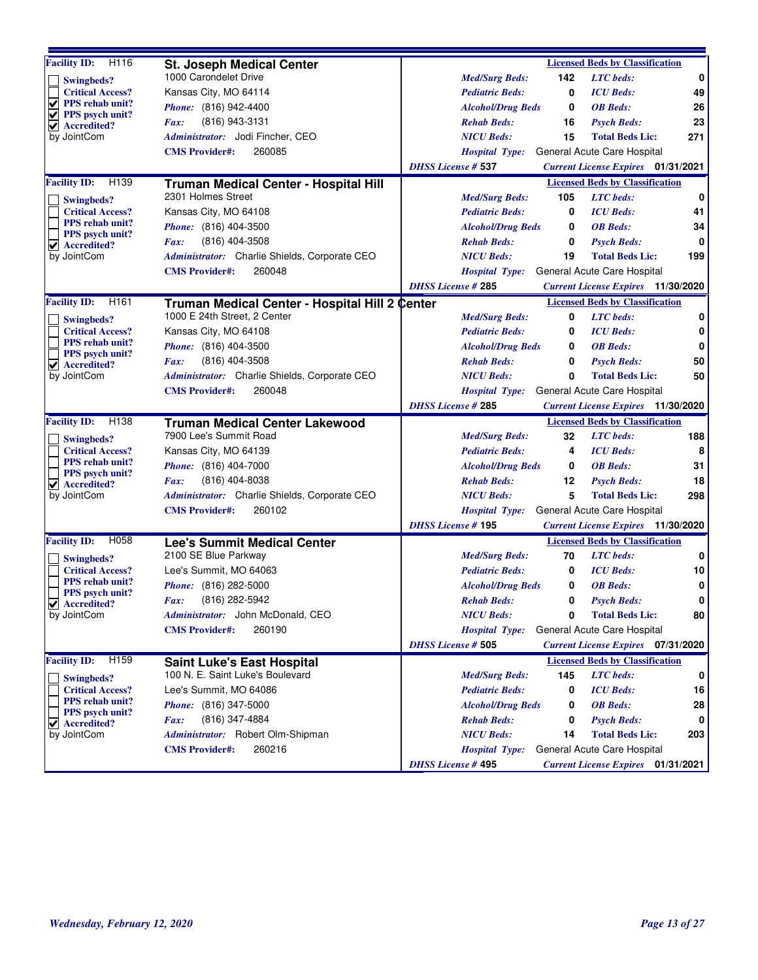| $\overline{H}$ 116<br><b>Facility ID:</b>           | <b>St. Joseph Medical Center</b>                                      |                           |     | <b>Licensed Beds by Classification</b>                     |     |
|-----------------------------------------------------|-----------------------------------------------------------------------|---------------------------|-----|------------------------------------------------------------|-----|
| Swingbeds?                                          | 1000 Carondelet Drive                                                 | <b>Med/Surg Beds:</b>     | 142 | <b>LTC</b> beds:                                           | 0   |
| <b>Critical Access?</b>                             | Kansas City, MO 64114                                                 | <b>Pediatric Beds:</b>    | 0   | <b>ICU</b> Beds:                                           | 49  |
| V<br>PPS rehab unit?<br><b>PPS</b> psych unit?<br>✔ | Phone: (816) 942-4400                                                 | <b>Alcohol/Drug Beds</b>  | 0   | <b>OB</b> Beds:                                            | 26  |
| Accredited?<br>✔                                    | (816) 943-3131<br>Fax:                                                | <b>Rehab Beds:</b>        | 16  | <b>Psych Beds:</b>                                         | 23  |
| by JointCom                                         | Administrator: Jodi Fincher, CEO                                      | <b>NICU Beds:</b>         | 15  | <b>Total Beds Lic:</b>                                     | 271 |
|                                                     | 260085<br><b>CMS</b> Provider#:                                       | <i>Hospital Type:</i>     |     | General Acute Care Hospital                                |     |
|                                                     |                                                                       | <b>DHSS License # 537</b> |     | <b>Current License Expires</b> 01/31/2021                  |     |
| <b>Facility ID:</b><br>H <sub>139</sub>             | Truman Medical Center - Hospital Hill                                 |                           |     | <b>Licensed Beds by Classification</b>                     |     |
| Swingbeds?                                          | 2301 Holmes Street                                                    | <b>Med/Surg Beds:</b>     | 105 | <b>LTC</b> beds:                                           | 0   |
| <b>Critical Access?</b>                             | Kansas City, MO 64108                                                 | <b>Pediatric Beds:</b>    | 0   | <b>ICU</b> Beds:                                           | 41  |
| <b>PPS</b> rehab unit?                              | <i>Phone:</i> (816) 404-3500                                          | <b>Alcohol/Drug Beds</b>  | 0   | <b>OB</b> Beds:                                            | 34  |
| <b>PPS</b> psych unit?<br>$\vee$ Accredited?        | (816) 404-3508<br>Fax:                                                | <b>Rehab Beds:</b>        | 0   | <b>Psych Beds:</b>                                         | 0   |
| by JointCom                                         | <i>Administrator:</i> Charlie Shields, Corporate CEO                  | <b>NICU Beds:</b>         | 19  | <b>Total Beds Lic:</b>                                     | 199 |
|                                                     | <b>CMS</b> Provider#:<br>260048                                       | <b>Hospital Type:</b>     |     | General Acute Care Hospital                                |     |
|                                                     |                                                                       | <b>DHSS License #285</b>  |     | <b>Current License Expires</b> 11/30/2020                  |     |
| <b>Facility ID:</b><br>H <sub>161</sub>             | Truman Medical Center - Hospital Hill 2 Center                        |                           |     | <b>Licensed Beds by Classification</b>                     |     |
| Swingbeds?                                          | 1000 E 24th Street, 2 Center                                          | <b>Med/Surg Beds:</b>     | 0   | <b>LTC</b> beds:                                           | 0   |
| <b>Critical Access?</b>                             | Kansas City, MO 64108                                                 | <b>Pediatric Beds:</b>    | 0   | <b>ICU</b> Beds:                                           | 0   |
| <b>PPS</b> rehab unit?                              | Phone: (816) 404-3500                                                 | <b>Alcohol/Drug Beds</b>  | 0   | <b>OB</b> Beds:                                            | 0   |
| PPS psych unit?<br>$ $ Accredited?                  | (816) 404-3508<br>Fax:                                                | <b>Rehab Beds:</b>        | 0   | <b>Psych Beds:</b>                                         | 50  |
| by JointCom                                         | Administrator: Charlie Shields, Corporate CEO                         | <b>NICU Beds:</b>         | 0   | <b>Total Beds Lic:</b>                                     | 50  |
|                                                     | <b>CMS</b> Provider#:<br>260048                                       | <b>Hospital Type:</b>     |     | General Acute Care Hospital                                |     |
|                                                     |                                                                       | <b>DHSS License #285</b>  |     | <b>Current License Expires</b> 11/30/2020                  |     |
| <b>Facility ID:</b><br>H <sub>138</sub>             | <b>Truman Medical Center Lakewood</b>                                 |                           |     | <b>Licensed Beds by Classification</b>                     |     |
| Swingbeds?                                          | 7900 Lee's Summit Road                                                | <b>Med/Surg Beds:</b>     | 32  | <b>LTC</b> beds:                                           | 188 |
| <b>Critical Access?</b>                             | Kansas City, MO 64139                                                 | <b>Pediatric Beds:</b>    | 4   | <b>ICU</b> Beds:                                           | 8   |
| <b>PPS</b> rehab unit?                              | <i>Phone:</i> (816) 404-7000                                          | <b>Alcohol/Drug Beds</b>  | 0   | <b>OB</b> Beds:                                            | 31  |
| <b>PPS</b> psych unit?                              | (816) 404-8038<br>Fax:                                                | <b>Rehab Beds:</b>        | 12  | <b>Psych Beds:</b>                                         | 18  |
| $\vee$ Accredited?<br>by JointCom                   | Administrator: Charlie Shields, Corporate CEO                         | <b>NICU Beds:</b>         | 5   | <b>Total Beds Lic:</b>                                     | 298 |
|                                                     | 260102<br><b>CMS Provider#:</b>                                       | <b>Hospital Type:</b>     |     | General Acute Care Hospital                                |     |
|                                                     |                                                                       | <b>DHSS License #195</b>  |     | <b>Current License Expires</b> 11/30/2020                  |     |
| <b>Facility ID:</b><br>H058                         | <b>Lee's Summit Medical Center</b>                                    |                           |     | <b>Licensed Beds by Classification</b>                     |     |
|                                                     | 2100 SE Blue Parkway                                                  | <b>Med/Surg Beds:</b>     | 70  | <b>LTC</b> beds:                                           | 0   |
| Swingbeds?<br><b>Critical Access?</b>               | Lee's Summit, MO 64063                                                | <b>Pediatric Beds:</b>    | 0   | <b>ICU</b> Beds:                                           | 10  |
| <b>PPS</b> rehab unit?                              | Phone: (816) 282-5000                                                 | <b>Alcohol/Drug Beds</b>  | 0   | <b>OB</b> Beds:                                            | 0   |
| PPS psych unit?                                     | (816) 282-5942<br>Fax:                                                | <b>Rehab Beds:</b>        | 0   | <b>Psych Beds:</b>                                         | 0   |
| ⊻<br>Accredited?<br>by JointCom                     | Administrator: John McDonald, CEO                                     | <b>NICU Beds:</b>         | 0   | <b>Total Beds Lic:</b>                                     | 80  |
|                                                     | 260190<br><b>CMS</b> Provider#:                                       | <b>Hospital Type:</b>     |     | General Acute Care Hospital                                |     |
|                                                     |                                                                       | <b>DHSS License # 505</b> |     | <b>Current License Expires</b> 07/31/2020                  |     |
|                                                     |                                                                       |                           |     |                                                            |     |
| H <sub>159</sub><br><b>Facility ID:</b>             | <b>Saint Luke's East Hospital</b><br>100 N. E. Saint Luke's Boulevard |                           | 145 | <b>Licensed Beds by Classification</b><br><b>LTC</b> beds: | 0   |
| <b>Swingbeds?</b>                                   |                                                                       | <b>Med/Surg Beds:</b>     |     |                                                            |     |
| <b>Critical Access?</b><br><b>PPS</b> rehab unit?   | Lee's Summit, MO 64086                                                | <b>Pediatric Beds:</b>    | 0   | <b>ICU</b> Beds:                                           | 16  |
| PPS psych unit?                                     | <i>Phone:</i> (816) 347-5000                                          | <b>Alcohol/Drug Beds</b>  | 0   | <b>OB</b> Beds:                                            | 28  |
| Accredited?<br>⊻                                    | (816) 347-4884<br>Fax:                                                | <b>Rehab Beds:</b>        | 0   | <b>Psych Beds:</b>                                         | 0   |
| by JointCom                                         | Administrator: Robert Olm-Shipman                                     | <b>NICU Beds:</b>         | 14  | <b>Total Beds Lic:</b>                                     | 203 |
|                                                     | <b>CMS</b> Provider#:<br>260216                                       | <b>Hospital Type:</b>     |     | General Acute Care Hospital                                |     |
|                                                     |                                                                       | <b>DHSS License #495</b>  |     | <b>Current License Expires</b> 01/31/2021                  |     |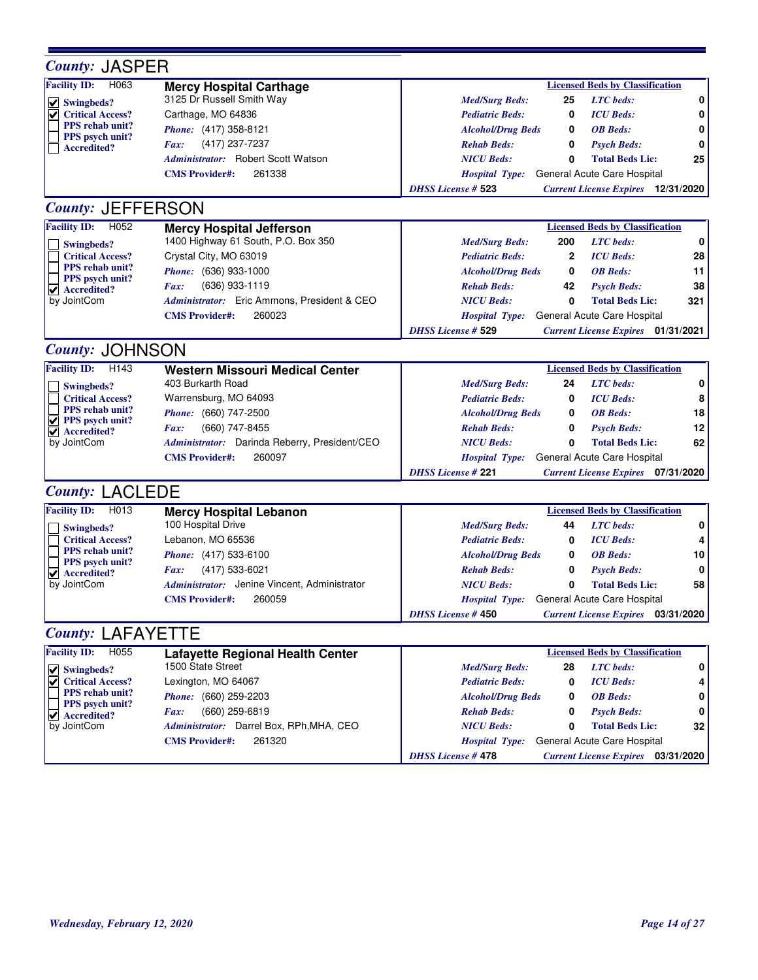| <b>County: JASPER</b>                                |                                                             |                                            |     |                                           |     |
|------------------------------------------------------|-------------------------------------------------------------|--------------------------------------------|-----|-------------------------------------------|-----|
| H063<br><b>Facility ID:</b>                          | <b>Mercy Hospital Carthage</b>                              |                                            |     | <b>Licensed Beds by Classification</b>    |     |
| $  \vee  $ Swingbeds?                                | 3125 Dr Russell Smith Way                                   | <b>Med/Surg Beds:</b>                      | 25  | <b>LTC</b> beds:                          | 0   |
| <b>Critical Access?</b>                              | Carthage, MO 64836                                          | <b>Pediatric Beds:</b>                     | 0   | <b>ICU</b> Beds:                          | 0   |
| <b>PPS</b> rehab unit?                               | Phone: (417) 358-8121                                       | <b>Alcohol/Drug Beds</b>                   | 0   | <b>OB</b> Beds:                           | 0   |
| PPS psych unit?<br><b>Accredited?</b>                | (417) 237-7237<br>Fax:                                      | <b>Rehab Beds:</b>                         | 0   | <b>Psych Beds:</b>                        | 0   |
|                                                      | Administrator: Robert Scott Watson                          | <b>NICU Beds:</b>                          | 0   | <b>Total Beds Lic:</b>                    | 25  |
|                                                      | 261338<br><b>CMS</b> Provider#:                             | <b>Hospital Type:</b>                      |     | General Acute Care Hospital               |     |
|                                                      |                                                             | <b>DHSS License # 523</b>                  |     | <b>Current License Expires</b> 12/31/2020 |     |
| <b>County: JEFFERSON</b>                             |                                                             |                                            |     |                                           |     |
| <b>Facility ID:</b><br>H <sub>052</sub>              | <b>Mercy Hospital Jefferson</b>                             |                                            |     | <b>Licensed Beds by Classification</b>    |     |
| Swingbeds?                                           | 1400 Highway 61 South, P.O. Box 350                         | <b>Med/Surg Beds:</b>                      | 200 | <b>LTC</b> beds:                          | 0   |
| <b>Critical Access?</b>                              | Crystal City, MO 63019                                      | <b>Pediatric Beds:</b>                     | 2   | <b>ICU</b> Beds:                          | 28  |
| <b>PPS</b> rehab unit?                               | Phone: (636) 933-1000                                       | <b>Alcohol/Drug Beds</b>                   | 0   | <b>OB</b> Beds:                           | 11  |
| PPS psych unit?<br>$\blacktriangledown$ Accredited?  | (636) 933-1119<br>Fax:                                      | <b>Rehab Beds:</b>                         | 42  | <b>Psych Beds:</b>                        | 38  |
| by JointCom                                          | Administrator: Eric Ammons, President & CEO                 | <b>NICU Beds:</b>                          | 0   | <b>Total Beds Lic:</b>                    | 321 |
|                                                      | 260023<br><b>CMS</b> Provider#:                             | <b>Hospital Type:</b>                      |     | General Acute Care Hospital               |     |
|                                                      |                                                             | <b>DHSS License # 529</b>                  |     | <b>Current License Expires</b> 01/31/2021 |     |
| <b>County: JOHNSON</b>                               |                                                             |                                            |     |                                           |     |
| <b>Facility ID:</b><br>H <sub>143</sub>              |                                                             |                                            |     | <b>Licensed Beds by Classification</b>    |     |
|                                                      | <b>Western Missouri Medical Center</b><br>403 Burkarth Road |                                            |     | <b>LTC</b> beds:                          | 0   |
| Swingbeds?                                           |                                                             | <b>Med/Surg Beds:</b>                      | 24  |                                           |     |
| <b>Critical Access?</b><br><b>PPS</b> rehab unit?    | Warrensburg, MO 64093                                       | <b>Pediatric Beds:</b>                     | 0   | <b>ICU</b> Beds:                          | 8   |
| $  \vee  $ PPS psych unit?                           | Phone: (660) 747-2500                                       | <b>Alcohol/Drug Beds</b>                   | 0   | <b>OB</b> Beds:                           | 18  |
| $\vee$ Accredited?                                   | (660) 747-8455<br>Fax:                                      | <b>Rehab Beds:</b>                         | 0   | <b>Psych Beds:</b>                        | 12  |
| by JointCom                                          | Administrator: Darinda Reberry, President/CEO               | <b>NICU Beds:</b>                          | 0   | <b>Total Beds Lic:</b>                    | 62  |
|                                                      | 260097<br><b>CMS</b> Provider#:                             | Hospital Type: General Acute Care Hospital |     |                                           |     |
|                                                      |                                                             | <b>DHSS License #221</b>                   |     | <b>Current License Expires</b> 07/31/2020 |     |
| <b>County: LACLEDE</b>                               |                                                             |                                            |     |                                           |     |
| <b>Facility ID:</b><br>H013                          | <b>Mercy Hospital Lebanon</b>                               |                                            |     | <b>Licensed Beds by Classification</b>    |     |
| Swingbeds?                                           | 100 Hospital Drive                                          | <b>Med/Surg Beds:</b>                      | 44  | <b>LTC</b> beds:                          | 0   |
| <b>Critical Access?</b>                              | Lebanon, MO 65536                                           | <b>Pediatric Beds:</b>                     | 0   | <b>ICU</b> Beds:                          | 4   |
| <b>PPS</b> rehab unit?<br>PPS psych unit?            | Phone: (417) 533-6100                                       | <b>Alcohol/Drug Beds</b>                   | 0   | <b>OB</b> Beds:                           | 10  |
| $\blacktriangleright$ Accredited?                    | (417) 533-6021<br>Fax:                                      | <b>Rehab Beds:</b>                         | 0   | <b>Psych Beds:</b>                        | 0   |
| by JointCom                                          | <i>Administrator:</i> Jenine Vincent, Administrator         | <b>NICU Beds:</b>                          | 0   | <b>Total Beds Lic:</b>                    | 58  |
|                                                      | <b>CMS Provider#:</b><br>260059                             | Hospital Type: General Acute Care Hospital |     |                                           |     |
|                                                      |                                                             | <b>DHSS License # 450</b>                  |     | <b>Current License Expires</b> 03/31/2020 |     |
| <b>County: LAFAYETTE</b>                             |                                                             |                                            |     |                                           |     |
| <b>Facility ID:</b><br>H055                          | <b>Lafayette Regional Health Center</b>                     |                                            |     | <b>Licensed Beds by Classification</b>    |     |
| $  \vee  $ Swingbeds?                                | 1500 State Street                                           | <b>Med/Surg Beds:</b>                      | 28  | <b>LTC</b> beds:                          | 0   |
| <b>Critical Access?</b>                              | Lexington, MO 64067                                         | <b>Pediatric Beds:</b>                     | 0   | <b>ICU</b> Beds:                          | 4   |
| PPS rehab unit?                                      | Phone: (660) 259-2203                                       | <b>Alcohol/Drug Beds</b>                   | 0   | <b>OB</b> Beds:                           | 0   |
| PPS psych unit?<br>$\blacktriangleright$ Accredited? | (660) 259-6819<br>Fax:                                      | <b>Rehab Beds:</b>                         | 0   | <b>Psych Beds:</b>                        | 0   |
| by JointCom                                          | Administrator: Darrel Box, RPh, MHA, CEO                    | <b>NICU Beds:</b>                          | 0   | <b>Total Beds Lic:</b>                    | 32  |
|                                                      | <b>CMS</b> Provider#:<br>261320                             | <b>Hospital Type:</b>                      |     | General Acute Care Hospital               |     |
|                                                      |                                                             | <b>DHSS License #478</b>                   |     | <b>Current License Expires</b> 03/31/2020 |     |
|                                                      |                                                             |                                            |     |                                           |     |

F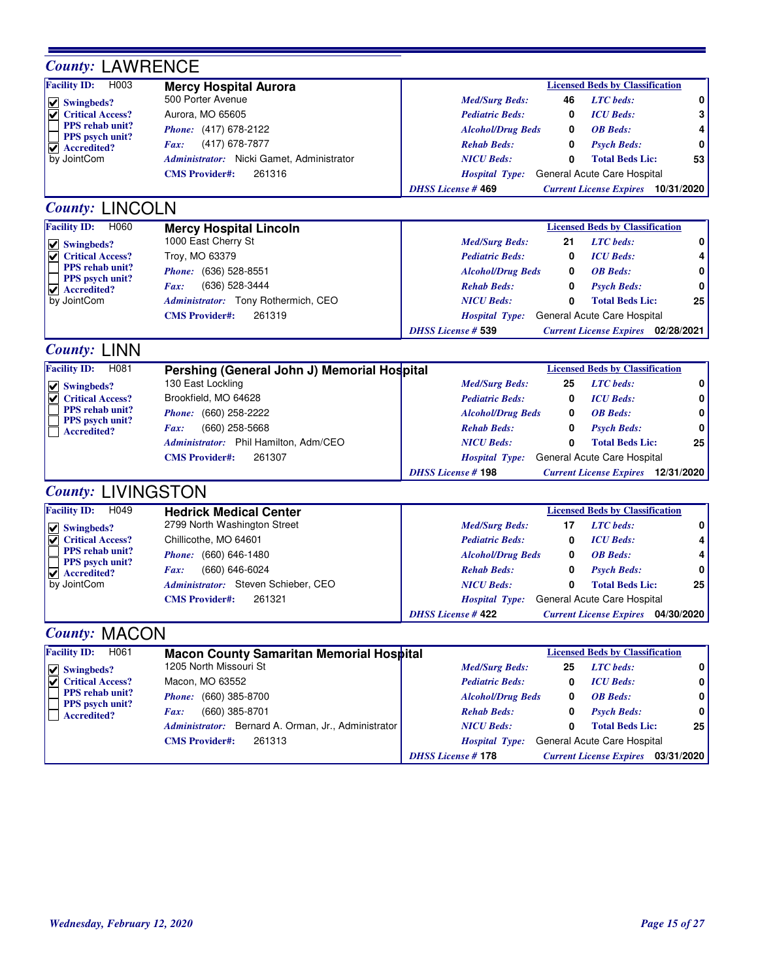| <b>County: LAWRENCE</b>                                 |                                                     |                                            |    |                                           |            |
|---------------------------------------------------------|-----------------------------------------------------|--------------------------------------------|----|-------------------------------------------|------------|
| <b>Facility ID:</b><br>H <sub>003</sub>                 | <b>Mercy Hospital Aurora</b>                        |                                            |    | <b>Licensed Beds by Classification</b>    |            |
| Swingbeds?                                              | 500 Porter Avenue                                   | <b>Med/Surg Beds:</b>                      | 46 | <b>LTC</b> beds:                          | 0          |
| <b>Critical Access?</b><br>V                            | Aurora, MO 65605                                    | <b>Pediatric Beds:</b>                     | 0  | <b>ICU</b> Beds:                          | 3          |
| PPS rehab unit?                                         | Phone: (417) 678-2122                               | <b>Alcohol/Drug Beds</b>                   | 0  | <b>OB</b> Beds:                           | 4          |
| PPS psych unit?<br>$\blacktriangledown$ Accredited?     | (417) 678-7877<br>Fax:                              | <b>Rehab Beds:</b>                         | 0  | <b>Psych Beds:</b>                        | 0          |
| by JointCom                                             | Administrator: Nicki Gamet, Administrator           | <b>NICU Beds:</b>                          | 0  | <b>Total Beds Lic:</b>                    | 53         |
|                                                         | <b>CMS Provider#:</b><br>261316                     | <b>Hospital Type:</b>                      |    | General Acute Care Hospital               |            |
|                                                         |                                                     | <b>DHSS License #469</b>                   |    | <b>Current License Expires</b> 10/31/2020 |            |
| <b>County: LINCOLN</b>                                  |                                                     |                                            |    |                                           |            |
| <b>Facility ID:</b><br>H060                             | <b>Mercy Hospital Lincoln</b>                       |                                            |    | <b>Licensed Beds by Classification</b>    |            |
| $  \vee  $ Swingbeds?                                   | 1000 East Cherry St                                 | <b>Med/Surg Beds:</b>                      | 21 | <b>LTC</b> beds:                          | 0          |
| <b>Critical Access?</b><br>V                            | Troy, MO 63379                                      | <b>Pediatric Beds:</b>                     | 0  | <b>ICU</b> Beds:                          | 4          |
| PPS rehab unit?                                         | Phone: (636) 528-8551                               | <b>Alcohol/Drug Beds</b>                   | 0  | <b>OB</b> Beds:                           | 0          |
| PPS psych unit?<br>$\vert \mathbf{v} \vert$ Accredited? | (636) 528-3444<br>Fax:                              | <b>Rehab Beds:</b>                         | 0  | <b>Psych Beds:</b>                        | 0          |
| by JointCom                                             | Administrator: Tony Rothermich, CEO                 | <b>NICU Beds:</b>                          | 0  | <b>Total Beds Lic:</b>                    | 25         |
|                                                         | 261319<br><b>CMS</b> Provider#:                     | <b>Hospital Type:</b>                      |    | General Acute Care Hospital               |            |
|                                                         |                                                     | <b>DHSS License # 539</b>                  |    | <b>Current License Expires</b> 02/28/2021 |            |
| <b>County: LINN</b>                                     |                                                     |                                            |    |                                           |            |
| <b>Facility ID:</b><br>H081                             | Pershing (General John J) Memorial Hospital         |                                            |    | <b>Licensed Beds by Classification</b>    |            |
| $\triangledown$ Swingbeds?                              | 130 East Lockling                                   | <b>Med/Surg Beds:</b>                      | 25 | <b>LTC</b> beds:                          | 0          |
| <b>Critical Access?</b><br>V                            | Brookfield, MO 64628                                | <b>Pediatric Beds:</b>                     | 0  | <b>ICU</b> Beds:                          | 0          |
| PPS rehab unit?                                         | Phone: (660) 258-2222                               | <b>Alcohol/Drug Beds</b>                   | 0  | <b>OB</b> Beds:                           | 0          |
| <b>PPS</b> psych unit?<br><b>Accredited?</b>            | $(660)$ 258-5668<br>Fax:                            | <b>Rehab Beds:</b>                         | 0  | <b>Psych Beds:</b>                        | 0          |
|                                                         | Administrator: Phil Hamilton, Adm/CEO               | <b>NICU Beds:</b>                          | 0  | <b>Total Beds Lic:</b>                    | 25         |
|                                                         | 261307<br><b>CMS Provider#:</b>                     | <b>Hospital Type:</b>                      |    | General Acute Care Hospital               |            |
|                                                         |                                                     | <b>DHSS License #198</b>                   |    | <b>Current License Expires</b> 12/31/2020 |            |
| <b>County: LIVINGSTON</b>                               |                                                     |                                            |    |                                           |            |
| <b>Facility ID:</b><br>H <sub>049</sub>                 | <b>Hedrick Medical Center</b>                       |                                            |    | <b>Licensed Beds by Classification</b>    |            |
| $\vee$ Swingbeds?                                       | 2799 North Washington Street                        | <b>Med/Surg Beds:</b>                      | 17 | <b>LTC</b> beds:                          | 0          |
| <b>Critical Access?</b>                                 | Chillicothe, MO 64601                               | <b>Pediatric Beds:</b>                     | 0  | <b>ICU</b> Beds:                          | 4          |
| PPS rehab unit?                                         | Phone: (660) 646-1480                               | <b>Alcohol/Drug Beds</b>                   | 0  | <b>OB</b> Beds:                           | 4          |
| PPS psych unit?<br>$\sqrt{\phantom{a}}$ Accredited?     | (660) 646-6024<br>Fax:                              | <b>Rehab Beds:</b>                         | 0  | <b>Psych Beds:</b>                        | 0          |
| by JointCom                                             | Administrator: Steven Schieber, CEO                 | <b>NICU Beds:</b>                          | 0  | <b>Total Beds Lic:</b>                    | 25         |
|                                                         | 261321<br><b>CMS Provider#:</b>                     | Hospital Type: General Acute Care Hospital |    |                                           |            |
|                                                         |                                                     | <b>DHSS</b> License #422                   |    | <b>Current License Expires</b>            | 04/30/2020 |
| <b>County: MACON</b>                                    |                                                     |                                            |    |                                           |            |
| H061<br><b>Facility ID:</b>                             | <b>Macon County Samaritan Memorial Hospital</b>     |                                            |    | <b>Licensed Beds by Classification</b>    |            |
| $\vee$ Swingbeds?                                       | 1205 North Missouri St                              | <b>Med/Surg Beds:</b>                      | 25 | <b>LTC</b> beds:                          | 0          |
| <b>Critical Access?</b>                                 | Macon, MO 63552                                     | <b>Pediatric Beds:</b>                     | 0  | <b>ICU</b> Beds:                          | 0          |
| <b>PPS</b> rehab unit?                                  | Phone: (660) 385-8700                               | <b>Alcohol/Drug Beds</b>                   | 0  | <b>OB</b> Beds:                           | 0          |
| PPS psych unit?<br><b>Accredited?</b>                   | (660) 385-8701<br>Fax:                              | <b>Rehab Beds:</b>                         | 0  | <b>Psych Beds:</b>                        | 0          |
|                                                         | Administrator: Bernard A. Orman, Jr., Administrator | <b>NICU Beds:</b>                          | 0  | <b>Total Beds Lic:</b>                    | 25         |
|                                                         | 261313<br><b>CMS</b> Provider#:                     | <b>Hospital Type:</b>                      |    | General Acute Care Hospital               |            |
|                                                         |                                                     | <b>DHSS</b> License #178                   |    | <b>Current License Expires</b> 03/31/2020 |            |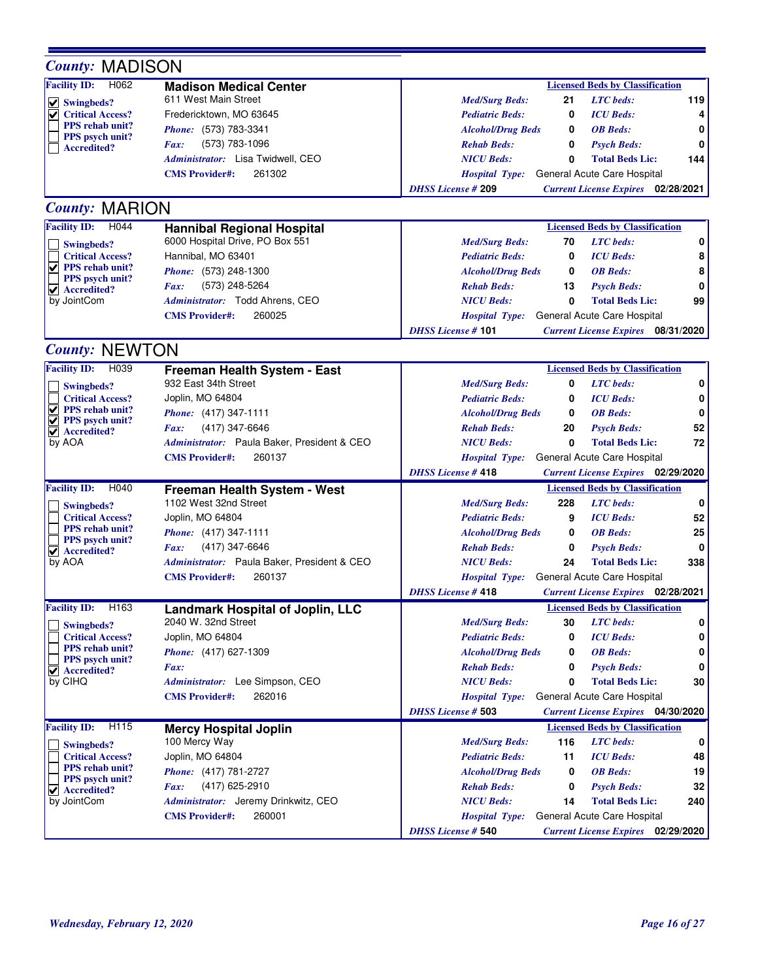| <b>County: MADISON</b>                                  |                                                        |                                                                        |
|---------------------------------------------------------|--------------------------------------------------------|------------------------------------------------------------------------|
| <b>Facility ID:</b><br>H062                             | <b>Madison Medical Center</b>                          | <b>Licensed Beds by Classification</b>                                 |
| $\vee$ Swingbeds?                                       | 611 West Main Street                                   | 119<br><b>LTC</b> beds:<br><b>Med/Surg Beds:</b><br>21                 |
| <b>Critical Access?</b>                                 | Fredericktown, MO 63645                                | <b>Pediatric Beds:</b><br><b>ICU</b> Beds:<br>4<br>0                   |
| <b>PPS</b> rehab unit?<br><b>PPS</b> psych unit?        | Phone: (573) 783-3341                                  | <b>Alcohol/Drug Beds</b><br><b>OB</b> Beds:<br>0<br>0                  |
| <b>Accredited?</b>                                      | (573) 783-1096<br>Fax:                                 | <b>Rehab Beds:</b><br>0<br><b>Psych Beds:</b><br>0                     |
|                                                         | Administrator: Lisa Twidwell, CEO                      | <b>NICU Beds:</b><br><b>Total Beds Lic:</b><br>144<br>0                |
|                                                         | 261302<br><b>CMS</b> Provider#:                        | General Acute Care Hospital<br><b>Hospital Type:</b>                   |
|                                                         |                                                        | <b>DHSS License #209</b><br><b>Current License Expires</b> 02/28/2021  |
| <b>County: MARION</b>                                   |                                                        |                                                                        |
| <b>Facility ID:</b><br>H <sub>044</sub>                 | <b>Hannibal Regional Hospital</b>                      | <b>Licensed Beds by Classification</b>                                 |
| Swingbeds?                                              | 6000 Hospital Drive, PO Box 551                        | 70<br><b>LTC</b> beds:<br>0<br><b>Med/Surg Beds:</b>                   |
| <b>Critical Access?</b>                                 | Hannibal, MO 63401                                     | <b>ICU</b> Beds:<br>8<br><b>Pediatric Beds:</b><br>0                   |
| $ $ PPS rehab unit?                                     | Phone: (573) 248-1300                                  | <b>OB</b> Beds:<br>8<br><b>Alcohol/Drug Beds</b><br>0                  |
| PPS psych unit?<br>$\vert \mathbf{v} \vert$ Accredited? | (573) 248-5264<br>Fax:                                 | 0<br><b>Rehab Beds:</b><br>13<br><b>Psych Beds:</b>                    |
| by JointCom                                             | Administrator: Todd Ahrens, CEO                        | 99<br><b>NICU Beds:</b><br>0<br><b>Total Beds Lic:</b>                 |
|                                                         | 260025<br><b>CMS Provider#:</b>                        | General Acute Care Hospital<br><b>Hospital Type:</b>                   |
|                                                         |                                                        | <b>DHSS License #101</b><br><b>Current License Expires</b> 08/31/2020  |
| <b>County: NEWTON</b>                                   |                                                        |                                                                        |
| <b>Facility ID:</b><br>H039                             | Freeman Health System - East                           | <b>Licensed Beds by Classification</b>                                 |
| Swingbeds?                                              | 932 East 34th Street                                   | 0<br><b>Med/Surg Beds:</b><br><b>LTC</b> beds:<br>0                    |
| <b>Critical Access?</b>                                 | Joplin, MO 64804                                       | 0<br><b>Pediatric Beds:</b><br><b>ICU</b> Beds:<br>0                   |
| <b>PPS</b> rehab unit?                                  | Phone: (417) 347-1111                                  | <b>OB</b> Beds:<br>0<br><b>Alcohol/Drug Beds</b><br>0                  |
| ✔<br><b>PPS</b> psych unit?                             | (417) 347-6646<br>Fax:                                 | 52<br><b>Rehab Beds:</b><br>20<br><b>Psych Beds:</b>                   |
| $\blacktriangleright$ Accredited?<br>by AOA             | Administrator: Paula Baker, President & CEO            | 72<br><b>Total Beds Lic:</b><br><b>NICU Beds:</b><br>0                 |
|                                                         | 260137<br><b>CMS Provider#:</b>                        | General Acute Care Hospital<br><b>Hospital Type:</b>                   |
|                                                         |                                                        | <b>DHSS License #418</b><br><b>Current License Expires</b> 02/29/2020  |
| <b>Facility ID:</b><br>H040                             | Freeman Health System - West                           | <b>Licensed Beds by Classification</b>                                 |
| Swingbeds?                                              | 1102 West 32nd Street                                  | 228<br><b>LTC</b> beds:<br>0<br><b>Med/Surg Beds:</b>                  |
| <b>Critical Access?</b>                                 | Joplin, MO 64804                                       | 52<br><b>ICU</b> Beds:<br><b>Pediatric Beds:</b><br>9                  |
| <b>PPS</b> rehab unit?                                  | Phone: (417) 347-1111                                  | <b>OB</b> Beds:<br>25<br><b>Alcohol/Drug Beds</b><br>0                 |
| PPS psych unit?                                         | (417) 347-6646<br>Fax:                                 | <b>Rehab Beds:</b><br><b>Psych Beds:</b><br>0<br>0                     |
| ✔ Accredited?<br>by AOA                                 | Administrator: Paula Baker, President & CEO            | <b>Total Beds Lic:</b><br><b>NICU Beds:</b><br>24<br>338               |
|                                                         | <b>CMS Provider#:</b><br>260137                        | General Acute Care Hospital<br><b>Hospital Type:</b>                   |
|                                                         |                                                        | <b>DHSS License #418</b><br><b>Current License Expires</b> 02/28/2021  |
| H163<br><b>Facility ID:</b>                             |                                                        | <b>Licensed Beds by Classification</b>                                 |
|                                                         | andmark Hospital of Joplin, LLC<br>2040 W. 32nd Street | <b>LTC</b> beds:<br>30<br>0<br><b>Med/Surg Beds:</b>                   |
| Swingbeds?<br><b>Critical Access?</b>                   | Joplin, MO 64804                                       | <b>ICU</b> Beds:<br><b>Pediatric Beds:</b><br>0<br>0                   |
| <b>PPS</b> rehab unit?                                  | <i>Phone:</i> (417) 627-1309                           | <b>OB</b> Beds:<br>0<br>0                                              |
| PPS psych unit?                                         |                                                        | <b>Alcohol/Drug Beds</b><br>0<br>0                                     |
| $\vee$ Accredited?<br>by CIHQ                           | Fax:<br>Administrator: Lee Simpson, CEO                | <b>Rehab Beds:</b><br><b>Psych Beds:</b>                               |
|                                                         |                                                        | 30<br><b>NICU Beds:</b><br>0<br><b>Total Beds Lic:</b>                 |
|                                                         | 262016<br><b>CMS Provider#:</b>                        | General Acute Care Hospital<br><b>Hospital Type:</b>                   |
|                                                         |                                                        | <b>DHSS License # 503</b><br><b>Current License Expires</b> 04/30/2020 |
| H115<br><b>Facility ID:</b>                             | <b>Mercy Hospital Joplin</b>                           | <b>Licensed Beds by Classification</b>                                 |
| Swingbeds?                                              | 100 Mercy Way                                          | <b>LTC</b> beds:<br><b>Med/Surg Beds:</b><br>0<br>116                  |
| <b>Critical Access?</b><br><b>PPS</b> rehab unit?       | Joplin, MO 64804                                       | <b>Pediatric Beds:</b><br><b>ICU</b> Beds:<br>11<br>48                 |
| PPS psych unit?                                         | Phone: (417) 781-2727                                  | <b>OB</b> Beds:<br><b>Alcohol/Drug Beds</b><br>19<br>0                 |
| $\vee$ Accredited?                                      | (417) 625-2910<br>Fax:                                 | 32<br><b>Rehab Beds:</b><br><b>Psych Beds:</b><br>0                    |
| by JointCom                                             | Administrator: Jeremy Drinkwitz, CEO                   | <b>NICU Beds:</b><br><b>Total Beds Lic:</b><br>14<br>240               |
|                                                         | 260001<br><b>CMS Provider#:</b>                        | General Acute Care Hospital<br><b>Hospital Type:</b>                   |
|                                                         |                                                        | <b>DHSS License # 540</b><br><b>Current License Expires</b> 02/29/2020 |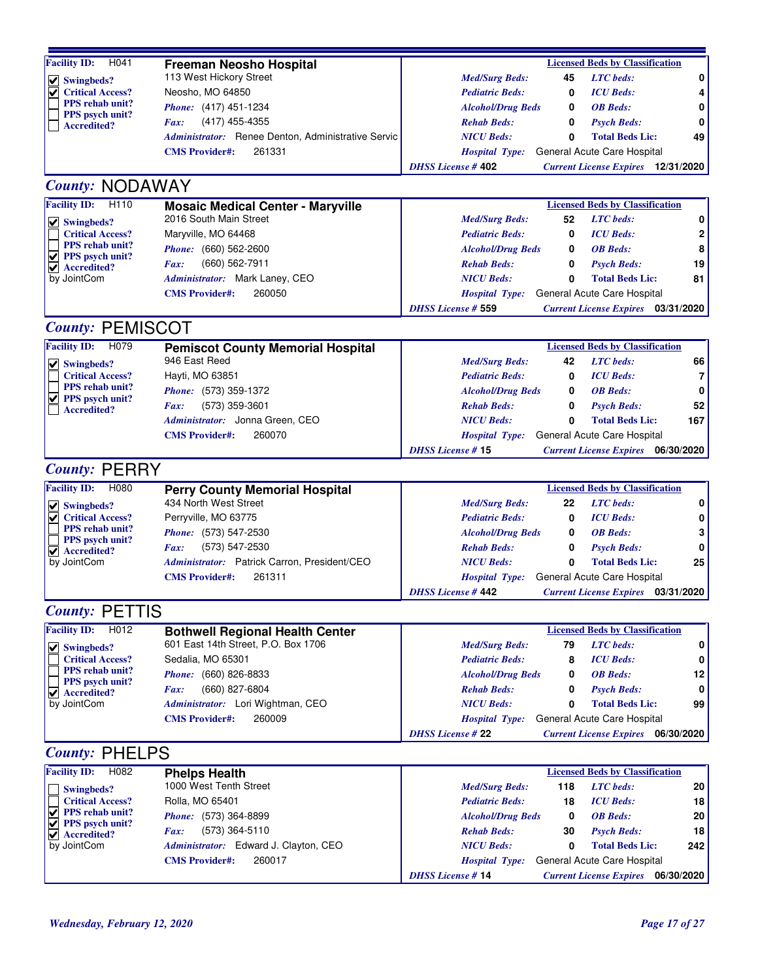| <b>Facility ID:</b><br>H041                      | <b>Freeman Neosho Hospital</b>                     |                           |     | <b>Licensed Beds by Classification</b>    |                |
|--------------------------------------------------|----------------------------------------------------|---------------------------|-----|-------------------------------------------|----------------|
| $\vee$ Swingbeds?                                | 113 West Hickory Street                            | <b>Med/Surg Beds:</b>     | 45  | <b>LTC</b> beds:                          | 0              |
| <b>Critical Access?</b>                          | Neosho, MO 64850                                   | <b>Pediatric Beds:</b>    | 0   | <b>ICU</b> Beds:                          | 4              |
| <b>PPS</b> rehab unit?                           | Phone: (417) 451-1234                              | <b>Alcohol/Drug Beds</b>  | 0   | <b>OB</b> Beds:                           | 0              |
| <b>PPS</b> psych unit?<br><b>Accredited?</b>     | (417) 455-4355<br>Fax:                             | <b>Rehab Beds:</b>        | 0   | <b>Psych Beds:</b>                        | 0              |
|                                                  | Administrator: Renee Denton, Administrative Servic | <b>NICU Beds:</b>         | 0   | <b>Total Beds Lic:</b>                    | 49             |
|                                                  | <b>CMS</b> Provider#:<br>261331                    | <b>Hospital Type:</b>     |     | General Acute Care Hospital               |                |
|                                                  |                                                    | <b>DHSS License #402</b>  |     |                                           |                |
|                                                  |                                                    |                           |     | <b>Current License Expires</b> 12/31/2020 |                |
| <b>County: NODAWAY</b>                           |                                                    |                           |     |                                           |                |
| <b>Facility ID:</b><br>H <sub>110</sub>          | <b>Mosaic Medical Center - Maryville</b>           |                           |     | <b>Licensed Beds by Classification</b>    |                |
| $\vee$ Swingbeds?                                | 2016 South Main Street                             | <b>Med/Surg Beds:</b>     | 52  | <b>LTC</b> beds:                          | 0              |
| <b>Critical Access?</b>                          | Maryville, MO 64468                                | <b>Pediatric Beds:</b>    | 0   | <b>ICU</b> Beds:                          | 2              |
| <b>PPS</b> rehab unit?                           | Phone: (660) 562-2600                              | <b>Alcohol/Drug Beds</b>  | 0   | <b>OB</b> Beds:                           | 8              |
| $\vee$ PPS psych unit?                           | (660) 562-7911<br>Fax:                             | <b>Rehab Beds:</b>        | 0   | <b>Psych Beds:</b>                        | 19             |
| $\vee$ Accredited?                               |                                                    |                           |     |                                           | 81             |
| by JointCom                                      | Administrator: Mark Laney, CEO                     | <b>NICU Beds:</b>         | 0   | <b>Total Beds Lic:</b>                    |                |
|                                                  | 260050<br><b>CMS</b> Provider#:                    | <b>Hospital Type:</b>     |     | General Acute Care Hospital               |                |
|                                                  |                                                    | <b>DHSS License # 559</b> |     | <b>Current License Expires</b> 03/31/2020 |                |
| <b>County: PEMISCOT</b>                          |                                                    |                           |     |                                           |                |
| <b>Facility ID:</b><br>H <sub>079</sub>          | <b>Pemiscot County Memorial Hospital</b>           |                           |     | <b>Licensed Beds by Classification</b>    |                |
| $  \vee  $ Swingbeds?                            | 946 East Reed                                      | <b>Med/Surg Beds:</b>     | 42  | <b>LTC</b> beds:                          | 66             |
| <b>Critical Access?</b>                          | Hayti, MO 63851                                    | <b>Pediatric Beds:</b>    | 0   | <b>ICU</b> Beds:                          | $\overline{7}$ |
| <b>PPS</b> rehab unit?                           | Phone: (573) 359-1372                              | <b>Alcohol/Drug Beds</b>  | 0   | <b>OB</b> Beds:                           | 0              |
| <b>PPS</b> psych unit?                           |                                                    |                           |     |                                           | 52             |
| <b>Accredited?</b>                               | (573) 359-3601<br>Fax:                             | <b>Rehab Beds:</b>        | 0   | <b>Psych Beds:</b>                        |                |
|                                                  | Administrator: Jonna Green, CEO                    | <b>NICU</b> Beds:         | 0   | <b>Total Beds Lic:</b>                    | 167            |
|                                                  | 260070<br><b>CMS Provider#:</b>                    | <b>Hospital Type:</b>     |     | General Acute Care Hospital               |                |
|                                                  |                                                    | <b>DHSS License #15</b>   |     | <b>Current License Expires</b> 06/30/2020 |                |
| <b>County: PERRY</b>                             |                                                    |                           |     |                                           |                |
| <b>Facility ID:</b><br>H080                      | <b>Perry County Memorial Hospital</b>              |                           |     | <b>Licensed Beds by Classification</b>    |                |
| $\vee$ Swingbeds?                                | 434 North West Street                              | <b>Med/Surg Beds:</b>     | 22  | <b>LTC</b> beds:                          | 0              |
| ✔<br><b>Critical Access?</b>                     | Perryville, MO 63775                               | <b>Pediatric Beds:</b>    | 0   | <b>ICU</b> Beds:                          | 0              |
| PPS rehab unit?                                  | Phone: (573) 547-2530                              | <b>Alcohol/Drug Beds</b>  | 0   | <b>OB</b> Beds:                           | 3              |
| PPS psych unit?                                  | (573) 547-2530<br>Fax:                             | <b>Rehab Beds:</b>        | 0   | <b>Psych Beds:</b>                        | 0              |
| $\blacktriangledown$ Accredited?                 |                                                    | <b>NICU Beds:</b>         |     |                                           |                |
| by JointCom                                      | Administrator: Patrick Carron, President/CEO       |                           | 0   | <b>Total Beds Lic:</b>                    | 25             |
|                                                  | 261311<br><b>CMS</b> Provider#:                    | <b>Hospital Type:</b>     |     | General Acute Care Hospital               |                |
|                                                  |                                                    | <b>DHSS License #442</b>  |     | <b>Current License Expires</b> 03/31/2020 |                |
| <b>County: PETTIS</b>                            |                                                    |                           |     |                                           |                |
| <b>Facility ID:</b><br>H012                      | <b>Bothwell Regional Health Center</b>             |                           |     | <b>Licensed Beds by Classification</b>    |                |
| $\vee$ Swingbeds?                                | 601 East 14th Street, P.O. Box 1706                | <b>Med/Surg Beds:</b>     | 79  | <b>LTC</b> beds:                          | 0              |
| <b>Critical Access?</b>                          | Sedalia, MO 65301                                  | <b>Pediatric Beds:</b>    | 8   | <b>ICU</b> Beds:                          | 0              |
| <b>PPS</b> rehab unit?                           | Phone: (660) 826-8833                              | <b>Alcohol/Drug Beds</b>  | 0   | <b>OB</b> Beds:                           | 12             |
| PPS psych unit?                                  | (660) 827-6804<br>Fax:                             | <b>Rehab Beds:</b>        | 0   | <b>Psych Beds:</b>                        | $\mathbf 0$    |
| $\blacktriangleright$ Accredited?<br>by JointCom |                                                    |                           |     |                                           |                |
|                                                  | Administrator: Lori Wightman, CEO                  | <b>NICU Beds:</b>         | 0   | <b>Total Beds Lic:</b>                    | 99             |
|                                                  | 260009<br><b>CMS Provider#:</b>                    | <b>Hospital Type:</b>     |     | General Acute Care Hospital               |                |
|                                                  |                                                    | <b>DHSS</b> License # 22  |     | <b>Current License Expires</b> 06/30/2020 |                |
| <b>County: PHELPS</b>                            |                                                    |                           |     |                                           |                |
| <b>Facility ID:</b><br>H082                      | <b>Phelps Health</b>                               |                           |     | <b>Licensed Beds by Classification</b>    |                |
| Swingbeds?                                       | 1000 West Tenth Street                             | <b>Med/Surg Beds:</b>     | 118 | <b>LTC</b> beds:                          | 20             |
| <b>Critical Access?</b>                          | Rolla, MO 65401                                    | <b>Pediatric Beds:</b>    | 18  | <b>ICU</b> Beds:                          | 18             |
| ✔<br><b>PPS</b> rehab unit?                      | Phone: (573) 364-8899                              | <b>Alcohol/Drug Beds</b>  | 0   | <b>OB</b> Beds:                           | 20             |
| PPS psych unit?<br>✔                             | (573) 364-5110<br>Fax:                             | <b>Rehab Beds:</b>        | 30  | <b>Psych Beds:</b>                        | 18             |
| $\vee$ Accredited?<br>by JointCom                | Administrator: Edward J. Clayton, CEO              | <b>NICU Beds:</b>         | 0   | <b>Total Beds Lic:</b>                    | 242            |
|                                                  |                                                    |                           |     |                                           |                |
|                                                  | <b>CMS Provider#:</b><br>260017                    | <b>Hospital Type:</b>     |     | General Acute Care Hospital               |                |
|                                                  |                                                    | <b>DHSS License #14</b>   |     | <b>Current License Expires</b> 06/30/2020 |                |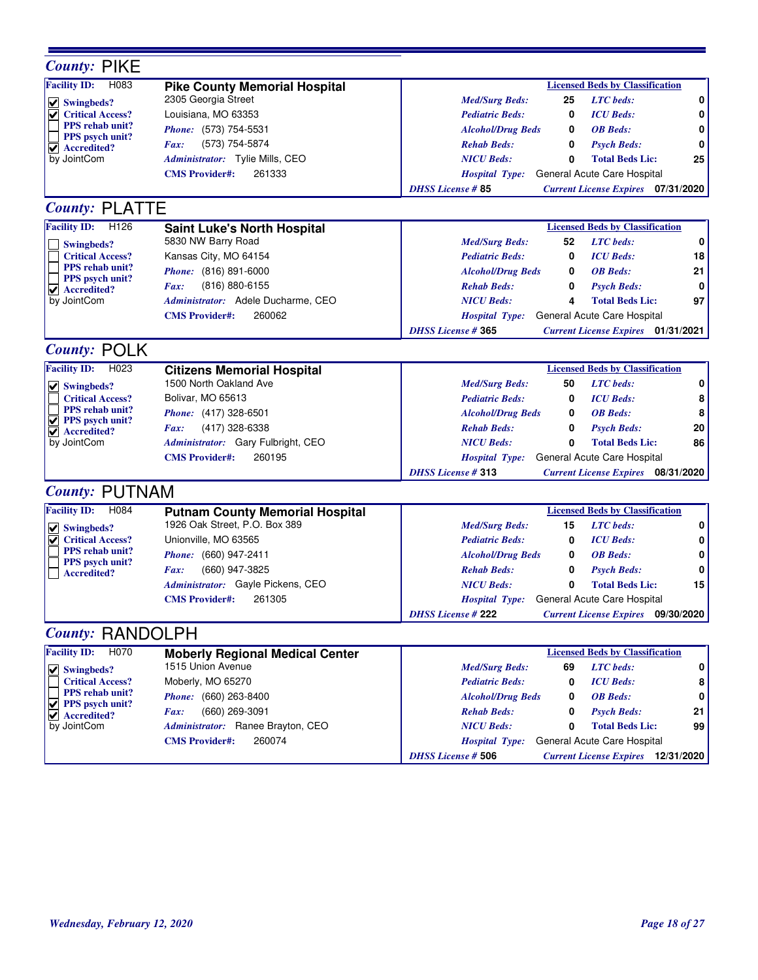| <b>County: PIKE</b>                                        |                                        |                                                                           |
|------------------------------------------------------------|----------------------------------------|---------------------------------------------------------------------------|
| <b>Facility ID:</b><br>H083                                | <b>Pike County Memorial Hospital</b>   | <b>Licensed Beds by Classification</b>                                    |
| $\vee$ Swingbeds?                                          | 2305 Georgia Street                    | 0<br>25<br><b>LTC</b> beds:<br><b>Med/Surg Beds:</b>                      |
| <b>Critical Access?</b>                                    | Louisiana, MO 63353                    | <b>ICU</b> Beds:<br>0<br><b>Pediatric Beds:</b><br>0                      |
| <b>PPS</b> rehab unit?                                     | Phone: (573) 754-5531                  | 0<br><b>Alcohol/Drug Beds</b><br>0<br><b>OB</b> Beds:                     |
| <b>PPS</b> psych unit?<br>$\blacktriangledown$ Accredited? | (573) 754-5874<br>Fax:                 | 0<br><b>Rehab Beds:</b><br>0<br><b>Psych Beds:</b>                        |
| by JointCom                                                | Administrator: Tylie Mills, CEO        | <b>NICU Beds:</b><br>$\mathbf{0}$<br><b>Total Beds Lic:</b><br>25         |
|                                                            | <b>CMS Provider#:</b><br>261333        | General Acute Care Hospital<br><b>Hospital Type:</b>                      |
|                                                            |                                        | <b>DHSS License #85</b><br><b>Current License Expires</b> 07/31/2020      |
| <b>County: PLATTE</b>                                      |                                        |                                                                           |
| <b>Facility ID:</b><br>H <sub>126</sub>                    | <b>Saint Luke's North Hospital</b>     | <b>Licensed Beds by Classification</b>                                    |
|                                                            | 5830 NW Barry Road                     | <b>LTC</b> beds:<br>$\mathbf 0$<br>52<br><b>Med/Surg Beds:</b>            |
| Swingbeds?<br><b>Critical Access?</b>                      | Kansas City, MO 64154                  | 18<br><b>ICU</b> Beds:<br><b>Pediatric Beds:</b><br>0                     |
| <b>PPS</b> rehab unit?                                     | Phone: (816) 891-6000                  | 21<br>0<br><b>OB</b> Beds:                                                |
| PPS psych unit?                                            | (816) 880-6155                         | <b>Alcohol/Drug Beds</b><br>0                                             |
| $\blacktriangledown$ Accredited?<br>by JointCom            | Fax:                                   | <b>Rehab Beds:</b><br>0<br><b>Psych Beds:</b><br>97                       |
|                                                            | Administrator: Adele Ducharme, CEO     | <b>NICU Beds:</b><br>4<br><b>Total Beds Lic:</b>                          |
|                                                            | 260062<br><b>CMS</b> Provider#:        | General Acute Care Hospital<br><i>Hospital Type:</i>                      |
|                                                            |                                        | <b>DHSS License #365</b><br><b>Current License Expires</b> 01/31/2021     |
| <b>County: POLK</b>                                        |                                        |                                                                           |
| <b>Facility ID:</b><br>H <sub>023</sub>                    | <b>Citizens Memorial Hospital</b>      | <b>Licensed Beds by Classification</b>                                    |
| $\vee$ Swingbeds?                                          | 1500 North Oakland Ave                 | <b>LTC</b> beds:<br>0<br><b>Med/Surg Beds:</b><br>50                      |
| <b>Critical Access?</b>                                    | Bolivar, MO 65613                      | 8<br><b>ICU</b> Beds:<br><b>Pediatric Beds:</b><br>0                      |
| PPS rehab unit?                                            | Phone: (417) 328-6501                  | 8<br><b>OB</b> Beds:<br><b>Alcohol/Drug Beds</b><br>0                     |
| $\vee$ PPS psych unit?<br>$\vee$ Accredited?               | (417) 328-6338<br>Fax:                 | 20<br><b>Rehab Beds:</b><br><b>Psych Beds:</b><br>0                       |
| by JointCom                                                | Administrator: Gary Fulbright, CEO     | 86<br><b>NICU Beds:</b><br><b>Total Beds Lic:</b><br>0                    |
|                                                            | 260195<br><b>CMS Provider#:</b>        | General Acute Care Hospital<br><b>Hospital Type:</b>                      |
|                                                            |                                        | <b>DHSS License #313</b><br><b>Current License Expires</b> 08/31/2020     |
| <b>County: PUTNAM</b>                                      |                                        |                                                                           |
| <b>Facility ID:</b><br>H084                                | <b>Putnam County Memorial Hospital</b> | <b>Licensed Beds by Classification</b>                                    |
| $\vee$ Swingbeds?                                          | 1926 Oak Street, P.O. Box 389          | <b>LTC</b> beds:<br><b>Med/Surg Beds:</b><br>0<br>15                      |
| <b>Critical Access?</b>                                    | Unionville, MO 63565                   | <b>Pediatric Beds:</b><br><b>ICU</b> Beds:<br>0<br>0                      |
| PPS rehab unit?                                            | Phone: (660) 947-2411                  | 0<br><b>Alcohol/Drug Beds</b><br><b>OB</b> Beds:<br>0                     |
| <b>PPS</b> psych unit?<br><b>Accredited?</b>               | (660) 947-3825<br>Fax:                 | $\mathbf 0$<br><b>Rehab Beds:</b><br><b>Psych Beds:</b><br>0              |
|                                                            | Administrator: Gayle Pickens, CEO      | 15<br><b>NICU Beds:</b><br><b>Total Beds Lic:</b><br>0                    |
|                                                            | 261305<br><b>CMS</b> Provider#:        | Hospital Type: General Acute Care Hospital                                |
|                                                            |                                        | <b>DHSS License # 222</b><br><b>Current License Expires</b><br>09/30/2020 |
| <b>County: RANDOLPH</b>                                    |                                        |                                                                           |
| <b>Facility ID:</b><br>H <sub>070</sub>                    | <b>Moberly Regional Medical Center</b> | <b>Licensed Beds by Classification</b>                                    |
|                                                            | 1515 Union Avenue                      | <b>LTC</b> beds:<br>0<br><b>Med/Surg Beds:</b><br>69                      |
| $  \vee  $ Swingbeds?<br><b>Critical Access?</b>           | Moberly, MO 65270                      | <b>ICU</b> Beds:<br>8<br><b>Pediatric Beds:</b><br>0                      |
| <b>PPS</b> rehab unit?                                     | <i>Phone:</i> (660) 263-8400           | <b>OB</b> Beds:<br>0                                                      |
| $\triangledown$ PPS psych unit?                            |                                        | <b>Alcohol/Drug Beds</b><br>0                                             |
| $\vee$ Accredited?                                         | (660) 269-3091<br>Fax:                 | 21<br><b>Rehab Beds:</b><br><b>Psych Beds:</b><br>0                       |
| by JointCom                                                | Administrator: Ranee Brayton, CEO      | <b>NICU Beds:</b><br><b>Total Beds Lic:</b><br>99<br>0                    |
|                                                            | 260074<br><b>CMS</b> Provider#:        | General Acute Care Hospital<br><b>Hospital Type:</b>                      |
|                                                            |                                        | <b>DHSS License # 506</b><br><b>Current License Expires</b> 12/31/2020    |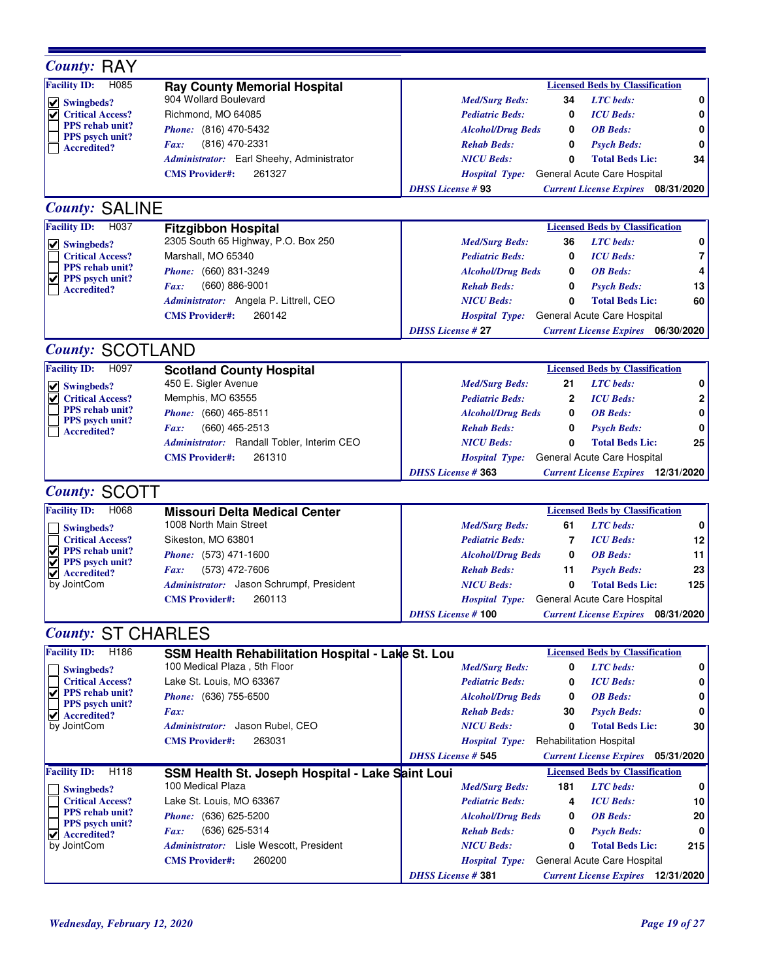| <b>County: RAY</b>                                     |                                                                |                                                                                                                               |
|--------------------------------------------------------|----------------------------------------------------------------|-------------------------------------------------------------------------------------------------------------------------------|
| <b>Facility ID:</b><br>H085                            | <b>Ray County Memorial Hospital</b>                            | <b>Licensed Beds by Classification</b>                                                                                        |
| $  \vee  $ Swingbeds?                                  | 904 Wollard Boulevard                                          | <b>LTC</b> beds:<br><b>Med/Surg Beds:</b><br>34                                                                               |
| <b>Critical Access?</b>                                | Richmond, MO 64085                                             | <b>ICU</b> Beds:<br><b>Pediatric Beds:</b><br>0                                                                               |
| <b>PPS</b> rehab unit?                                 | Phone: (816) 470-5432                                          | <b>OB</b> Beds:<br><b>Alcohol/Drug Beds</b><br>0                                                                              |
| <b>PPS</b> psych unit?<br><b>Accredited?</b>           | (816) 470-2331<br>Fax:                                         | <b>Rehab Beds:</b><br>0<br><b>Psych Beds:</b>                                                                                 |
|                                                        | Administrator: Earl Sheehy, Administrator                      | <b>NICU</b> Beds:<br><b>Total Beds Lic:</b><br>34<br>0                                                                        |
|                                                        | 261327<br><b>CMS Provider#:</b>                                | General Acute Care Hospital<br><b>Hospital Type:</b>                                                                          |
|                                                        |                                                                | <b>DHSS License #93</b><br><b>Current License Expires</b> 08/31/2020                                                          |
| <b>County: SALINE</b>                                  |                                                                |                                                                                                                               |
| <b>Facility ID:</b><br>H037                            | <b>Fitzgibbon Hospital</b>                                     | <b>Licensed Beds by Classification</b>                                                                                        |
| $  \vee  $ Swingbeds?                                  | 2305 South 65 Highway, P.O. Box 250                            | <b>LTC</b> beds:<br><b>Med/Surg Beds:</b><br>36                                                                               |
| <b>Critical Access?</b>                                | Marshall, MO 65340                                             | <b>ICU</b> Beds:<br><b>Pediatric Beds:</b><br>0                                                                               |
| PPS rehab unit?                                        | Phone: (660) 831-3249                                          | <b>OB</b> Beds:<br><b>Alcohol/Drug Beds</b><br>0                                                                              |
| $\sqrt{ }$ PPS psych unit?<br><b>Accredited?</b>       | $(660) 886 - 9001$<br>Fax:                                     | 0<br>13<br><b>Rehab Beds:</b><br><b>Psych Beds:</b>                                                                           |
|                                                        | Administrator: Angela P. Littrell, CEO                         | 60<br><b>NICU Beds:</b><br>0<br><b>Total Beds Lic:</b>                                                                        |
|                                                        | 260142<br><b>CMS</b> Provider#:                                | General Acute Care Hospital<br><b>Hospital Type:</b>                                                                          |
|                                                        |                                                                | <b>DHSS License #27</b><br><b>Current License Expires</b> 06/30/2020                                                          |
| <b>County: SCOTLAND</b>                                |                                                                |                                                                                                                               |
| <b>Facility ID:</b><br>H097                            | <b>Scotland County Hospital</b>                                | <b>Licensed Beds by Classification</b>                                                                                        |
| $\vee$ Swingbeds?                                      | 450 E. Sigler Avenue                                           | <b>LTC</b> beds:<br><b>Med/Surg Beds:</b><br>21                                                                               |
| <b>Critical Access?</b><br>✔                           | Memphis, MO 63555                                              | <b>Pediatric Beds:</b><br>$\mathbf{2}$<br><b>ICU</b> Beds:                                                                    |
| <b>PPS</b> rehab unit?                                 | Phone: (660) 465-8511                                          | 0<br><b>OB</b> Beds:<br><b>Alcohol/Drug Beds</b>                                                                              |
| PPS psych unit?                                        | (660) 465-2513<br>Fax:                                         | <b>Rehab Beds:</b><br>0<br><b>Psych Beds:</b>                                                                                 |
| <b>Accredited?</b>                                     | Administrator: Randall Tobler, Interim CEO                     | 25<br><b>NICU</b> Beds:<br>0<br><b>Total Beds Lic:</b>                                                                        |
|                                                        | 261310<br><b>CMS Provider#:</b>                                | General Acute Care Hospital<br><b>Hospital Type:</b>                                                                          |
|                                                        |                                                                | <b>DHSS License #363</b><br><b>Current License Expires</b> 12/31/2020                                                         |
|                                                        |                                                                |                                                                                                                               |
| <b>County: SCOTT</b>                                   |                                                                |                                                                                                                               |
| H068                                                   |                                                                |                                                                                                                               |
| <b>Facility ID:</b>                                    | <b>Missouri Delta Medical Center</b><br>1008 North Main Street | <b>Licensed Beds by Classification</b>                                                                                        |
| Swingbeds?                                             |                                                                | <b>LTC</b> beds:<br><b>Med/Surg Beds:</b><br>61                                                                               |
| <b>Critical Access?</b><br>$\sqrt{\ }$ PPS rehab unit? | Sikeston, MO 63801                                             | <b>ICU</b> Beds:<br>12<br><b>Pediatric Beds:</b><br>7                                                                         |
| $\sqrt{ }$ PPS psych unit?                             | Phone: (573) 471-1600                                          | <b>OB</b> Beds:<br>11<br><b>Alcohol/Drug Beds</b><br>0                                                                        |
| $\blacktriangledown$ Accredited?                       | (573) 472-7606<br>Fax:                                         | <b>Rehab Beds:</b><br>23<br><b>Psych Beds:</b><br>11                                                                          |
| by JointCom                                            | Administrator: Jason Schrumpf, President                       | <b>NICU</b> Beds:<br>$\mathbf{0}$<br><b>Total Beds Lic:</b><br>125                                                            |
|                                                        | 260113<br><b>CMS Provider#:</b>                                | Hospital Type: General Acute Care Hospital                                                                                    |
|                                                        |                                                                | <b>DHSS License #100</b><br><b>Current License Expires</b><br>08/31/2020                                                      |
| <b>County: ST CHARLES</b>                              |                                                                |                                                                                                                               |
| H <sub>186</sub><br><b>Facility ID:</b>                | SSM Health Rehabilitation Hospital - Lake St. Lou              | <b>Licensed Beds by Classification</b>                                                                                        |
| Swingbeds?                                             | 100 Medical Plaza, 5th Floor                                   | <b>LTC</b> beds:<br><b>Med/Surg Beds:</b><br>0                                                                                |
| <b>Critical Access?</b>                                | Lake St. Louis, MO 63367                                       | <b>Pediatric Beds:</b><br>0<br><b>ICU</b> Beds:                                                                               |
| ✔<br><b>PPS</b> rehab unit?<br>PPS psych unit?         | <i>Phone:</i> (636) 755-6500                                   | <b>Alcohol/Drug Beds</b><br>0<br><b>OB</b> Beds:                                                                              |
| $\blacktriangleright$ Accredited?                      | Fax:                                                           | <b>Rehab Beds:</b><br>30<br><b>Psych Beds:</b>                                                                                |
| by JointCom                                            | Administrator: Jason Rubel, CEO                                | <b>NICU Beds:</b><br>0<br><b>Total Beds Lic:</b><br>30                                                                        |
|                                                        | 263031<br><b>CMS</b> Provider#:                                | <b>Rehabilitation Hospital</b><br><b>Hospital Type:</b>                                                                       |
|                                                        |                                                                | <b>DHSS License # 545</b><br><b>Current License Expires</b> 05/31/2020                                                        |
| <b>Facility ID:</b><br>H118                            | SSM Health St. Joseph Hospital - Lake Saint Loui               | <b>Licensed Beds by Classification</b>                                                                                        |
| Swingbeds?                                             | 100 Medical Plaza                                              | <b>LTC</b> beds:<br><b>Med/Surg Beds:</b><br>181                                                                              |
| <b>Critical Access?</b>                                | Lake St. Louis, MO 63367                                       | <b>Pediatric Beds:</b><br><b>ICU</b> Beds:<br>10<br>4                                                                         |
| <b>PPS</b> rehab unit?<br><b>PPS</b> psych unit?       | <i>Phone:</i> (636) 625-5200                                   | <b>Alcohol/Drug Beds</b><br><b>OB</b> Beds:<br>20<br>0                                                                        |
| $ $ Accredited?                                        | (636) 625-5314<br>Fax:                                         | <b>Rehab Beds:</b><br>0<br><b>Psych Beds:</b>                                                                                 |
| by JointCom                                            | Administrator: Lisle Wescott, President                        | <b>NICU Beds:</b><br>0<br>215<br><b>Total Beds Lic:</b>                                                                       |
|                                                        | 260200<br><b>CMS</b> Provider#:                                | General Acute Care Hospital<br><b>Hospital Type:</b><br><b>DHSS License #381</b><br><b>Current License Expires</b> 12/31/2020 |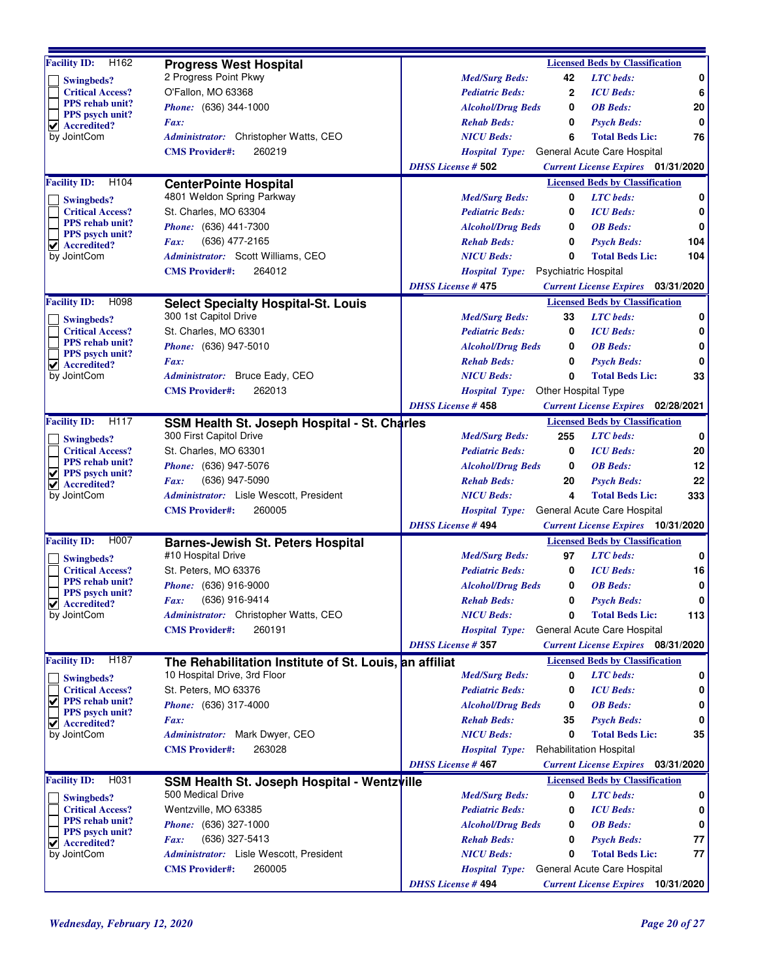| H162<br><b>Facility ID:</b>                                 | <b>Progress West Hospital</b>                                    |                                                   |              | <b>Licensed Beds by Classification</b>                                   |             |
|-------------------------------------------------------------|------------------------------------------------------------------|---------------------------------------------------|--------------|--------------------------------------------------------------------------|-------------|
| Swingbeds?                                                  | 2 Progress Point Pkwy                                            | <b>Med/Surg Beds:</b>                             | 42           | <b>LTC</b> beds:                                                         | 0           |
| <b>Critical Access?</b>                                     | O'Fallon, MO 63368                                               | <b>Pediatric Beds:</b>                            | $\mathbf{2}$ | <b>ICU</b> Beds:                                                         | 6           |
| PPS rehab unit?                                             | Phone: (636) 344-1000                                            | <b>Alcohol/Drug Beds</b>                          | 0            | <b>OB</b> Beds:                                                          | 20          |
| <b>PPS</b> psych unit?<br>$\blacktriangleright$ Accredited? | Fax:                                                             | <b>Rehab Beds:</b>                                | 0            | <b>Psych Beds:</b>                                                       | 0           |
| by JointCom                                                 | Administrator: Christopher Watts, CEO                            | <b>NICU Beds:</b>                                 | 6            | <b>Total Beds Lic:</b>                                                   | 76          |
|                                                             | 260219<br><b>CMS</b> Provider#:                                  | <b>Hospital Type:</b>                             |              | General Acute Care Hospital                                              |             |
|                                                             |                                                                  | <b>DHSS License # 502</b>                         |              | <b>Current License Expires</b> 01/31/2020                                |             |
| <b>Facility ID:</b><br>H <sub>104</sub>                     |                                                                  |                                                   |              | <b>Licensed Beds by Classification</b>                                   |             |
|                                                             | <b>CenterPointe Hospital</b><br>4801 Weldon Spring Parkway       | <b>Med/Surg Beds:</b>                             | 0            | <b>LTC</b> beds:                                                         | 0           |
| Swingbeds?                                                  | St. Charles, MO 63304                                            |                                                   | 0            |                                                                          | 0           |
| <b>Critical Access?</b><br><b>PPS</b> rehab unit?           |                                                                  | <b>Pediatric Beds:</b>                            |              | <b>ICU</b> Beds:                                                         |             |
| <b>PPS</b> psych unit?                                      | Phone: (636) 441-7300                                            | <b>Alcohol/Drug Beds</b>                          | 0            | <b>OB</b> Beds:                                                          | 0           |
| $\blacktriangleright$ Accredited?                           | (636) 477-2165<br>Fax:                                           | <b>Rehab Beds:</b>                                | 0            | <b>Psych Beds:</b>                                                       | 104         |
| by JointCom                                                 | Administrator: Scott Williams, CEO                               | <b>NICU Beds:</b>                                 | 0            | <b>Total Beds Lic:</b>                                                   | 104         |
|                                                             | 264012<br><b>CMS</b> Provider#:                                  | Hospital Type: Psychiatric Hospital               |              |                                                                          |             |
|                                                             |                                                                  | <b>DHSS License #475</b>                          |              | <b>Current License Expires</b> 03/31/2020                                |             |
| <b>Facility ID:</b><br>H098                                 | <b>Select Specialty Hospital-St. Louis</b>                       |                                                   |              | <b>Licensed Beds by Classification</b>                                   |             |
| Swingbeds?                                                  | 300 1st Capitol Drive                                            | <b>Med/Surg Beds:</b>                             | 33           | <b>LTC</b> beds:                                                         | 0           |
| <b>Critical Access?</b>                                     | St. Charles, MO 63301                                            | <b>Pediatric Beds:</b>                            | 0            | <b>ICU</b> Beds:                                                         | 0           |
| <b>PPS</b> rehab unit?                                      | Phone: (636) 947-5010                                            | <b>Alcohol/Drug Beds</b>                          | 0            | <b>OB</b> Beds:                                                          | 0           |
| <b>PPS</b> psych unit?<br>✔ Accredited?                     | Fax:                                                             | <b>Rehab Beds:</b>                                | 0            | <b>Psych Beds:</b>                                                       | 0           |
| by JointCom                                                 | Administrator: Bruce Eady, CEO                                   | <b>NICU Beds:</b>                                 | 0            | <b>Total Beds Lic:</b>                                                   | 33          |
|                                                             | 262013<br><b>CMS</b> Provider#:                                  | <i>Hospital Type:</i> Other Hospital Type         |              |                                                                          |             |
|                                                             |                                                                  | <b>DHSS License #458</b>                          |              | <b>Current License Expires</b> 02/28/2021                                |             |
| <b>Facility ID:</b><br>H117                                 | SSM Health St. Joseph Hospital - St. Charles                     |                                                   |              | <b>Licensed Beds by Classification</b>                                   |             |
|                                                             | 300 First Capitol Drive                                          | <b>Med/Surg Beds:</b>                             | 255          | <b>LTC</b> beds:                                                         | 0           |
| Swingbeds?<br><b>Critical Access?</b>                       | St. Charles, MO 63301                                            | <b>Pediatric Beds:</b>                            | 0            | <b>ICU</b> Beds:                                                         | 20          |
| PPS rehab unit?                                             | <i>Phone:</i> (636) 947-5076                                     |                                                   |              | <b>OB</b> Beds:                                                          | 12          |
| V<br><b>PPS</b> psych unit?                                 |                                                                  | <b>Alcohol/Drug Beds</b>                          | 0            |                                                                          |             |
| $\vee$ Accredited?                                          | (636) 947-5090<br>Fax:                                           | <b>Rehab Beds:</b>                                | 20           | <b>Psych Beds:</b>                                                       | 22          |
| by JointCom                                                 | Administrator: Lisle Wescott, President                          | <b>NICU Beds:</b>                                 | 4            | <b>Total Beds Lic:</b>                                                   | 333         |
|                                                             | <b>CMS Provider#:</b><br>260005                                  | <b>Hospital Type:</b>                             |              | General Acute Care Hospital                                              |             |
|                                                             |                                                                  | <b>DHSS License #494</b>                          |              | <b>Current License Expires</b> 10/31/2020                                |             |
| <b>Facility ID:</b><br>H007                                 | <b>Barnes-Jewish St. Peters Hospital</b>                         |                                                   |              | <b>Licensed Beds by Classification</b>                                   |             |
| Swingbeds?                                                  | #10 Hospital Drive                                               | <b>Med/Surg Beds:</b>                             | 97           | <b>LTC</b> beds:                                                         | 0           |
| <b>Critical Access?</b>                                     | St. Peters, MO 63376                                             | <b>Pediatric Beds:</b>                            | 0            | <b>ICU</b> Beds:                                                         | 16          |
| PPS rehab unit?                                             | Phone: (636) 916-9000                                            | <b>Alcohol/Drug Beds</b>                          | 0            | <b>OB</b> Beds:                                                          | 0           |
| PPS psych unit?<br>$\sqrt{\phantom{a}}$ Accredited?         | (636) 916-9414<br>Fax:                                           | <b>Rehab Beds:</b>                                | 0            | <b>Psych Beds:</b>                                                       | $\mathbf 0$ |
| by JointCom                                                 | Administrator: Christopher Watts, CEO                            | <b>NICU Beds:</b>                                 | 0            | <b>Total Beds Lic:</b>                                                   | 113         |
|                                                             | <b>CMS</b> Provider#:<br>260191                                  | <b>Hospital Type:</b>                             |              | General Acute Care Hospital                                              |             |
|                                                             |                                                                  | <b>DHSS License #357</b>                          |              | <b>Current License Expires</b> 08/31/2020                                |             |
| <b>Facility ID:</b><br>H187                                 | The Rehabilitation Institute of St. Louis, an affiliat           |                                                   |              | <b>Licensed Beds by Classification</b>                                   |             |
| Swingbeds?                                                  | 10 Hospital Drive, 3rd Floor                                     | <b>Med/Surg Beds:</b>                             | 0            | <b>LTC</b> beds:                                                         | 0           |
| <b>Critical Access?</b>                                     | St. Peters, MO 63376                                             | <b>Pediatric Beds:</b>                            | 0            | <b>ICU</b> Beds:                                                         | 0           |
| ⊻<br><b>PPS</b> rehab unit?                                 | <i>Phone:</i> (636) 317-4000                                     | <b>Alcohol/Drug Beds</b>                          | 0            | <b>OB</b> Beds:                                                          | 0           |
| PPS psych unit?                                             | Fax:                                                             | <b>Rehab Beds:</b>                                | 35           | <b>Psych Beds:</b>                                                       | 0           |
| Accredited?<br>M<br>by JointCom                             | Administrator: Mark Dwyer, CEO                                   | <b>NICU</b> Beds:                                 | 0            | <b>Total Beds Lic:</b>                                                   | 35          |
|                                                             | 263028<br><b>CMS</b> Provider#:                                  | <b>Hospital Type:</b>                             |              | <b>Rehabilitation Hospital</b>                                           |             |
|                                                             |                                                                  |                                                   |              | <b>Current License Expires</b> 03/31/2020                                |             |
| H031                                                        |                                                                  | <b>DHSS License #467</b>                          |              |                                                                          |             |
| <b>Facility ID:</b>                                         | SSM Health St. Joseph Hospital - Wentzville<br>500 Medical Drive |                                                   |              | <b>Licensed Beds by Classification</b>                                   |             |
| Swingbeds?                                                  |                                                                  | <b>Med/Surg Beds:</b>                             | 0            | <b>LTC</b> beds:                                                         | 0           |
| <b>Critical Access?</b><br>PPS rehab unit?                  | Wentzville, MO 63385                                             | <b>Pediatric Beds:</b>                            | 0            | <b>ICU</b> Beds:                                                         | 0           |
| PPS psych unit?                                             | <i>Phone:</i> (636) 327-1000                                     | <b>Alcohol/Drug Beds</b>                          | 0            | <b>OB</b> Beds:                                                          | 0           |
| Accredited?<br>V                                            | (636) 327-5413<br>Fax:                                           | <b>Rehab Beds:</b>                                | 0            | <b>Psych Beds:</b>                                                       | 77          |
| by JointCom                                                 | Administrator: Lisle Wescott, President                          | <b>NICU Beds:</b>                                 | 0            | <b>Total Beds Lic:</b>                                                   | 77          |
|                                                             |                                                                  |                                                   |              |                                                                          |             |
|                                                             | 260005<br><b>CMS</b> Provider#:                                  | <b>Hospital Type:</b><br><b>DHSS</b> License #494 |              | General Acute Care Hospital<br><b>Current License Expires</b> 10/31/2020 |             |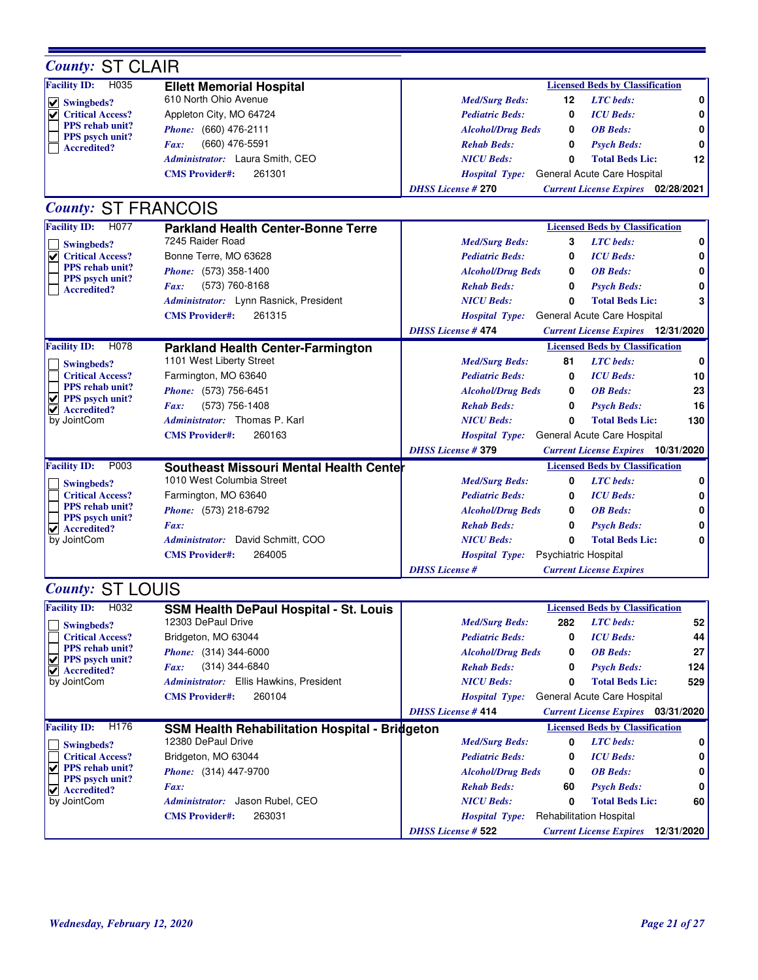| <b>County: ST CLAIR</b>                             |                                                |                           |                      |                                           |     |
|-----------------------------------------------------|------------------------------------------------|---------------------------|----------------------|-------------------------------------------|-----|
| <b>Facility ID:</b><br>H035                         | <b>Ellett Memorial Hospital</b>                |                           |                      | <b>Licensed Beds by Classification</b>    |     |
| $\vee$ Swingbeds?                                   | 610 North Ohio Avenue                          | <b>Med/Surg Beds:</b>     | 12                   | <b>LTC</b> beds:                          | 0   |
| <b>Critical Access?</b>                             | Appleton City, MO 64724                        | <b>Pediatric Beds:</b>    | 0                    | <b>ICU</b> Beds:                          | 0   |
| <b>PPS</b> rehab unit?                              | Phone: (660) 476-2111                          | <b>Alcohol/Drug Beds</b>  | 0                    | <b>OB</b> Beds:                           |     |
| <b>PPS</b> psych unit?<br><b>Accredited?</b>        | (660) 476-5591<br>Fax:                         | <b>Rehab Beds:</b>        | 0                    | <b>Psych Beds:</b>                        |     |
|                                                     | Administrator: Laura Smith, CEO                | <b>NICU</b> Beds:         | 0                    | <b>Total Beds Lic:</b>                    | 12  |
|                                                     | <b>CMS Provider#:</b><br>261301                | <b>Hospital Type:</b>     |                      | General Acute Care Hospital               |     |
|                                                     |                                                | <b>DHSS License #270</b>  |                      | <b>Current License Expires</b> 02/28/2021 |     |
| <b>County: ST FRANCOIS</b>                          |                                                |                           |                      |                                           |     |
| <b>Facility ID:</b><br>H <sub>077</sub>             | <b>Parkland Health Center-Bonne Terre</b>      |                           |                      | <b>Licensed Beds by Classification</b>    |     |
| <b>Swingbeds?</b>                                   | 7245 Raider Road                               | <b>Med/Surg Beds:</b>     | 3                    | <b>LTC</b> beds:                          | 0   |
| <b>Critical Access?</b><br>V                        | Bonne Terre, MO 63628                          | <b>Pediatric Beds:</b>    | 0                    | <b>ICU</b> Beds:                          | 0   |
| PPS rehab unit?                                     | Phone: (573) 358-1400                          | <b>Alcohol/Drug Beds</b>  | 0                    | <b>OB</b> Beds:                           |     |
| PPS psych unit?<br><b>Accredited?</b>               | (573) 760-8168<br>Fax:                         | <b>Rehab Beds:</b>        | 0                    | <b>Psych Beds:</b>                        |     |
|                                                     | Administrator: Lynn Rasnick, President         | <b>NICU</b> Beds:         | 0                    | <b>Total Beds Lic:</b>                    | 3   |
|                                                     | 261315<br><b>CMS Provider#:</b>                | <b>Hospital Type:</b>     |                      | General Acute Care Hospital               |     |
|                                                     |                                                | <b>DHSS</b> License #474  |                      | <b>Current License Expires</b> 12/31/2020 |     |
| <b>Facility ID:</b><br>H078                         | <b>Parkland Health Center-Farmington</b>       |                           |                      | <b>Licensed Beds by Classification</b>    |     |
| Swingbeds?                                          | 1101 West Liberty Street                       | <b>Med/Surg Beds:</b>     | 81                   | <b>LTC</b> beds:                          | 0   |
| <b>Critical Access?</b>                             | Farmington, MO 63640                           | <b>Pediatric Beds:</b>    | 0                    | <b>ICU</b> Beds:                          | 10  |
| PPS rehab unit?                                     | Phone: (573) 756-6451                          | <b>Alcohol/Drug Beds</b>  | 0                    | <b>OB</b> Beds:                           | 23  |
| $  \vee  $ PPS psych unit?<br><b>Accredited?</b>    | (573) 756-1408<br>Fax:                         | <b>Rehab Beds:</b>        | 0                    | <b>Psych Beds:</b>                        | 16  |
| by JointCom                                         | Administrator: Thomas P. Karl                  | <b>NICU</b> Beds:         | 0                    | <b>Total Beds Lic:</b>                    | 130 |
|                                                     | 260163<br><b>CMS</b> Provider#:                | <b>Hospital Type:</b>     |                      | General Acute Care Hospital               |     |
|                                                     |                                                | <b>DHSS License #379</b>  |                      | <b>Current License Expires</b> 10/31/2020 |     |
| P003<br><b>Facility ID:</b>                         | <b>Southeast Missouri Mental Health Center</b> |                           |                      | <b>Licensed Beds by Classification</b>    |     |
| Swingbeds?                                          | 1010 West Columbia Street                      | <b>Med/Surg Beds:</b>     | 0                    | <b>LTC</b> beds:                          | 0   |
| <b>Critical Access?</b>                             | Farmington, MO 63640                           | <b>Pediatric Beds:</b>    | 0                    | <b>ICU</b> Beds:                          | 0   |
| <b>PPS</b> rehab unit?                              | Phone: (573) 218-6792                          | <b>Alcohol/Drug Beds</b>  | 0                    | <b>OB</b> Beds:                           | 0   |
| PPS psych unit?<br>$\blacktriangledown$ Accredited? | Fax:                                           | <b>Rehab Beds:</b>        | 0                    | <b>Psych Beds:</b>                        |     |
| by JointCom                                         | Administrator: David Schmitt, COO              | <b>NICU</b> Beds:         | $\bf{0}$             | <b>Total Beds Lic:</b>                    | 0   |
|                                                     | <b>CMS Provider#:</b><br>264005                | <b>Hospital Type:</b>     | Psychiatric Hospital |                                           |     |
|                                                     |                                                | <b>DHSS</b> License #     |                      | <b>Current License Expires</b>            |     |
| <b>County: ST LOUIS</b>                             |                                                |                           |                      |                                           |     |
| <b>Facility ID:</b><br>H032                         | <b>SSM Health DePaul Hospital - St. Louis</b>  |                           |                      | <b>Licensed Beds by Classification</b>    |     |
| Swingbeds?                                          | 12303 DePaul Drive                             | <b>Med/Surg Beds:</b>     | 282                  | <b>LTC</b> beds:                          | 52  |
| <b>Critical Access?</b>                             | Bridgeton, MO 63044                            | <b>Pediatric Beds:</b>    | 0                    | <b>ICU</b> Beds:                          | 44  |
| PPS rehab unit?                                     | Phone: (314) 344-6000                          | <b>Alcohol/Drug Beds</b>  | 0                    | <b>OB</b> Beds:                           | 27  |
| $\sqrt{ }$ PPS psych unit?                          | (314) 344-6840<br>Fax:                         | <b>Rehab Beds:</b>        | 0                    | <b>Psych Beds:</b>                        | 124 |
| $  \vee  $ Accredited?<br>by JointCom               | Administrator: Ellis Hawkins, President        | <b>NICU Beds:</b>         | 0                    | <b>Total Beds Lic:</b>                    | 529 |
|                                                     | 260104<br><b>CMS Provider#:</b>                | <b>Hospital Type:</b>     |                      | General Acute Care Hospital               |     |
|                                                     |                                                | <b>DHSS License # 414</b> |                      | <b>Current License Expires</b> 03/31/2020 |     |
| <b>Facility ID:</b><br>H176                         | SSM Health Rehabilitation Hospital - Bridgeton |                           |                      | <b>Licensed Beds by Classification</b>    |     |
| <b>Swingbeds?</b>                                   | 12380 DePaul Drive                             | <b>Med/Surg Beds:</b>     | 0                    | <b>LTC</b> beds:                          | 0   |
| <b>Critical Access?</b>                             | Bridgeton, MO 63044                            | <b>Pediatric Beds:</b>    | 0                    | <b>ICU</b> Beds:                          | 0   |
| PPS rehab unit?                                     | Phone: (314) 447-9700                          | <b>Alcohol/Drug Beds</b>  | 0                    | <b>OB</b> Beds:                           | 0   |

**PPS psych unit? Accredited?**

by JointCom

*Administrator:* Jason Rubel, CEO

**CMS Provider#:** 263031

*Fax:*

*Rehab Beds:* **60** *Psych Beds:* **0** *NICU Beds:* **0 Total Beds Lic: 60**

*Hospital Type:* Rehabilitation Hospital

*DHSS License #* **522** *Current License Expires* **12/31/2020**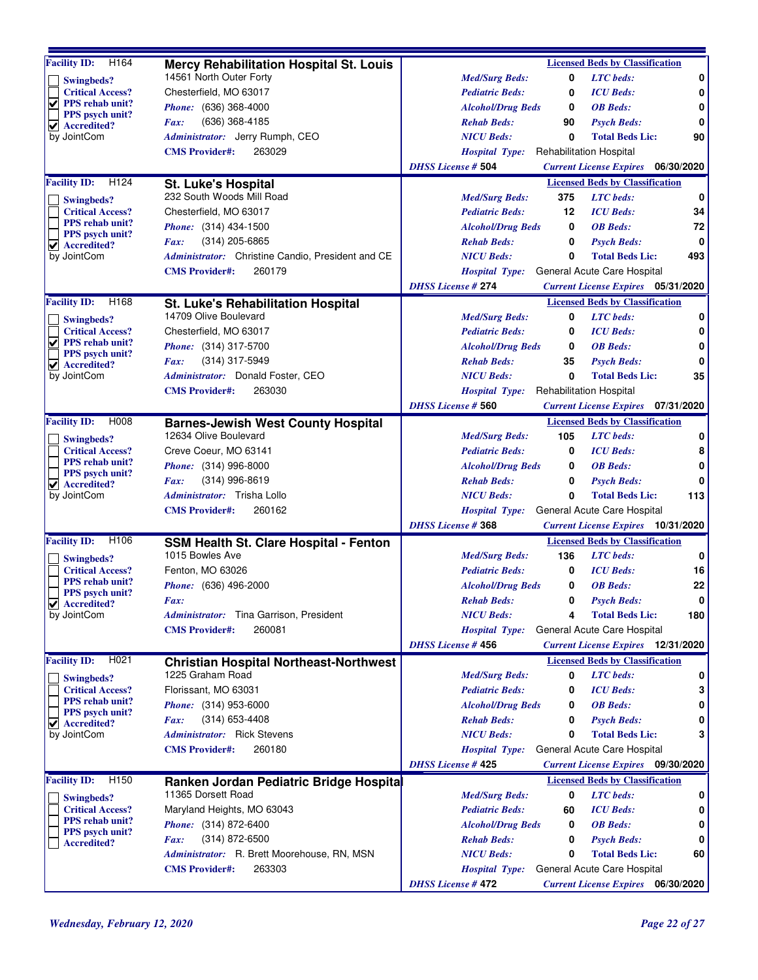| H164<br><b>Facility ID:</b>                                    | Mercy Rehabilitation Hospital St. Louis                           | <b>Licensed Beds by Classification</b>                                                            |     |
|----------------------------------------------------------------|-------------------------------------------------------------------|---------------------------------------------------------------------------------------------------|-----|
|                                                                | 14561 North Outer Forty                                           | <b>Med/Surg Beds:</b><br>0<br><b>LTC</b> beds:                                                    | 0   |
| Swingbeds?<br><b>Critical Access?</b>                          | Chesterfield, MO 63017                                            | <b>Pediatric Beds:</b><br>0<br><b>ICU</b> Beds:                                                   | 0   |
| ▽<br><b>PPS</b> rehab unit?                                    | Phone: (636) 368-4000                                             | <b>Alcohol/Drug Beds</b><br><b>OB</b> Beds:<br>0                                                  | 0   |
| <b>PPS</b> psych unit?                                         | (636) 368-4185<br>Fax:                                            | <b>Rehab Beds:</b><br><b>Psych Beds:</b><br>90                                                    | 0   |
| $\blacktriangleright$ Accredited?                              |                                                                   | <b>NICU Beds:</b><br>0<br><b>Total Beds Lic:</b>                                                  | 90  |
| by JointCom                                                    | Administrator: Jerry Rumph, CEO<br>263029                         |                                                                                                   |     |
|                                                                | <b>CMS</b> Provider#:                                             | <b>Rehabilitation Hospital</b><br><b>Hospital Type:</b>                                           |     |
|                                                                |                                                                   | <b>DHSS License # 504</b><br><b>Current License Expires</b> 06/30/2020                            |     |
| <b>Facility ID:</b><br>H <sub>124</sub>                        | St. Luke's Hospital                                               | <b>Licensed Beds by Classification</b>                                                            |     |
| Swingbeds?                                                     | 232 South Woods Mill Road                                         | <b>LTC</b> beds:<br><b>Med/Surg Beds:</b><br>375                                                  | 0   |
| <b>Critical Access?</b><br><b>PPS</b> rehab unit?              | Chesterfield, MO 63017                                            | 12<br><b>ICU</b> Beds:<br><b>Pediatric Beds:</b>                                                  | 34  |
| <b>PPS</b> psych unit?                                         | <i>Phone:</i> (314) 434-1500                                      | <b>OB</b> Beds:<br><b>Alcohol/Drug Beds</b><br>0                                                  | 72  |
| $\blacktriangleright$ Accredited?                              | $(314)$ 205-6865<br>Fax:                                          | <b>Rehab Beds:</b><br>0<br><b>Psych Beds:</b>                                                     | 0   |
| by JointCom                                                    | Administrator: Christine Candio, President and CE                 | <b>NICU</b> Beds:<br>0<br><b>Total Beds Lic:</b>                                                  | 493 |
|                                                                | 260179<br><b>CMS</b> Provider#:                                   | General Acute Care Hospital<br><b>Hospital Type:</b>                                              |     |
|                                                                |                                                                   | <b>DHSS License #274</b><br><b>Current License Expires</b> 05/31/2020                             |     |
| <b>Facility ID:</b><br>H168                                    | <b>St. Luke's Rehabilitation Hospital</b>                         | <b>Licensed Beds by Classification</b>                                                            |     |
| Swingbeds?                                                     | 14709 Olive Boulevard                                             | <b>LTC</b> beds:<br><b>Med/Surg Beds:</b><br>0                                                    | 0   |
| <b>Critical Access?</b>                                        | Chesterfield, MO 63017                                            | <b>ICU</b> Beds:<br><b>Pediatric Beds:</b><br>0                                                   | 0   |
| $  \vee  $ PPS rehab unit?<br><b>PPS</b> psych unit?           | <i>Phone:</i> (314) 317-5700                                      | <b>Alcohol/Drug Beds</b><br>0<br><b>OB</b> Beds:                                                  | 0   |
| $ $ Accredited?                                                | Fax:<br>$(314)$ 317-5949                                          | <b>Rehab Beds:</b><br>35<br><b>Psych Beds:</b>                                                    | 0   |
| by JointCom                                                    | Administrator: Donald Foster, CEO                                 | 0<br><b>NICU Beds:</b><br><b>Total Beds Lic:</b>                                                  | 35  |
|                                                                | <b>CMS</b> Provider#:<br>263030                                   | <b>Rehabilitation Hospital</b><br><b>Hospital Type:</b>                                           |     |
|                                                                |                                                                   | <b>DHSS License # 560</b><br><b>Current License Expires</b> 07/31/2020                            |     |
| <b>Facility ID:</b><br>H008                                    | <b>Barnes-Jewish West County Hospital</b>                         | <b>Licensed Beds by Classification</b>                                                            |     |
| Swingbeds?                                                     | 12634 Olive Boulevard                                             | 105<br><b>LTC</b> beds:<br><b>Med/Surg Beds:</b>                                                  | 0   |
| <b>Critical Access?</b>                                        | Creve Coeur, MO 63141                                             | <b>ICU</b> Beds:<br><b>Pediatric Beds:</b><br>0                                                   | 8   |
| <b>PPS</b> rehab unit?                                         | <i>Phone:</i> (314) 996-8000                                      | <b>OB</b> Beds:<br><b>Alcohol/Drug Beds</b><br>0                                                  | 0   |
| <b>PPS</b> psych unit?<br>$\vert \mathbf{v} \vert$ Accredited? | (314) 996-8619<br>Fax:                                            | <b>Rehab Beds:</b><br>0<br><b>Psych Beds:</b>                                                     | 0   |
| by JointCom                                                    | <i>Administrator:</i> Trisha Lollo                                | <b>NICU Beds:</b><br><b>Total Beds Lic:</b><br>0                                                  | 113 |
|                                                                | 260162<br><b>CMS</b> Provider#:                                   | General Acute Care Hospital<br><b>Hospital Type:</b>                                              |     |
|                                                                |                                                                   | <b>DHSS License #368</b><br><b>Current License Expires</b> 10/31/2020                             |     |
| <b>Facility ID:</b><br>H <sub>106</sub>                        | <b>SSM Health St. Clare Hospital - Fenton</b>                     | <b>Licensed Beds by Classification</b>                                                            |     |
|                                                                | 1015 Bowles Ave                                                   | 136<br><b>LTC</b> beds:<br><b>Med/Surg Beds:</b>                                                  | 0   |
| Swingbeds?<br><b>Critical Access?</b>                          | Fenton, MO 63026                                                  | <b>ICU</b> Beds:<br><b>Pediatric Beds:</b><br>0                                                   | 16  |
| PPS rehab unit?                                                | Phone: (636) 496-2000                                             | <b>OB</b> Beds:<br><b>Alcohol/Drug Beds</b><br>0                                                  | 22  |
| PPS psych unit?                                                | Fax:                                                              | <b>Rehab Beds:</b><br>0<br><b>Psych Beds:</b>                                                     | 0   |
| $\sqrt{\phantom{a}}$ Accredited?<br>by JointCom                | Administrator: Tina Garrison, President                           | <b>NICU Beds:</b><br><b>Total Beds Lic:</b><br>4                                                  | 180 |
|                                                                | 260081<br><b>CMS Provider#:</b>                                   | General Acute Care Hospital<br><b>Hospital Type:</b>                                              |     |
|                                                                |                                                                   | <b>DHSS License #456</b><br><b>Current License Expires</b> 12/31/2020                             |     |
| <b>Facility ID:</b><br>H <sub>021</sub>                        |                                                                   | <b>Licensed Beds by Classification</b>                                                            |     |
|                                                                | <b>Christian Hospital Northeast-Northwest</b><br>1225 Graham Road | <b>LTC</b> beds:<br><b>Med/Surg Beds:</b><br>0                                                    | 0   |
| Swingbeds?<br><b>Critical Access?</b>                          | Florissant, MO 63031                                              | <b>Pediatric Beds:</b><br><b>ICU</b> Beds:<br>0                                                   | 3   |
| <b>PPS</b> rehab unit?                                         | <i>Phone:</i> (314) 953-6000                                      | <b>OB</b> Beds:<br><b>Alcohol/Drug Beds</b><br>0                                                  | 0   |
| PPS psych unit?                                                | (314) 653-4408                                                    |                                                                                                   | 0   |
| Accredited?<br>V<br>by JointCom                                | Fax:<br>Administrator: Rick Stevens                               | <b>Rehab Beds:</b><br><b>Psych Beds:</b><br>0<br><b>NICU Beds:</b><br><b>Total Beds Lic:</b><br>0 |     |
|                                                                | <b>CMS Provider#:</b>                                             |                                                                                                   | 3   |
|                                                                | 260180                                                            | General Acute Care Hospital<br><b>Hospital Type:</b>                                              |     |
|                                                                |                                                                   | <b>DHSS License #425</b><br><b>Current License Expires</b> 09/30/2020                             |     |
| H <sub>150</sub><br><b>Facility ID:</b>                        | Ranken Jordan Pediatric Bridge Hospita                            | <b>Licensed Beds by Classification</b>                                                            |     |
| Swingbeds?                                                     | 11365 Dorsett Road                                                | <b>LTC</b> beds:<br><b>Med/Surg Beds:</b><br>0                                                    | 0   |
| <b>Critical Access?</b><br><b>PPS</b> rehab unit?              | Maryland Heights, MO 63043                                        | <b>ICU</b> Beds:<br><b>Pediatric Beds:</b><br>60                                                  | 0   |
| PPS psych unit?                                                | <i>Phone:</i> (314) 872-6400                                      | <b>OB</b> Beds:<br><b>Alcohol/Drug Beds</b><br>0                                                  | 0   |
| <b>Accredited?</b>                                             | $(314)$ 872-6500<br>Fax:                                          | <b>Rehab Beds:</b><br><b>Psych Beds:</b><br>0                                                     |     |
|                                                                | Administrator: R. Brett Moorehouse, RN, MSN                       | <b>NICU Beds:</b><br><b>Total Beds Lic:</b><br>0                                                  | 60  |
|                                                                | 263303<br><b>CMS Provider#:</b>                                   | General Acute Care Hospital<br><b>Hospital Type:</b>                                              |     |
|                                                                |                                                                   | <b>DHSS License #472</b><br><b>Current License Expires</b> 06/30/2020                             |     |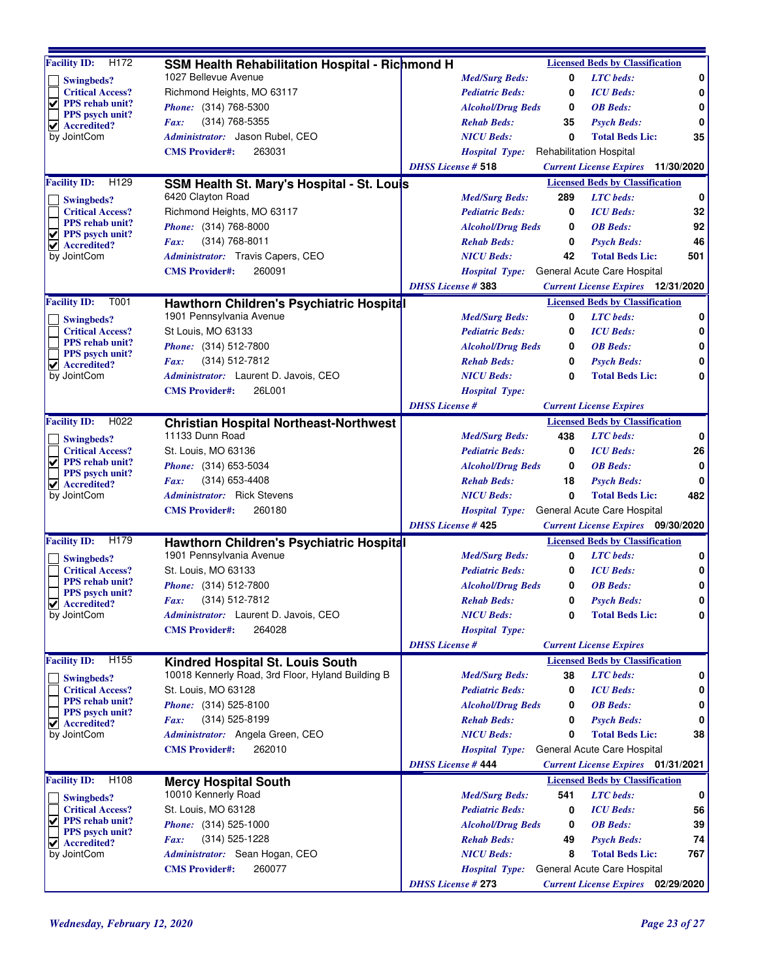| $\overline{H}$ 172<br><b>Facility ID:</b>           | <b>SSM Health Rehabilitation Hospital - Richmond H</b> |                           |                          |     | <b>Licensed Beds by Classification</b>    |     |
|-----------------------------------------------------|--------------------------------------------------------|---------------------------|--------------------------|-----|-------------------------------------------|-----|
| Swingbeds?                                          | 1027 Bellevue Avenue                                   |                           | <b>Med/Surg Beds:</b>    | 0   | <b>LTC</b> beds:                          | 0   |
| <b>Critical Access?</b>                             | Richmond Heights, MO 63117                             |                           | <b>Pediatric Beds:</b>   | 0   | <b>ICU</b> Beds:                          | 0   |
| ⊻<br>PPS rehab unit?                                | <i>Phone:</i> (314) 768-5300                           |                           | <b>Alcohol/Drug Beds</b> | 0   | <b>OB</b> Beds:                           | 0   |
| <b>PPS</b> psych unit?<br><b>Accredited?</b>        | (314) 768-5355<br>Fax:                                 |                           | <b>Rehab Beds:</b>       | 35  | <b>Psych Beds:</b>                        | 0   |
| ☑<br>by JointCom                                    | Administrator: Jason Rubel, CEO                        |                           | <b>NICU Beds:</b>        | 0   | <b>Total Beds Lic:</b>                    | 35  |
|                                                     | 263031<br><b>CMS</b> Provider#:                        |                           | <b>Hospital Type:</b>    |     | <b>Rehabilitation Hospital</b>            |     |
|                                                     |                                                        | <b>DHSS</b> License # 518 |                          |     | <b>Current License Expires</b> 11/30/2020 |     |
| <b>Facility ID:</b><br>H129                         | SSM Health St. Mary's Hospital - St. Louis             |                           |                          |     | <b>Licensed Beds by Classification</b>    |     |
| Swingbeds?                                          | 6420 Clayton Road                                      |                           | <b>Med/Surg Beds:</b>    | 289 | <b>LTC</b> beds:                          | 0   |
| <b>Critical Access?</b>                             | Richmond Heights, MO 63117                             |                           | <b>Pediatric Beds:</b>   | 0   | <b>ICU</b> Beds:                          | 32  |
| PPS rehab unit?                                     | Phone: (314) 768-8000                                  |                           | <b>Alcohol/Drug Beds</b> | 0   | <b>OB</b> Beds:                           | 92  |
| <b>PPS</b> psych unit?<br>V                         | (314) 768-8011<br>Fax:                                 |                           | <b>Rehab Beds:</b>       | 0   | <b>Psych Beds:</b>                        | 46  |
| $\vert \mathbf{v} \vert$ Accredited?<br>by JointCom | Administrator: Travis Capers, CEO                      |                           | <b>NICU Beds:</b>        | 42  | <b>Total Beds Lic:</b>                    | 501 |
|                                                     | <b>CMS Provider#:</b><br>260091                        |                           | <b>Hospital Type:</b>    |     | General Acute Care Hospital               |     |
|                                                     |                                                        | <b>DHSS License #383</b>  |                          |     | <b>Current License Expires</b> 12/31/2020 |     |
| <b>Facility ID:</b><br>T001                         | Hawthorn Children's Psychiatric Hospital               |                           |                          |     | <b>Licensed Beds by Classification</b>    |     |
| Swingbeds?                                          | 1901 Pennsylvania Avenue                               |                           | <b>Med/Surg Beds:</b>    | 0   | <b>LTC</b> beds:                          | 0   |
| <b>Critical Access?</b>                             | St Louis, MO 63133                                     |                           | <b>Pediatric Beds:</b>   | 0   | <b>ICU</b> Beds:                          | 0   |
| <b>PPS</b> rehab unit?                              | Phone: (314) 512-7800                                  |                           | <b>Alcohol/Drug Beds</b> | 0   | <b>OB</b> Beds:                           | 0   |
| <b>PPS</b> psych unit?                              | $(314) 512 - 7812$<br>Fax:                             |                           | <b>Rehab Beds:</b>       | 0   | <b>Psych Beds:</b>                        | 0   |
| $\blacktriangleright$ Accredited?<br>by JointCom    | Administrator: Laurent D. Javois, CEO                  |                           | <b>NICU Beds:</b>        | 0   | <b>Total Beds Lic:</b>                    | 0   |
|                                                     | 26L001<br><b>CMS</b> Provider#:                        |                           | <b>Hospital Type:</b>    |     |                                           |     |
|                                                     |                                                        | <b>DHSS</b> License #     |                          |     | <b>Current License Expires</b>            |     |
| <b>Facility ID:</b><br>H022                         | <b>Christian Hospital Northeast-Northwest</b>          |                           |                          |     | <b>Licensed Beds by Classification</b>    |     |
| Swingbeds?                                          | 11133 Dunn Road                                        |                           | <b>Med/Surg Beds:</b>    | 438 | <b>LTC</b> beds:                          | 0   |
| <b>Critical Access?</b>                             | St. Louis, MO 63136                                    |                           | <b>Pediatric Beds:</b>   | 0   | <b>ICU</b> Beds:                          | 26  |
| ⊻<br><b>PPS</b> rehab unit?                         | <i>Phone:</i> (314) 653-5034                           |                           | <b>Alcohol/Drug Beds</b> | 0   | <b>OB</b> Beds:                           | 0   |
| <b>PPS</b> psych unit?                              | $(314)$ 653-4408<br>Fax:                               |                           | <b>Rehab Beds:</b>       | 18  | <b>Psych Beds:</b>                        | 0   |
| $\vee$ Accredited?<br>by JointCom                   | Administrator: Rick Stevens                            |                           | <b>NICU Beds:</b>        | 0   | <b>Total Beds Lic:</b>                    | 482 |
|                                                     | 260180<br><b>CMS</b> Provider#:                        |                           | <b>Hospital Type:</b>    |     | General Acute Care Hospital               |     |
|                                                     |                                                        | <b>DHSS License # 425</b> |                          |     | <b>Current License Expires</b> 09/30/2020 |     |
| H179<br><b>Facility ID:</b>                         | Hawthorn Children's Psychiatric Hospital               |                           |                          |     | <b>Licensed Beds by Classification</b>    |     |
| Swingbeds?                                          | 1901 Pennsylvania Avenue                               |                           | <b>Med/Surg Beds:</b>    | 0   | <b>LTC</b> beds:                          | 0   |
| <b>Critical Access?</b>                             | St. Louis, MO 63133                                    |                           | <b>Pediatric Beds:</b>   | 0   | <b>ICU</b> Beds:                          | 0   |
| <b>PPS</b> rehab unit?                              | <i>Phone:</i> (314) 512-7800                           |                           | <b>Alcohol/Drug Beds</b> | 0   | <b>OB</b> Beds:                           | 0   |
| <b>PPS</b> psych unit?                              | (314) 512-7812<br>Fax:                                 |                           | <b>Rehab Beds:</b>       | 0   | <b>Psych Beds:</b>                        | 0   |
| $\blacktriangledown$ Accredited?<br>by JointCom     | Administrator: Laurent D. Javois, CEO                  |                           | <b>NICU Beds:</b>        | 0   | <b>Total Beds Lic:</b>                    | 0   |
|                                                     | 264028<br><b>CMS Provider#:</b>                        |                           | <b>Hospital Type:</b>    |     |                                           |     |
|                                                     |                                                        | <b>DHSS</b> License #     |                          |     | <b>Current License Expires</b>            |     |
| H <sub>155</sub><br><b>Facility ID:</b>             | Kindred Hospital St. Louis South                       |                           |                          |     | <b>Licensed Beds by Classification</b>    |     |
| Swingbeds?                                          | 10018 Kennerly Road, 3rd Floor, Hyland Building B      |                           | <b>Med/Surg Beds:</b>    | 38  | <b>LTC</b> beds:                          | 0   |
| <b>Critical Access?</b>                             | St. Louis, MO 63128                                    |                           | <b>Pediatric Beds:</b>   | 0   | <b>ICU</b> Beds:                          | 0   |
| <b>PPS</b> rehab unit?                              | <i>Phone:</i> (314) 525-8100                           |                           | <b>Alcohol/Drug Beds</b> | 0   | <b>OB</b> Beds:                           | 0   |
| PPS psych unit?<br>Accredited?<br>V                 | $(314)$ 525-8199<br>Fax:                               |                           | <b>Rehab Beds:</b>       | 0   | <b>Psych Beds:</b>                        | 0   |
| by JointCom                                         | Administrator: Angela Green, CEO                       |                           | <b>NICU Beds:</b>        | 0   | <b>Total Beds Lic:</b>                    | 38  |
|                                                     | 262010<br><b>CMS Provider#:</b>                        |                           | <b>Hospital Type:</b>    |     | General Acute Care Hospital               |     |
|                                                     |                                                        | <b>DHSS License #444</b>  |                          |     | <b>Current License Expires</b> 01/31/2021 |     |
| H108<br><b>Facility ID:</b>                         | <b>Mercy Hospital South</b>                            |                           |                          |     | <b>Licensed Beds by Classification</b>    |     |
| Swingbeds?                                          | 10010 Kennerly Road                                    |                           | <b>Med/Surg Beds:</b>    | 541 | <b>LTC</b> beds:                          | 0   |
| <b>Critical Access?</b>                             | St. Louis, MO 63128                                    |                           | <b>Pediatric Beds:</b>   | 0   | <b>ICU</b> Beds:                          | 56  |
| V<br>PPS rehab unit?                                | <i>Phone:</i> (314) 525-1000                           |                           | <b>Alcohol/Drug Beds</b> | 0   | <b>OB</b> Beds:                           | 39  |
| PPS psych unit?<br>$\blacktriangledown$ Accredited? | (314) 525-1228<br>Fax:                                 |                           | <b>Rehab Beds:</b>       | 49  | <b>Psych Beds:</b>                        | 74  |
| by JointCom                                         | Administrator: Sean Hogan, CEO                         |                           | <b>NICU Beds:</b>        | 8   | <b>Total Beds Lic:</b>                    | 767 |
|                                                     | 260077<br><b>CMS Provider#:</b>                        |                           | <b>Hospital Type:</b>    |     | General Acute Care Hospital               |     |
|                                                     |                                                        | <b>DHSS License #273</b>  |                          |     | <b>Current License Expires</b> 02/29/2020 |     |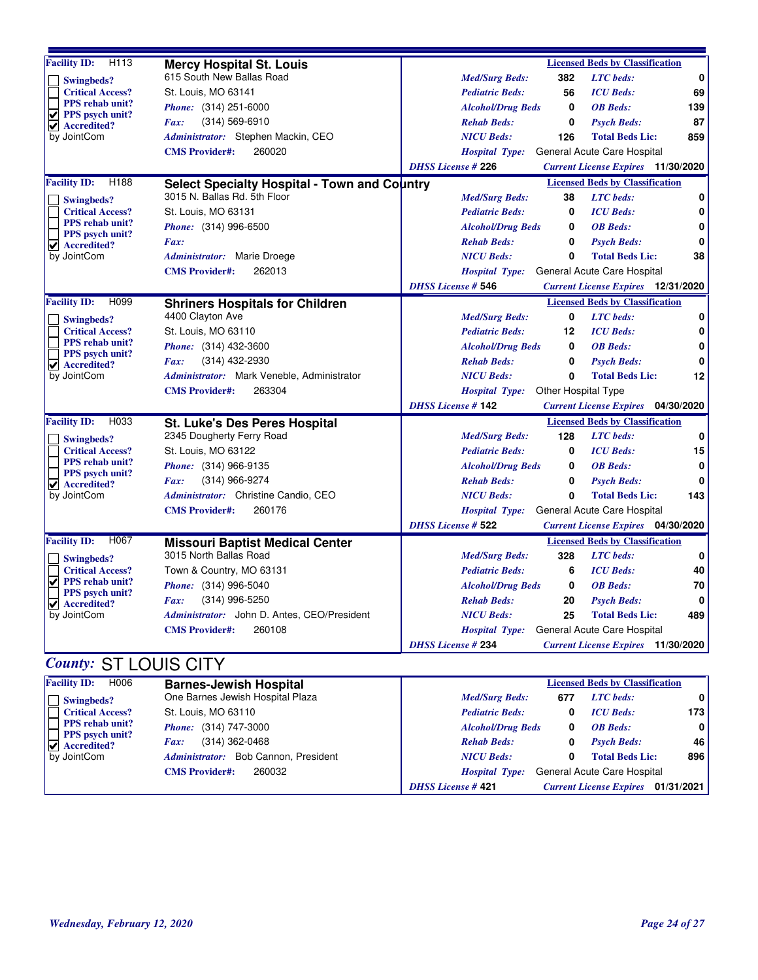| Facility ID: H113                                        | <b>Mercy Hospital St. Louis</b>              |                           |                          |                     | <b>Licensed Beds by Classification</b>    |             |
|----------------------------------------------------------|----------------------------------------------|---------------------------|--------------------------|---------------------|-------------------------------------------|-------------|
| Swingbeds?                                               | 615 South New Ballas Road                    |                           | <b>Med/Surg Beds:</b>    | 382                 | <b>LTC</b> beds:                          | $\mathbf 0$ |
| <b>Critical Access?</b>                                  | St. Louis, MO 63141                          |                           | <b>Pediatric Beds:</b>   | 56                  | <b>ICU</b> Beds:                          | 69          |
| PPS rehab unit?                                          | <i>Phone:</i> (314) 251-6000                 |                           | <b>Alcohol/Drug Beds</b> | $\mathbf 0$         | <b>OB</b> Beds:                           | 139         |
| V<br>PPS psych unit?<br>$\sqrt{\phantom{a}}$ Accredited? | $(314) 569 - 6910$<br>Fax:                   |                           | <b>Rehab Beds:</b>       | 0                   | <b>Psych Beds:</b>                        | 87          |
| by JointCom                                              | Administrator: Stephen Mackin, CEO           |                           | <b>NICU Beds:</b>        | 126                 | <b>Total Beds Lic:</b>                    | 859         |
|                                                          | 260020<br><b>CMS Provider#:</b>              |                           | <b>Hospital Type:</b>    |                     | General Acute Care Hospital               |             |
|                                                          |                                              | <b>DHSS License #226</b>  |                          |                     | <b>Current License Expires</b> 11/30/2020 |             |
| <b>Facility ID:</b><br>H188                              | Select Specialty Hospital - Town and Country |                           |                          |                     | <b>Licensed Beds by Classification</b>    |             |
| Swingbeds?                                               | 3015 N. Ballas Rd. 5th Floor                 |                           | <b>Med/Surg Beds:</b>    | 38                  | <b>LTC</b> beds:                          | 0           |
| <b>Critical Access?</b>                                  | St. Louis, MO 63131                          |                           | <b>Pediatric Beds:</b>   | 0                   | <b>ICU</b> Beds:                          | 0           |
| PPS rehab unit?                                          | <i>Phone:</i> (314) 996-6500                 |                           | <b>Alcohol/Drug Beds</b> | 0                   | <b>OB</b> Beds:                           | 0           |
| PPS psych unit?<br><b>Accredited?</b><br>M               | Fax:                                         |                           | <b>Rehab Beds:</b>       | 0                   | <b>Psych Beds:</b>                        | $\bf{0}$    |
| by JointCom                                              | Administrator: Marie Droege                  |                           | <b>NICU</b> Beds:        | 0                   | <b>Total Beds Lic:</b>                    | 38          |
|                                                          | <b>CMS Provider#:</b><br>262013              |                           | <b>Hospital Type:</b>    |                     | General Acute Care Hospital               |             |
|                                                          |                                              | <b>DHSS License # 546</b> |                          |                     | <b>Current License Expires</b> 12/31/2020 |             |
| <b>Facility ID:</b><br>H099                              | <b>Shriners Hospitals for Children</b>       |                           |                          |                     | <b>Licensed Beds by Classification</b>    |             |
| <b>Swingbeds?</b>                                        | 4400 Clayton Ave                             |                           | <b>Med/Surg Beds:</b>    | 0                   | <b>LTC</b> beds:                          | 0           |
| <b>Critical Access?</b>                                  | St. Louis, MO 63110                          |                           | <b>Pediatric Beds:</b>   | 12                  | <b>ICU</b> Beds:                          | 0           |
| PPS rehab unit?<br>PPS psych unit?                       | <i>Phone:</i> (314) 432-3600                 |                           | <b>Alcohol/Drug Beds</b> | 0                   | <b>OB</b> Beds:                           | $\mathbf 0$ |
| $\vert \mathbf{v} \vert$ Accredited?                     | (314) 432-2930<br>Fax:                       |                           | <b>Rehab Beds:</b>       | 0                   | <b>Psych Beds:</b>                        | 0           |
| by JointCom                                              | Administrator: Mark Veneble, Administrator   |                           | <b>NICU</b> Beds:        | 0                   | <b>Total Beds Lic:</b>                    | 12          |
|                                                          | 263304<br><b>CMS</b> Provider#:              |                           | <b>Hospital Type:</b>    | Other Hospital Type |                                           |             |
|                                                          |                                              | <b>DHSS License #142</b>  |                          |                     | <b>Current License Expires</b> 04/30/2020 |             |
| <b>Facility ID:</b><br>H033                              | St. Luke's Des Peres Hospital                |                           |                          |                     | <b>Licensed Beds by Classification</b>    |             |
| <b>Swingbeds?</b>                                        | 2345 Dougherty Ferry Road                    |                           | <b>Med/Surg Beds:</b>    | 128                 | <b>LTC</b> beds:                          | 0           |
| <b>Critical Access?</b>                                  | St. Louis, MO 63122                          |                           | <b>Pediatric Beds:</b>   | 0                   | <b>ICU</b> Beds:                          | 15          |
| PPS rehab unit?<br>PPS psych unit?                       | Phone: (314) 966-9135                        |                           | <b>Alcohol/Drug Beds</b> | 0                   | <b>OB</b> Beds:                           | 0           |
| $\vert \mathbf{v} \vert$ Accredited?                     | (314) 966-9274<br>Fax:                       |                           | <b>Rehab Beds:</b>       | $\mathbf 0$         | <b>Psych Beds:</b>                        | 0           |
| by JointCom                                              | Administrator: Christine Candio, CEO         |                           | <b>NICU Beds:</b>        | $\bf{0}$            | <b>Total Beds Lic:</b>                    | 143         |
|                                                          | 260176<br><b>CMS Provider#:</b>              |                           | <b>Hospital Type:</b>    |                     | General Acute Care Hospital               |             |
|                                                          |                                              | <b>DHSS License # 522</b> |                          |                     | <b>Current License Expires</b> 04/30/2020 |             |
| <b>Facility ID:</b><br>H067                              | <b>Missouri Baptist Medical Center</b>       |                           |                          |                     | <b>Licensed Beds by Classification</b>    |             |
| <b>Swingbeds?</b>                                        | 3015 North Ballas Road                       |                           | <b>Med/Surg Beds:</b>    | 328                 | <b>LTC</b> beds:                          | 0           |
| <b>Critical Access?</b>                                  | Town & Country, MO 63131                     |                           | <b>Pediatric Beds:</b>   | 6                   | <b>ICU</b> Beds:                          | 40          |
| V<br>PPS rehab unit?                                     | Phone: (314) 996-5040                        |                           | <b>Alcohol/Drug Beds</b> | 0                   | <b>OB</b> Beds:                           | 70          |
| PPS psych unit?<br>$\vee$ Accredited?                    | $(314)$ 996-5250<br>Fax:                     |                           | <b>Rehab Beds:</b>       | 20                  | <b>Psych Beds:</b>                        | 0           |
| by JointCom                                              | Administrator: John D. Antes, CEO/President  |                           | <b>NICU Beds:</b>        | 25                  | <b>Total Beds Lic:</b>                    | 489         |
|                                                          | 260108<br><b>CMS</b> Provider#:              |                           | <b>Hospital Type:</b>    |                     | General Acute Care Hospital               |             |
|                                                          |                                              | <b>DHSS License #234</b>  |                          |                     | <b>Current License Expires</b> 11/30/2020 |             |
| $\sigma$ and $\sigma$                                    | $[0, 1]$ $[0, 1]$ $[0, 0]$ $[0, 1]$          |                           |                          |                     |                                           |             |

#### *County:* ST LOUIS CITY

| <b>Facility ID:</b><br>H006                                                                              | <b>Barnes-Jewish Hospital</b>        |                          |     | <b>Licensed Beds by Classification</b> |              |
|----------------------------------------------------------------------------------------------------------|--------------------------------------|--------------------------|-----|----------------------------------------|--------------|
| Swingbeds?                                                                                               | One Barnes Jewish Hospital Plaza     | <b>Med/Surg Beds:</b>    | 677 | <b>LTC</b> beds:                       | 0 I          |
| <b>Critical Access?</b>                                                                                  | St. Louis, MO 63110                  | <b>Pediatric Beds:</b>   |     | <b>ICU</b> Beds:                       | 173 I        |
| <b>PPS</b> rehab unit?<br><b>PPS</b> psych unit?<br>$\overline{ \mathbf{v} }$ Accredited?<br>by JointCom | <i>Phone:</i> (314) 747-3000         | <b>Alcohol/Drug Beds</b> |     | <b>OB</b> Beds:                        | $\mathbf{0}$ |
|                                                                                                          | (314) 362-0468<br>Fax:               | <b>Rehab Beds:</b>       |     | <b>Psych Beds:</b>                     | 46 I         |
|                                                                                                          | Administrator: Bob Cannon, President | <b>NICU Beds:</b>        |     | <b>Total Beds Lic:</b>                 | 896 l        |
|                                                                                                          | 260032<br><b>CMS</b> Provider#:      | <b>Hospital Type:</b>    |     | General Acute Care Hospital            |              |
|                                                                                                          |                                      | <b>DHSS License #421</b> |     | <b>Current License Expires</b>         | 01/31/2021   |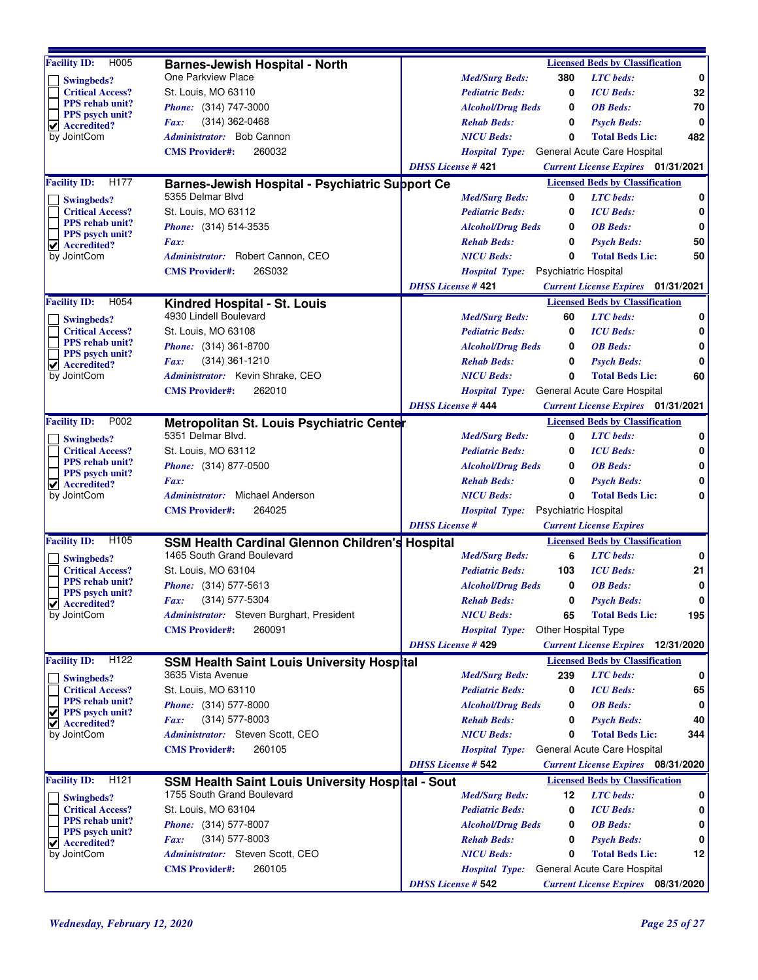| H005<br><b>Facility ID:</b>                       |                                                                                      |                           |                                     |                             | <b>Licensed Beds by Classification</b>                |             |
|---------------------------------------------------|--------------------------------------------------------------------------------------|---------------------------|-------------------------------------|-----------------------------|-------------------------------------------------------|-------------|
|                                                   | <b>Barnes-Jewish Hospital - North</b><br>One Parkview Place                          |                           | <b>Med/Surg Beds:</b>               | 380                         | <b>LTC</b> beds:                                      | $\bf{0}$    |
| Swingbeds?                                        | St. Louis, MO 63110                                                                  |                           |                                     |                             |                                                       |             |
| <b>Critical Access?</b><br><b>PPS</b> rehab unit? |                                                                                      |                           | <b>Pediatric Beds:</b>              | 0                           | <b>ICU</b> Beds:                                      | 32          |
| <b>PPS</b> psych unit?                            | <i>Phone:</i> (314) 747-3000                                                         |                           | <b>Alcohol/Drug Beds</b>            | 0                           | <b>OB</b> Beds:                                       | 70          |
| ⊻<br>Accredited?                                  | $(314)$ 362-0468<br>Fax:                                                             |                           | <b>Rehab Beds:</b>                  | 0                           | <b>Psych Beds:</b>                                    | 0           |
| by JointCom                                       | <i>Administrator:</i> Bob Cannon                                                     |                           | <b>NICU Beds:</b>                   | 0                           | <b>Total Beds Lic:</b>                                | 482         |
|                                                   | 260032<br><b>CMS Provider#:</b>                                                      |                           | <b>Hospital Type:</b>               |                             | General Acute Care Hospital                           |             |
|                                                   |                                                                                      | <b>DHSS License #421</b>  |                                     |                             | <b>Current License Expires</b> 01/31/2021             |             |
| <b>Facility ID:</b><br>H177                       | Barnes-Jewish Hospital - Psychiatric Support Ce                                      |                           |                                     |                             | <b>Licensed Beds by Classification</b>                |             |
| Swingbeds?                                        | 5355 Delmar Blvd                                                                     |                           | <b>Med/Surg Beds:</b>               | 0                           | <b>LTC</b> beds:                                      | 0           |
| <b>Critical Access?</b>                           | St. Louis, MO 63112                                                                  |                           | <b>Pediatric Beds:</b>              | 0                           | <b>ICU</b> Beds:                                      | 0           |
| <b>PPS</b> rehab unit?<br><b>PPS</b> psych unit?  | Phone: (314) 514-3535                                                                |                           | <b>Alcohol/Drug Beds</b>            | 0                           | <b>OB</b> Beds:                                       | 0           |
| ✔ Accredited?                                     | Fax:                                                                                 |                           | <b>Rehab Beds:</b>                  | 0                           | <b>Psych Beds:</b>                                    | 50          |
| by JointCom                                       | Administrator: Robert Cannon, CEO                                                    |                           | <b>NICU Beds:</b>                   | 0                           | <b>Total Beds Lic:</b>                                | 50          |
|                                                   | 26S032<br><b>CMS Provider#:</b>                                                      |                           | Hospital Type: Psychiatric Hospital |                             |                                                       |             |
|                                                   |                                                                                      | <b>DHSS License #421</b>  |                                     |                             | <b>Current License Expires</b> 01/31/2021             |             |
| <b>Facility ID:</b><br>H054                       | Kindred Hospital - St. Louis                                                         |                           |                                     |                             | <b>Licensed Beds by Classification</b>                |             |
| Swingbeds?                                        | 4930 Lindell Boulevard                                                               |                           | <b>Med/Surg Beds:</b>               | 60                          | <b>LTC</b> beds:                                      | 0           |
| <b>Critical Access?</b>                           | St. Louis, MO 63108                                                                  |                           | <b>Pediatric Beds:</b>              | 0                           | <b>ICU</b> Beds:                                      | 0           |
| <b>PPS</b> rehab unit?                            | <i>Phone:</i> (314) 361-8700                                                         |                           | <b>Alcohol/Drug Beds</b>            | 0                           | <b>OB</b> Beds:                                       | 0           |
| PPS psych unit?<br>$\vee$ Accredited?             | $(314)$ 361-1210<br>Fax:                                                             |                           | <b>Rehab Beds:</b>                  | 0                           | <b>Psych Beds:</b>                                    | 0           |
| by JointCom                                       | Administrator: Kevin Shrake, CEO                                                     |                           | <b>NICU Beds:</b>                   | 0                           | <b>Total Beds Lic:</b>                                | 60          |
|                                                   | 262010<br><b>CMS Provider#:</b>                                                      |                           | <b>Hospital Type:</b>               |                             | General Acute Care Hospital                           |             |
|                                                   |                                                                                      | <b>DHSS License #444</b>  |                                     |                             | <b>Current License Expires</b> 01/31/2021             |             |
| <b>Facility ID:</b><br>P002                       | Metropolitan St. Louis Psychiatric Center                                            |                           |                                     |                             | <b>Licensed Beds by Classification</b>                |             |
|                                                   | 5351 Delmar Blvd.                                                                    |                           | <b>Med/Surg Beds:</b>               | 0                           | <b>LTC</b> beds:                                      | 0           |
| Swingbeds?<br><b>Critical Access?</b>             | St. Louis, MO 63112                                                                  |                           | <b>Pediatric Beds:</b>              | 0                           | <b>ICU</b> Beds:                                      | $\mathbf 0$ |
| PPS rehab unit?<br><b>PPS</b> psych unit?         | <i>Phone:</i> (314) 877-0500                                                         |                           | <b>Alcohol/Drug Beds</b>            | 0                           | <b>OB</b> Beds:                                       | 0           |
|                                                   | Fax:                                                                                 |                           | <b>Rehab Beds:</b>                  | 0                           | <b>Psych Beds:</b>                                    | 0           |
| $\vee$ Accredited?<br>by JointCom                 | Administrator: Michael Anderson                                                      |                           | <b>NICU Beds:</b>                   | 0                           | <b>Total Beds Lic:</b>                                | 0           |
|                                                   | 264025<br><b>CMS</b> Provider#:                                                      |                           | <b>Hospital Type:</b>               | <b>Psychiatric Hospital</b> |                                                       |             |
|                                                   |                                                                                      | <b>DHSS</b> License #     |                                     |                             | <b>Current License Expires</b>                        |             |
| <b>Facility ID:</b><br>H105                       |                                                                                      |                           |                                     |                             | <b>Licensed Beds by Classification</b>                |             |
|                                                   | <b>SSM Health Cardinal Glennon Children's Hospital</b><br>1465 South Grand Boulevard |                           | <b>Med/Surg Beds:</b>               | 6                           | <b>LTC</b> beds:                                      | 0           |
| Swingbeds?<br><b>Critical Access?</b>             | St. Louis, MO 63104                                                                  |                           | <b>Pediatric Beds:</b>              | 103                         | <b>ICU</b> Beds:                                      | 21          |
| <b>PPS</b> rehab unit?                            | <i>Phone:</i> (314) 577-5613                                                         |                           | <b>Alcohol/Drug Beds</b>            | 0                           | <b>OB</b> Beds:                                       | 0           |
| <b>PPS</b> psych unit?                            | (314) 577-5304<br>Fax:                                                               |                           | <b>Rehab Beds:</b>                  | 0                           | <b>Psych Beds:</b>                                    | $\mathbf 0$ |
| $\blacktriangleright$ Accredited?<br>by JointCom  | Administrator: Steven Burghart, President                                            |                           | <b>NICU Beds:</b>                   | 65                          | <b>Total Beds Lic:</b>                                | 195         |
|                                                   | 260091<br><b>CMS Provider#:</b>                                                      |                           | <b>Hospital Type:</b>               | Other Hospital Type         |                                                       |             |
|                                                   |                                                                                      | <b>DHSS License # 429</b> |                                     |                             | <b>Current License Expires</b> 12/31/2020             |             |
| <b>Facility ID:</b><br>H122                       |                                                                                      |                           |                                     |                             | <b>Licensed Beds by Classification</b>                |             |
|                                                   | SSM Health Saint Louis University Hospital<br>3635 Vista Avenue                      |                           |                                     |                             |                                                       |             |
| Swingbeds?                                        | St. Louis, MO 63110                                                                  |                           | <b>Med/Surg Beds:</b>               | 239                         | <b>LTC</b> beds:                                      | 0           |
| <b>Critical Access?</b><br><b>PPS</b> rehab unit? |                                                                                      |                           | <b>Pediatric Beds:</b>              | 0                           | <b>ICU</b> Beds:                                      | 65          |
| V<br>PPS psych unit?                              | <i>Phone:</i> (314) 577-8000                                                         |                           | <b>Alcohol/Drug Beds</b>            | 0                           | <b>OB</b> Beds:                                       | 0           |
| Accredited?<br>V                                  | $(314)$ 577-8003<br>Fax:<br>Administrator: Steven Scott, CEO                         |                           | <b>Rehab Beds:</b>                  | 0                           | <b>Psych Beds:</b>                                    | 40          |
| by JointCom                                       | 260105                                                                               |                           | <b>NICU Beds:</b>                   | 0                           | <b>Total Beds Lic:</b><br>General Acute Care Hospital | 344         |
|                                                   | <b>CMS</b> Provider#:                                                                |                           | <b>Hospital Type:</b>               |                             |                                                       |             |
|                                                   |                                                                                      | <b>DHSS License # 542</b> |                                     |                             | <b>Current License Expires</b> 08/31/2020             |             |
| H <sub>121</sub><br><b>Facility ID:</b>           | SSM Health Saint Louis University Hospital - Sout                                    |                           |                                     |                             | <b>Licensed Beds by Classification</b>                |             |
| Swingbeds?                                        | 1755 South Grand Boulevard                                                           |                           | <b>Med/Surg Beds:</b>               | 12                          | <b>LTC</b> beds:                                      | 0           |
| <b>Critical Access?</b><br>PPS rehab unit?        | St. Louis, MO 63104                                                                  |                           | <b>Pediatric Beds:</b>              | 0                           | <b>ICU</b> Beds:                                      | 0           |
| PPS psych unit?                                   | <i>Phone:</i> (314) 577-8007                                                         |                           | <b>Alcohol/Drug Beds</b>            | 0                           | <b>OB</b> Beds:                                       | 0           |
| $\vee$ Accredited?                                | $(314)$ 577-8003<br>Fax:                                                             |                           | <b>Rehab Beds:</b>                  | 0                           | <b>Psych Beds:</b>                                    | 0           |
| by JointCom                                       | Administrator: Steven Scott, CEO                                                     |                           | <b>NICU Beds:</b>                   | 0                           | <b>Total Beds Lic:</b>                                | 12          |
|                                                   | 260105<br><b>CMS</b> Provider#:                                                      |                           | <b>Hospital Type:</b>               |                             | General Acute Care Hospital                           |             |
|                                                   |                                                                                      | <b>DHSS License # 542</b> |                                     |                             | <b>Current License Expires</b> 08/31/2020             |             |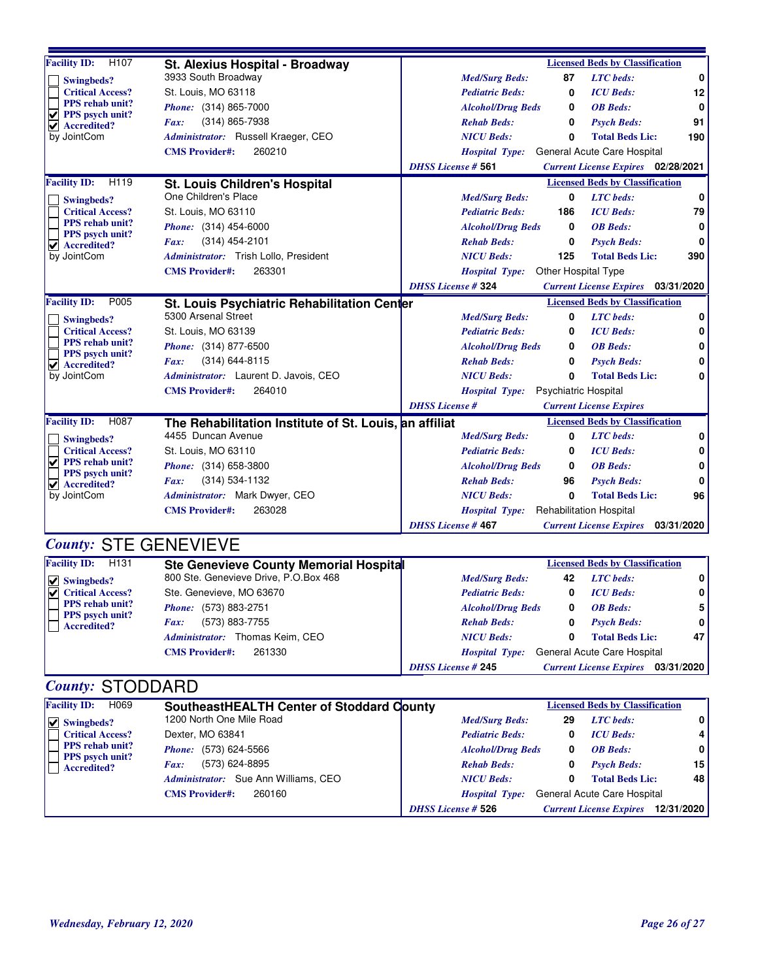| H <sub>107</sub><br><b>Facility ID:</b>                                                                         | St. Alexius Hospital - Broadway                        | <b>Licensed Beds by Classification</b>                                   |              |  |
|-----------------------------------------------------------------------------------------------------------------|--------------------------------------------------------|--------------------------------------------------------------------------|--------------|--|
| <b>Swingbeds?</b>                                                                                               | 3933 South Broadway                                    | 87<br><b>LTC</b> beds:<br><b>Med/Surg Beds:</b>                          | $\mathbf 0$  |  |
| <b>Critical Access?</b>                                                                                         | St. Louis, MO 63118                                    | 0<br><b>ICU</b> Beds:<br><b>Pediatric Beds:</b>                          | 12           |  |
| PPS rehab unit?<br>⊽<br>PPS psych unit?                                                                         | <i>Phone:</i> (314) 865-7000                           | <b>OB</b> Beds:<br><b>Alcohol/Drug Beds</b><br>0                         | $\mathbf 0$  |  |
| <b>Accredited?</b><br>V                                                                                         | (314) 865-7938<br>Fax:                                 | <b>Psych Beds:</b><br><b>Rehab Beds:</b><br>0                            | 91           |  |
| by JointCom                                                                                                     | Administrator: Russell Kraeger, CEO                    | <b>NICU Beds:</b><br><b>Total Beds Lic:</b><br>$\Omega$                  | 190          |  |
|                                                                                                                 | 260210<br><b>CMS</b> Provider#:                        | General Acute Care Hospital<br><b>Hospital Type:</b>                     |              |  |
|                                                                                                                 |                                                        | <b>DHSS License # 561</b><br><b>Current License Expires</b> 02/28/2021   |              |  |
| <b>Facility ID:</b><br>H119                                                                                     | <b>St. Louis Children's Hospital</b>                   | <b>Licensed Beds by Classification</b>                                   |              |  |
| <b>Swingbeds?</b>                                                                                               | One Children's Place                                   | <b>LTC</b> beds:<br>$\mathbf{0}$<br><b>Med/Surg Beds:</b>                | $\mathbf 0$  |  |
| <b>Critical Access?</b>                                                                                         | St. Louis, MO 63110                                    | <b>Pediatric Beds:</b><br>186<br><b>ICU</b> Beds:                        | 79           |  |
| <b>PPS</b> rehab unit?<br>PPS psych unit?                                                                       | Phone: (314) 454-6000                                  | <b>OB</b> Beds:<br><b>Alcohol/Drug Beds</b><br>0                         | 0            |  |
| $\vee$ Accredited?                                                                                              | $(314)$ 454-2101<br>Fax:                               | <b>Psych Beds:</b><br><b>Rehab Beds:</b><br>0                            | $\bf{0}$     |  |
| by JointCom                                                                                                     | Administrator: Trish Lollo, President                  | 125<br><b>NICU</b> Beds:<br><b>Total Beds Lic:</b>                       | 390          |  |
|                                                                                                                 | <b>CMS Provider#:</b><br>263301                        | Other Hospital Type<br><b>Hospital Type:</b>                             |              |  |
|                                                                                                                 |                                                        | <b>DHSS License #324</b><br><b>Current License Expires</b> 03/31/2020    |              |  |
| <b>Facility ID:</b><br>P005                                                                                     | St. Louis Psychiatric Rehabilitation Center            | <b>Licensed Beds by Classification</b>                                   |              |  |
| Swingbeds?                                                                                                      | 5300 Arsenal Street                                    | <b>LTC</b> beds:<br><b>Med/Surg Beds:</b><br>0                           | 0            |  |
| <b>Critical Access?</b>                                                                                         | St. Louis, MO 63139                                    | <b>ICU</b> Beds:<br><b>Pediatric Beds:</b><br>0                          | 0            |  |
| PPS rehab unit?<br>PPS psych unit?                                                                              | Phone: (314) 877-6500                                  | <b>OB</b> Beds:<br>0<br><b>Alcohol/Drug Beds</b>                         | 0            |  |
| $\blacktriangledown$ Accredited?                                                                                | (314) 644-8115<br>Fax:                                 | <b>Rehab Beds:</b><br><b>Psych Beds:</b><br>0                            | 0            |  |
| by JointCom                                                                                                     | Administrator: Laurent D. Javois, CEO                  | <b>Total Beds Lic:</b><br><b>NICU Beds:</b><br>0                         | $\mathbf{0}$ |  |
|                                                                                                                 | <b>CMS Provider#:</b><br>264010                        | <b>Psychiatric Hospital</b><br><b>Hospital Type:</b>                     |              |  |
|                                                                                                                 |                                                        | <b>DHSS</b> License #<br><b>Current License Expires</b>                  |              |  |
| H087<br><b>Facility ID:</b>                                                                                     | The Rehabilitation Institute of St. Louis, an affiliat | <b>Licensed Beds by Classification</b>                                   |              |  |
| <b>Swingbeds?</b>                                                                                               | 4455 Duncan Avenue                                     | <b>LTC</b> beds:<br><b>Med/Surg Beds:</b><br>0                           | $\mathbf 0$  |  |
| <b>Critical Access?</b>                                                                                         | St. Louis, MO 63110                                    | <b>Pediatric Beds:</b><br><b>ICU</b> Beds:<br>0                          | 0            |  |
| $\overline{\mathbf{v}}$<br><b>PPS</b> rehab unit?<br>PPS psych unit?                                            | Phone: (314) 658-3800                                  | <b>OB</b> Beds:<br><b>Alcohol/Drug Beds</b><br>0                         | $\bf{0}$     |  |
| $\vert \mathbf{v} \vert$ Accredited?                                                                            | (314) 534-1132<br>Fax:                                 | <b>Rehab Beds:</b><br>96<br><b>Psych Beds:</b>                           | $\bf{0}$     |  |
| by JointCom                                                                                                     | Administrator: Mark Dwyer, CEO                         | <b>NICU Beds:</b><br>0<br><b>Total Beds Lic:</b>                         | 96           |  |
|                                                                                                                 | 263028<br><b>CMS Provider#:</b>                        | <b>Rehabilitation Hospital</b><br><b>Hospital Type:</b>                  |              |  |
|                                                                                                                 |                                                        | <b>DHSS License #467</b><br><b>Current License Expires</b><br>03/31/2020 |              |  |
| <b>County: STE GENEVIEVE</b>                                                                                    |                                                        |                                                                          |              |  |
| <b>Facility ID:</b><br>H131<br><b>Licensed Beds by Classification</b><br>Ste Cenevieve County Memorial Hospital |                                                        |                                                                          |              |  |

| H131<br><b>Facility ID:</b>                  | <b>Ste Genevieve County Memorial Hospital</b>  |                           |    | <b>Licensed Beds by Classification</b> |            |
|----------------------------------------------|------------------------------------------------|---------------------------|----|----------------------------------------|------------|
| $\vert \mathbf{v} \vert$ Swingbeds?          | 800 Ste. Genevieve Drive, P.O.Box 468          | <b>Med/Surg Beds:</b>     | 42 | <b>LTC</b> beds:                       | 0          |
| $ \nabla $ Critical Access?                  | Ste. Genevieve, MO 63670                       | <b>Pediatric Beds:</b>    |    | <b>ICU</b> Beds:                       | 0          |
| <b>PPS</b> rehab unit?                       | <i>Phone:</i> (573) 883-2751                   | <b>Alcohol/Drug Beds</b>  | 0  | <b>OB</b> Beds:                        | 5          |
| <b>PPS</b> psych unit?<br><b>Accredited?</b> | (573) 883-7755<br>$\boldsymbol{F}$ <i>ax</i> : | <b>Rehab Beds:</b>        | 0  | <b>Psych Beds:</b>                     | 0          |
|                                              | Administrator: Thomas Keim, CEO                | <b>NICU Beds:</b>         | 0  | <b>Total Beds Lic:</b>                 | 47         |
|                                              | 261330<br><b>CMS</b> Provider#:                | <b>Hospital Type:</b>     |    | General Acute Care Hospital            |            |
|                                              |                                                | <b>DHSS</b> License # 245 |    | <b>Current License Expires</b>         | 03/31/2020 |

### *County:* STODDARD

| <b>Facility ID:</b><br>H069                  | SoutheastHEALTH Center of Stoddard County |                           |    | <b>Licensed Beds by Classification</b> |                |
|----------------------------------------------|-------------------------------------------|---------------------------|----|----------------------------------------|----------------|
| $\triangledown$ Swingbeds?                   | 1200 North One Mile Road                  | <b>Med/Surg Beds:</b>     | 29 | <b>LTC</b> beds:                       | 0 I            |
| <b>Critical Access?</b>                      | Dexter, MO 63841                          | <b>Pediatric Beds:</b>    |    | <b>ICU</b> Beds:                       | 4 I            |
| <b>PPS</b> rehab unit?                       | <i>Phone:</i> (573) 624-5566              | <b>Alcohol/Drug Beds</b>  |    | <b>OB</b> Beds:                        | $\overline{0}$ |
| <b>PPS</b> psych unit?<br><b>Accredited?</b> | (573) 624-8895<br>Fax:                    | <b>Rehab Beds:</b>        |    | <b>Psych Beds:</b>                     | 15 I           |
|                                              | Administrator: Sue Ann Williams, CEO      | <b>NICU Beds:</b>         |    | <b>Total Beds Lic:</b>                 | 48             |
|                                              | <b>CMS</b> Provider#:<br>260160           | <b>Hospital Type:</b>     |    | General Acute Care Hospital            |                |
|                                              |                                           | <b>DHSS License # 526</b> |    | <b>Current License Expires</b>         | 12/31/2020     |